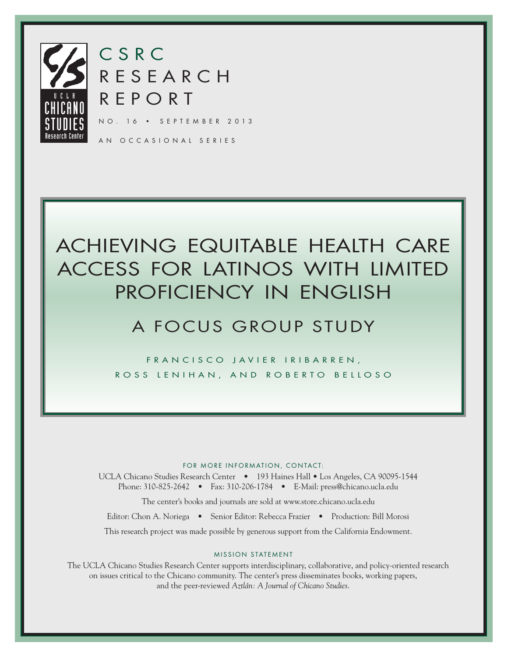

CSRC RESEARCH REPORT

NO. 16 • SEPTEMBER 2013

AN OCCASIONAL SERIES

# ACHIEVING EQUITABLE HEALTH CARE ACCESS FOR LATINOS WITH LIMITED PROFICIENCY IN ENGLISH

# A FOCUS GROUP STUDY

FRANCISCO JAVIER IRIBARREN, ROSS LENIHAN, AND ROBERTO BELLOSO

# FOR MORE INFORMATION, CONTACT:

UCLA Chicano Studies Research Center • 193 Haines Hall • Los Angeles, CA 90095-1544 Phone: 310-825-2642 • Fax: 310-206-1784 • E-Mail: press@chicano.ucla.edu

The center's books and journals are sold at www.store.chicano.ucla.edu

Editor: Chon A. Noriega • Senior Editor: Rebecca Frazier • Production: Bill Morosi

This research project was made possible by generous support from the California Endowment.

# MISSION STATEMENT

The UCLA Chicano Studies Research Center supports interdisciplinary, collaborative, and policy-oriented research on issues critical to the Chicano community. The center's press disseminates books, working papers, and the peer-reviewed *Aztlán: A Journal of Chicano Studies*.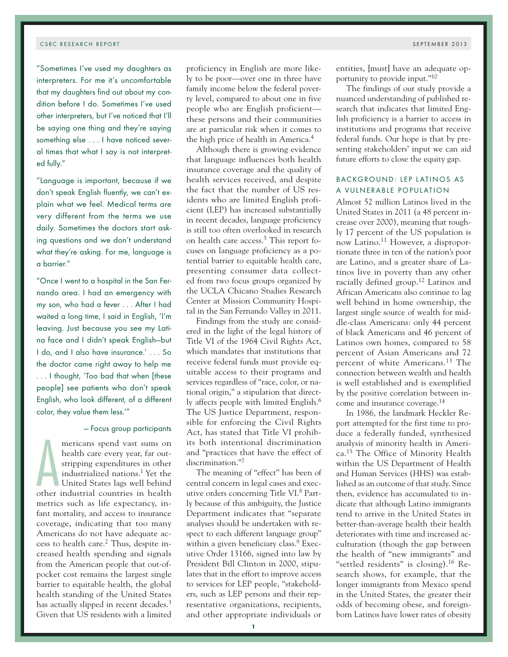"Sometimes I've used my daughters as interpreters. For me it's uncomfortable that my daughters find out about my condition before I do. Sometimes I've used other interpreters, but I've noticed that I'll be saying one thing and they're saying something else . . . I have noticed several times that what I say is not interpreted fully."

"Language is important, because if we don't speak English fluently, we can't explain what we feel. Medical terms are very different from the terms we use daily. Sometimes the doctors start asking questions and we don't understand what they're asking. For me, language is a barrier."

"Once I went to a hospital in the San Fernando area. I had an emergency with my son, who had a fever . . . After I had waited a long time, I said in English, 'I'm leaving. Just because you see my Latina face and I didn't speak English—but I do, and I also have insurance.' . . . So the doctor came right away to help me . . . I thought, 'Too bad that when [these people] see patients who don't speak English, who look different, of a different color, they value them less.'"

# — Focus group participants

mericans spend vast sums on<br>health care every year, far out-<br>stripping expenditures in other<br>industrialized nations.<sup>1</sup> Yet the<br>United States lags well behind<br>other industrial countries in health mericans spend vast sums on health care every year, far outstripping expenditures in other industrialized nations.1 Yet the United States lags well behind metrics such as life expectancy, infant mortality, and access to insurance coverage, indicating that too many Americans do not have adequate access to health care.2 Thus, despite increased health spending and signals from the American people that out-ofpocket cost remains the largest single barrier to equitable health, the global health standing of the United States has actually slipped in recent decades.<sup>3</sup> Given that US residents with a limited

proficiency in English are more likely to be poor—over one in three have family income below the federal poverty level, compared to about one in five people who are English proficient these persons and their communities are at particular risk when it comes to the high price of health in America.4

Although there is growing evidence that language influences both health insurance coverage and the quality of health services received, and despite the fact that the number of US residents who are limited English proficient (LEP) has increased substantially in recent decades, language proficiency is still too often overlooked in research on health care access.5 This report focuses on language proficiency as a potential barrier to equitable health care, presenting consumer data collected from two focus groups organized by the UCLA Chicano Studies Research Center at Mission Community Hospital in the San Fernando Valley in 2011.

Findings from the study are considered in the light of the legal history of Title VI of the 1964 Civil Rights Act, which mandates that institutions that receive federal funds must provide equitable access to their programs and services regardless of "race, color, or national origin," a stipulation that directly affects people with limited English.6 The US Justice Department, responsible for enforcing the Civil Rights Act, has stated that Title VI prohibits both intentional discrimination and "practices that have the effect of discrimination."7

The meaning of "effect" has been of central concern in legal cases and executive orders concerning Title VI.8 Partly because of this ambiguity, the Justice Department indicates that "separate analyses should be undertaken with respect to each different language group" within a given beneficiary class.<sup>9</sup> Executive Order 13166, signed into law by President Bill Clinton in 2000, stipulates that in the effort to improve access to services for LEP people, "stakeholders, such as LEP persons and their representative organizations, recipients, and other appropriate individuals or

entities, [must] have an adequate opportunity to provide input."10

The findings of our study provide a nuanced understanding of published research that indicates that limited English proficiency is a barrier to access in institutions and programs that receive federal funds. Our hope is that by presenting stakeholders' input we can aid future efforts to close the equity gap.

# BACKGROUND: LEP LATINOS AS A VULNERABLE POPULATION

Almost 52 million Latinos lived in the United States in 2011 (a 48 percent increase over 2000), meaning that roughly 17 percent of the US population is now Latino.11 However, a disproportionate three in ten of the nation's poor are Latino, and a greater share of Latinos live in poverty than any other racially defined group.12 Latinos and African Americans also continue to lag well behind in home ownership, the largest single source of wealth for middle-class Americans: only 44 percent of black Americans and 46 percent of Latinos own homes, compared to 58 percent of Asian Americans and 72 percent of white Americans.13 The connection between wealth and health is well established and is exemplified by the positive correlation between income and insurance coverage.14

In 1986, the landmark Heckler Report attempted for the first time to produce a federally funded, synthesized analysis of minority health in America.15 The Office of Minority Health within the US Department of Health and Human Services (HHS) was established as an outcome of that study. Since then, evidence has accumulated to indicate that although Latino immigrants tend to arrive in the United States in better-than-average health their health deteriorates with time and increased acculturation (though the gap between the health of "new immigrants" and "settled residents" is closing).16 Research shows, for example, that the longer immigrants from Mexico spend in the United States, the greater their odds of becoming obese, and foreignborn Latinos have lower rates of obesity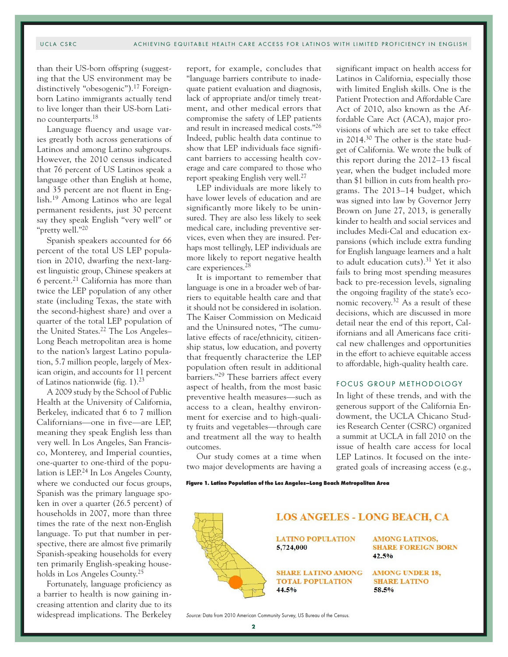# UCLA CSRC ACHIEVING EQUITABLE HEALTH CARE ACCESS FOR LATINOS WITH LIMITED PROFICIENCY IN ENGLISH

than their US-born offspring (suggesting that the US environment may be distinctively "obesogenic").<sup>17</sup> Foreignborn Latino immigrants actually tend to live longer than their US-born Latino counterparts.18

Language fluency and usage varies greatly both across generations of Latinos and among Latino subgroups. However, the 2010 census indicated that 76 percent of US Latinos speak a language other than English at home, and 35 percent are not fluent in English.19 Among Latinos who are legal permanent residents, just 30 percent say they speak English "very well" or "pretty well."20

Spanish speakers accounted for 66 percent of the total US LEP population in 2010, dwarfing the next-largest linguistic group, Chinese speakers at 6 percent.21 California has more than twice the LEP population of any other state (including Texas, the state with the second-highest share) and over a quarter of the total LEP population of the United States.22 The Los Angeles– Long Beach metropolitan area is home to the nation's largest Latino population, 5.7 million people, largely of Mexican origin, and accounts for 11 percent of Latinos nationwide (fig. 1).23

A 2009 study by the School of Public Health at the University of California, Berkeley, indicated that 6 to 7 million Californians—one in five—are LEP, meaning they speak English less than very well. In Los Angeles, San Francisco, Monterey, and Imperial counties, one-quarter to one-third of the population is LEP.24 In Los Angeles County, where we conducted our focus groups, Spanish was the primary language spoken in over a quarter (26.5 percent) of households in 2007, more than three times the rate of the next non-English language. To put that number in perspective, there are almost five primarily Spanish-speaking households for every ten primarily English-speaking households in Los Angeles County.25

Fortunately, language proficiency as a barrier to health is now gaining increasing attention and clarity due to its widespread implications. The Berkeley report, for example, concludes that "language barriers contribute to inadequate patient evaluation and diagnosis, lack of appropriate and/or timely treatment, and other medical errors that compromise the safety of LEP patients and result in increased medical costs."26 Indeed, public health data continue to show that LEP individuals face significant barriers to accessing health coverage and care compared to those who report speaking English very well.27

LEP individuals are more likely to have lower levels of education and are significantly more likely to be uninsured. They are also less likely to seek medical care, including preventive services, even when they are insured. Perhaps most tellingly, LEP individuals are more likely to report negative health care experiences.28

It is important to remember that language is one in a broader web of barriers to equitable health care and that it should not be considered in isolation. The Kaiser Commission on Medicaid and the Uninsured notes, "The cumulative effects of race/ethnicity, citizenship status, low education, and poverty that frequently characterize the LEP population often result in additional barriers."29 These barriers affect every aspect of health, from the most basic preventive health measures—such as access to a clean, healthy environment for exercise and to high-quality fruits and vegetables—through care and treatment all the way to health outcomes.

Our study comes at a time when two major developments are having a

significant impact on health access for Latinos in California, especially those with limited English skills. One is the Patient Protection and Affordable Care Act of 2010, also known as the Affordable Care Act (ACA), major provisions of which are set to take effect in 2014.30 The other is the state budget of California. We wrote the bulk of this report during the 2012–13 fiscal year, when the budget included more than \$1 billion in cuts from health programs. The 2013–14 budget, which was signed into law by Governor Jerry Brown on June 27, 2013, is generally kinder to health and social services and includes Medi-Cal and education expansions (which include extra funding for English language learners and a halt to adult education cuts). $31$  Yet it also fails to bring most spending measures back to pre-recession levels, signaling the ongoing fragility of the state's economic recovery.32 As a result of these decisions, which are discussed in more detail near the end of this report, Californians and all Americans face critical new challenges and opportunities in the effort to achieve equitable access to affordable, high-quality health care.

# FOCUS GROUP METHODOLOGY

In light of these trends, and with the generous support of the California Endowment, the UCLA Chicano Studies Research Center (CSRC) organized a summit at UCLA in fall 2010 on the issue of health care access for local LEP Latinos. It focused on the integrated goals of increasing access (e.g.,

**Figure 1. Latino Population of the Los Angeles–Long Beach Metropolitan Area**



Source: Data from 2010 American Community Survey, US Bureau of the Census.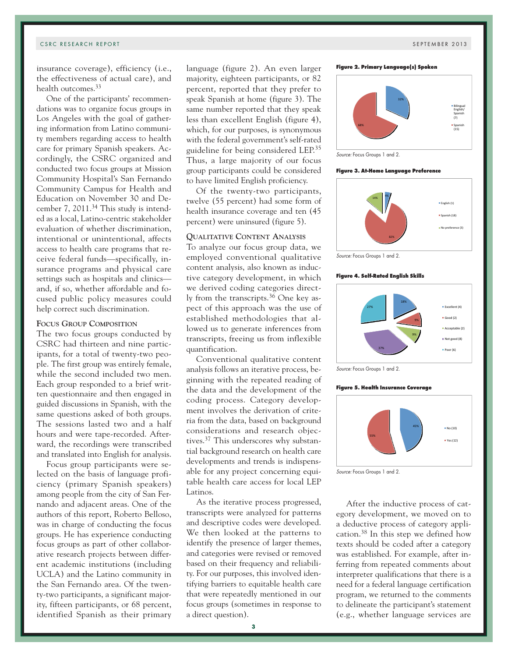insurance coverage), efficiency (i.e., the effectiveness of actual care), and health outcomes.33

One of the participants' recommendations was to organize focus groups in Los Angeles with the goal of gathering information from Latino community members regarding access to health care for primary Spanish speakers. Accordingly, the CSRC organized and conducted two focus groups at Mission Community Hospital's San Fernando Community Campus for Health and Education on November 30 and December 7, 2011.34 This study is intended as a local, Latino-centric stakeholder evaluation of whether discrimination, intentional or unintentional, affects access to health care programs that receive federal funds—specifically, insurance programs and physical care settings such as hospitals and clinics and, if so, whether affordable and focused public policy measures could help correct such discrimination.

# **Focus Group Composition**

The two focus groups conducted by CSRC had thirteen and nine participants, for a total of twenty-two people. The first group was entirely female, while the second included two men. Each group responded to a brief written questionnaire and then engaged in guided discussions in Spanish, with the same questions asked of both groups. The sessions lasted two and a half hours and were tape-recorded. Afterward, the recordings were transcribed and translated into English for analysis.

Focus group participants were selected on the basis of language proficiency (primary Spanish speakers) among people from the city of San Fernando and adjacent areas. One of the authors of this report, Roberto Belloso, was in charge of conducting the focus groups. He has experience conducting focus groups as part of other collaborative research projects between different academic institutions (including UCLA) and the Latino community in the San Fernando area. Of the twenty-two participants, a significant majority, fifteen participants, or 68 percent, identified Spanish as their primary

language (figure 2). An even larger majority, eighteen participants, or 82 percent, reported that they prefer to speak Spanish at home (figure 3). The same number reported that they speak less than excellent English (figure 4), which, for our purposes, is synonymous with the federal government's self-rated guideline for being considered LEP.35 Thus, a large majority of our focus group participants could be considered to have limited English proficiency.

Of the twenty-two participants, twelve (55 percent) had some form of health insurance coverage and ten (45 percent) were uninsured (figure 5).

# **Qualitative Content Analysis**

To analyze our focus group data, we employed conventional qualitative content analysis, also known as inductive category development, in which we derived coding categories directly from the transcripts.36 One key aspect of this approach was the use of established methodologies that allowed us to generate inferences from transcripts, freeing us from inflexible quantification.

Conventional qualitative content analysis follows an iterative process, beginning with the repeated reading of the data and the development of the coding process. Category development involves the derivation of criteria from the data, based on background considerations and research objectives.37 This underscores why substantial background research on health care developments and trends is indispensable for any project concerning equitable health care access for local LEP Latinos.

As the iterative process progressed, transcripts were analyzed for patterns and descriptive codes were developed. We then looked at the patterns to identify the presence of larger themes, and categories were revised or removed based on their frequency and reliability. For our purposes, this involved identifying barriers to equitable health care that were repeatedly mentioned in our focus groups (sometimes in response to a direct question).





**Figure 3. At-Home Language Preference**



Source: Focus Groups 1 and 2.

#### **Figure 4. Self-Rated English Skills**



Source: Focus Groups 1 and 2.

#### **Figure 5. Health Insurance Coverage**



Source: Focus Groups 1 and 2.

After the inductive process of category development, we moved on to a deductive process of category application.38 In this step we defined how texts should be coded after a category was established. For example, after inferring from repeated comments about interpreter qualifications that there is a need for a federal language certification program, we returned to the comments to delineate the participant's statement (e.g., whether language services are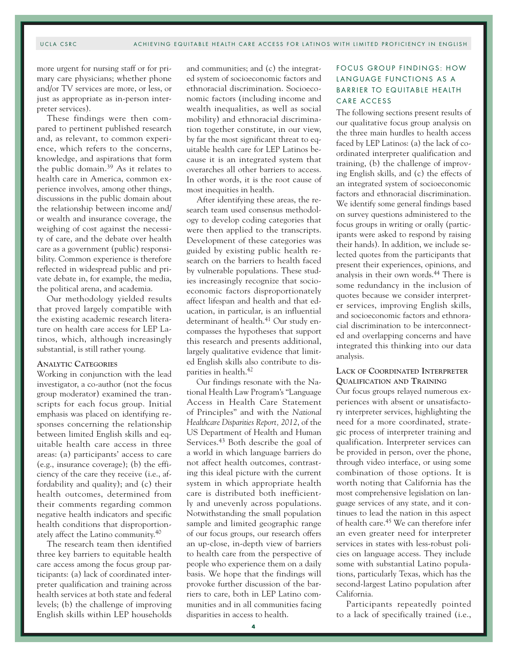# UCLA CSRC ACHIEVING EQUITABLE HEALTH CARE ACCESS FOR LATINOS WITH LIMITED PROFICIENCY IN ENGLISH

more urgent for nursing staff or for primary care physicians; whether phone and/or TV services are more, or less, or just as appropriate as in-person interpreter services).

These findings were then compared to pertinent published research and, as relevant, to common experience, which refers to the concerns, knowledge, and aspirations that form the public domain.39 As it relates to health care in America, common experience involves, among other things, discussions in the public domain about the relationship between income and/ or wealth and insurance coverage, the weighing of cost against the necessity of care, and the debate over health care as a government (public) responsibility. Common experience is therefore reflected in widespread public and private debate in, for example, the media, the political arena, and academia.

Our methodology yielded results that proved largely compatible with the existing academic research literature on health care access for LEP Latinos, which, although increasingly substantial, is still rather young.

### **Analytic Categories**

Working in conjunction with the lead investigator, a co-author (not the focus group moderator) examined the transcripts for each focus group. Initial emphasis was placed on identifying responses concerning the relationship between limited English skills and equitable health care access in three areas: (a) participants' access to care (e.g., insurance coverage); (b) the efficiency of the care they receive (i.e., affordability and quality); and (c) their health outcomes, determined from their comments regarding common negative health indicators and specific health conditions that disproportionately affect the Latino community.40

The research team then identified three key barriers to equitable health care access among the focus group participants: (a) lack of coordinated interpreter qualification and training across health services at both state and federal levels; (b) the challenge of improving English skills within LEP households

and communities; and (c) the integrated system of socioeconomic factors and ethnoracial discrimination. Socioeconomic factors (including income and wealth inequalities, as well as social mobility) and ethnoracial discrimination together constitute, in our view, by far the most significant threat to equitable health care for LEP Latinos because it is an integrated system that overarches all other barriers to access. In other words, it is the root cause of most inequities in health.

After identifying these areas, the research team used consensus methodology to develop coding categories that were then applied to the transcripts. Development of these categories was guided by existing public health research on the barriers to health faced by vulnerable populations. These studies increasingly recognize that socioeconomic factors disproportionately affect lifespan and health and that education, in particular, is an influential determinant of health.<sup>41</sup> Our study encompasses the hypotheses that support this research and presents additional, largely qualitative evidence that limited English skills also contribute to disparities in health.<sup>42</sup>

Our findings resonate with the National Health Law Program's "Language Access in Health Care Statement of Principles" and with the *National Healthcare Disparities Report, 2012*, of the US Department of Health and Human Services.43 Both describe the goal of a world in which language barriers do not affect health outcomes, contrasting this ideal picture with the current system in which appropriate health care is distributed both inefficiently and unevenly across populations. Notwithstanding the small population sample and limited geographic range of our focus groups, our research offers an up-close, in-depth view of barriers to health care from the perspective of people who experience them on a daily basis. We hope that the findings will provoke further discussion of the barriers to care, both in LEP Latino communities and in all communities facing disparities in access to health.

# FOCUS GROUP FINDINGS: HOW LANGUAGE FUNCTIONS AS A BARRIER TO EQUITABLE HEALTH CARE ACCESS

The following sections present results of our qualitative focus group analysis on the three main hurdles to health access faced by LEP Latinos: (a) the lack of coordinated interpreter qualification and training, (b) the challenge of improving English skills, and (c) the effects of an integrated system of socioeconomic factors and ethnoracial discrimination. We identify some general findings based on survey questions administered to the focus groups in writing or orally (participants were asked to respond by raising their hands). In addition, we include selected quotes from the participants that present their experiences, opinions, and analysis in their own words.44 There is some redundancy in the inclusion of quotes because we consider interpreter services, improving English skills, and socioeconomic factors and ethnoracial discrimination to be interconnected and overlapping concerns and have integrated this thinking into our data analysis.

# **Lack of Coordinated Interpreter Qualification and Training**

Our focus groups relayed numerous experiences with absent or unsatisfactory interpreter services, highlighting the need for a more coordinated, strategic process of interpreter training and qualification. Interpreter services can be provided in person, over the phone, through video interface, or using some combination of those options. It is worth noting that California has the most comprehensive legislation on language services of any state, and it continues to lead the nation in this aspect of health care.45 We can therefore infer an even greater need for interpreter services in states with less-robust policies on language access. They include some with substantial Latino populations, particularly Texas, which has the second-largest Latino population after California.

Participants repeatedly pointed to a lack of specifically trained (i.e.,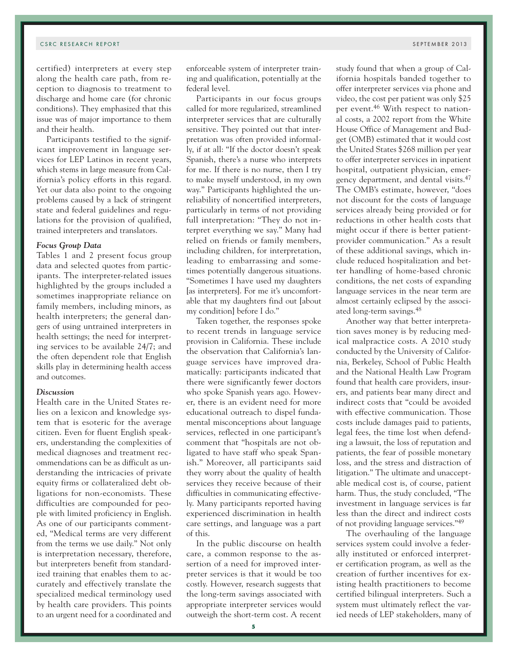certified) interpreters at every step along the health care path, from reception to diagnosis to treatment to discharge and home care (for chronic conditions). They emphasized that this issue was of major importance to them and their health.

Participants testified to the significant improvement in language services for LEP Latinos in recent years, which stems in large measure from California's policy efforts in this regard. Yet our data also point to the ongoing problems caused by a lack of stringent state and federal guidelines and regulations for the provision of qualified, trained interpreters and translators.

#### *Focus Group Data*

Tables 1 and 2 present focus group data and selected quotes from participants. The interpreter-related issues highlighted by the groups included a sometimes inappropriate reliance on family members, including minors, as health interpreters; the general dangers of using untrained interpreters in health settings; the need for interpreting services to be available 24/7; and the often dependent role that English skills play in determining health access and outcomes.

#### *Discussion*

Health care in the United States relies on a lexicon and knowledge system that is esoteric for the average citizen. Even for fluent English speakers, understanding the complexities of medical diagnoses and treatment recommendations can be as difficult as understanding the intricacies of private equity firms or collateralized debt obligations for non-economists. These difficulties are compounded for people with limited proficiency in English. As one of our participants commented, "Medical terms are very different from the terms we use daily." Not only is interpretation necessary, therefore, but interpreters benefit from standardized training that enables them to accurately and effectively translate the specialized medical terminology used by health care providers. This points to an urgent need for a coordinated and

enforceable system of interpreter training and qualification, potentially at the federal level.

Participants in our focus groups called for more regularized, streamlined interpreter services that are culturally sensitive. They pointed out that interpretation was often provided informally, if at all: "If the doctor doesn't speak Spanish, there's a nurse who interprets for me. If there is no nurse, then I try to make myself understood, in my own way." Participants highlighted the unreliability of noncertified interpreters, particularly in terms of not providing full interpretation: "They do not interpret everything we say." Many had relied on friends or family members, including children, for interpretation, leading to embarrassing and sometimes potentially dangerous situations. "Sometimes I have used my daughters [as interpreters]. For me it's uncomfortable that my daughters find out [about my condition] before I do."

Taken together, the responses spoke to recent trends in language service provision in California. These include the observation that California's language services have improved dramatically: participants indicated that there were significantly fewer doctors who spoke Spanish years ago. However, there is an evident need for more educational outreach to dispel fundamental misconceptions about language services, reflected in one participant's comment that "hospitals are not obligated to have staff who speak Spanish." Moreover, all participants said they worry about the quality of health services they receive because of their difficulties in communicating effectively. Many participants reported having experienced discrimination in health care settings, and language was a part of this.

In the public discourse on health care, a common response to the assertion of a need for improved interpreter services is that it would be too costly. However, research suggests that the long-term savings associated with appropriate interpreter services would outweigh the short-term cost. A recent

study found that when a group of California hospitals banded together to offer interpreter services via phone and video, the cost per patient was only \$25 per event.46 With respect to national costs, a 2002 report from the White House Office of Management and Budget (OMB) estimated that it would cost the United States \$268 million per year to offer interpreter services in inpatient hospital, outpatient physician, emergency department, and dental visits.47 The OMB's estimate, however, "does not discount for the costs of language services already being provided or for reductions in other health costs that might occur if there is better patientprovider communication." As a result of these additional savings, which include reduced hospitalization and better handling of home-based chronic conditions, the net costs of expanding language services in the near term are almost certainly eclipsed by the associated long-term savings.48

Another way that better interpretation saves money is by reducing medical malpractice costs. A 2010 study conducted by the University of California, Berkeley, School of Public Health and the National Health Law Program found that health care providers, insurers, and patients bear many direct and indirect costs that "could be avoided with effective communication. Those costs include damages paid to patients, legal fees, the time lost when defending a lawsuit, the loss of reputation and patients, the fear of possible monetary loss, and the stress and distraction of litigation." The ultimate and unacceptable medical cost is, of course, patient harm. Thus, the study concluded, "The investment in language services is far less than the direct and indirect costs of not providing language services."49

The overhauling of the language services system could involve a federally instituted or enforced interpreter certification program, as well as the creation of further incentives for existing health practitioners to become certified bilingual interpreters. Such a system must ultimately reflect the varied needs of LEP stakeholders, many of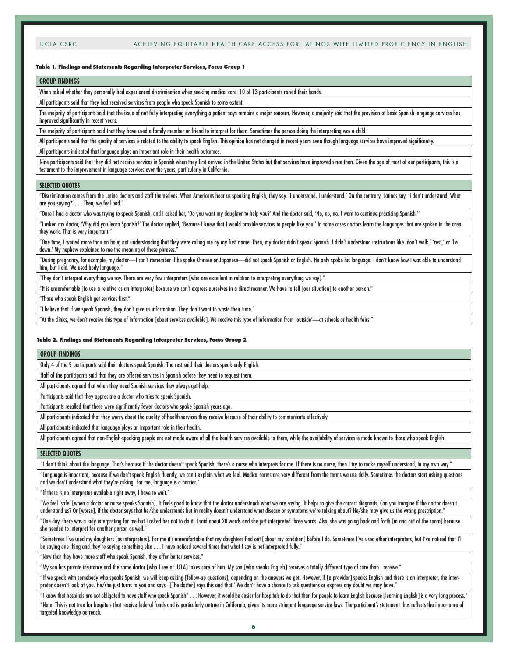#### **Table 1. Findings and Statements Regarding Interpreter Services, Focus Group 1**

### **GROUP FINDINGS**

When asked whether they personally had experienced discrimination when seeking medical care, 10 of 13 participants raised their hands.

All participants said that they had received services from people who speak Spanish to some extent.

The majority of participants said that the issue of not fully interpreting everything a patient says remains a major concern. However, a majority said that the provision of basic Spanish language services has improved significantly in recent years.

The majority of participants said that they have used a family member or friend to interpret for them. Sometimes the person doing the interpreting was a child.

All participants said that the quality of services is related to the ability to speak English. This opinion has not changed in recent years even though language services have improved significantly.

All participants indicated that language plays an important role in their health outcomes.

Nine participants said that they did not receive services in Spanish when they first arrived in the United States but that services have improved since then. Given the age of most of our participants, this is a testament to the improvement in language services over the years, particularly in California.

#### **SELECTED QUOTES**

"Discrimination comes from the Latino doctors and staff themselves. When Americans hear us speaking English, they say, 'I understand, I understand.' On the contrary, Latinos say, 'I don't understand. What are you saying?' . . . Then, we feel bad."

"Once I had a doctor who was trying to speak Spanish, and I asked her, 'Do you want my daughter to help you?' And the doctor said, 'No, no, no. I want to continue practicing Spanish.'"

"I asked my doctor, 'Why did you learn Spanish?' The doctor replied, 'Because I knew that I would provide services to people like you.' In some cases doctors learn the languages that are spoken in the area they work. That is very important."

"One time, I waited more than an hour, not understanding that they were calling me by my first name. Then, my doctor didn't speak Spanish. I didn't understand instructions like 'don't walk,' 'rest,' or 'lie down.' My nephew explained to me the meaning of those phrases.

"During pregnancy, for example, my doctor—I can't remember if he spoke Chinese or Japanese—did not speak Spanish or English. He only spoke his language. I don't know how I was able to understand him, but I did. We used body language."

"They don't interpret everything we say. There are very few interpreters [who are excellent in relation to interpreting everything we say]."

"It is uncomfortable [to use a relative as an interpreter] because we can't express ourselves in a direct manner. We have to tell [our situation] to another person."

"Those who speak English get services first."

"I believe that if we speak Spanish, they don't give us information. They don't want to waste their time."

"At the clinics, we don't receive this type of information [about services available]. We receive this type of information from 'outside'—at schools or health fairs."

#### **Table 2. Findings and Statements Regarding Interpreter Services, Focus Group 2**

#### **GROUP FINDINGS**

Only 4 of the 9 participants said their doctors speak Spanish. The rest said their doctors speak only English.

Half of the participants said that they are offered services in Spanish before they need to request them.

All participants agreed that when they need Spanish services they always get help.

Participants said that they appreciate a doctor who tries to speak Spanish.

Participants recalled that there were significantly fewer doctors who spoke Spanish years ago.

All participants indicated that they worry about the quality of health services they receive because of their ability to communicate effectively.

All participants indicated that language plays an important role in their health.

All participants agreed that non-English-speaking people are not made aware of all the health services available to them, while the availability of services is made known to those who speak English.

#### **SELECTED QUOTES**

"I don't think about the language. That's because if the doctor doesn't speak Spanish, there's a nurse who interprets for me. If there is no nurse, then I try to make myself understood, in my own way."

"Language is important, because if we don't speak English fluently, we can't explain what we feel. Medical terms are very different from the terms we use daily. Sometimes the doctors start asking questions and we don't understand what they're asking. For me, language is a barrier."

"If there is no interpreter available right away, I have to wait."

"We feel 'safe' [when a doctor or nurse speaks Spanish]. It feels good to know that the doctor understands what we are saying. It helps to give the correct diagnosis. Can you imagine if the doctor doesn't understand us? Or [worse], if the doctor says that he/she understands but in reality doesn't understand what disease or symptoms we're talking about? He/she may give us the wrong prescription."

"One day, there was a lady interpreting for me but I asked her not to do it. I said about 20 words and she just interpreted three words. Also, she was going back and forth [in and out of the room] because she needed to interpret for another person as well."

"Sometimes I've used my daughters [as interpreters]. For me it's uncomfortable that my daughters find out [about my condition] before I do. Sometimes I've used other interpreters, but I've noticed that I'll be saying one thing and they're saying something else . . . I have noticed several times that what I say is not interpreted fully."

"Now that they have more staff who speak Spanish, they offer better services."

"My son has private insurance and the same doctor [who I see at UCLA] takes care of him. My son [who speaks English] receives a totally different type of care than I receive."

"If we speak with somebody who speaks Spanish, we will keep asking [follow-up questions], depending on the answers we get. However, if [a provider] speaks English and there is an interpreter, the interpreter doesn't look at you. He/she just turns to you and says, '[The doctor] says this and that.' We don't have a chance to ask questions or express any doubt we may have."

"I know that hospitals are not obligated to have staff who speak Spanish\* . . . However, it would be easier for hospitals to do that than for people to learn English because [learning English] is a very long process." \*Note: This is not true for hospitals that receive federal funds and is particularly untrue in California, given its more stringent language service laws. The participant's statement thus reflects the importance of targeted knowledge outreach.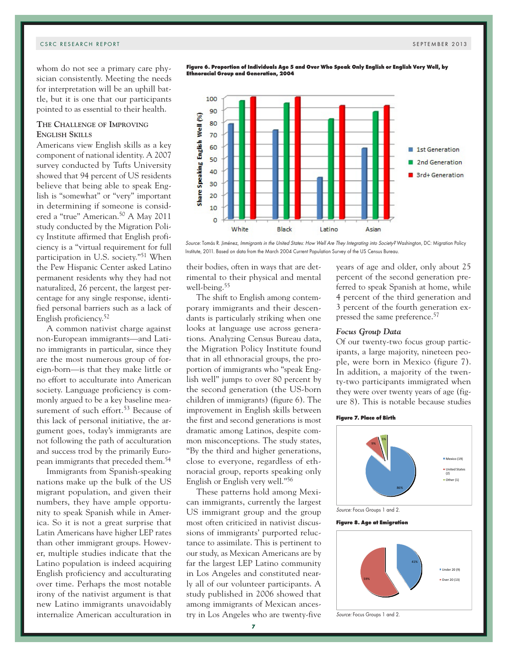whom do not see a primary care physician consistently. Meeting the needs for interpretation will be an uphill battle, but it is one that our participants pointed to as essential to their health.

# **The Challenge of Improving English Skills**

Americans view English skills as a key component of national identity. A 2007 survey conducted by Tufts University showed that 94 percent of US residents believe that being able to speak English is "somewhat" or "very" important in determining if someone is considered a "true" American.50 A May 2011 study conducted by the Migration Policy Institute affirmed that English proficiency is a "virtual requirement for full participation in U.S. society."51 When the Pew Hispanic Center asked Latino permanent residents why they had not naturalized, 26 percent, the largest percentage for any single response, identified personal barriers such as a lack of English proficiency.52

A common nativist charge against non-European immigrants—and Latino immigrants in particular, since they are the most numerous group of foreign-born—is that they make little or no effort to acculturate into American society. Language proficiency is commonly argued to be a key baseline measurement of such effort.<sup>53</sup> Because of this lack of personal initiative, the argument goes, today's immigrants are not following the path of acculturation and success trod by the primarily European immigrants that preceded them.54

Immigrants from Spanish-speaking nations make up the bulk of the US migrant population, and given their numbers, they have ample opportunity to speak Spanish while in America. So it is not a great surprise that Latin Americans have higher LEP rates than other immigrant groups. However, multiple studies indicate that the Latino population is indeed acquiring English proficiency and acculturating over time. Perhaps the most notable irony of the nativist argument is that new Latino immigrants unavoidably internalize American acculturation in

**Figure 6. Proportion of Individuals Age 5 and Over Who Speak Only English or English Very Well, by Ethnoracial Group and Generation, 2004**



Source: Tomás R. Jiménez, Immigrants in the United States: How Well Are They Integrating into Society? Washington, DC: Migration Policy Institute, 2011. Based on data from the March 2004 Current Population Survey of the US Census Bureau.

their bodies, often in ways that are detrimental to their physical and mental well-being.55

The shift to English among contemporary immigrants and their descendants is particularly striking when one looks at language use across generations. Analyzing Census Bureau data, the Migration Policy Institute found that in all ethnoracial groups, the proportion of immigrants who "speak English well" jumps to over 80 percent by the second generation (the US-born children of immigrants) (figure 6). The improvement in English skills between the first and second generations is most dramatic among Latinos, despite common misconceptions. The study states, "By the third and higher generations, close to everyone, regardless of ethnoracial group, reports speaking only English or English very well."56

These patterns hold among Mexican immigrants, currently the largest US immigrant group and the group most often criticized in nativist discussions of immigrants' purported reluctance to assimilate. This is pertinent to our study, as Mexican Americans are by far the largest LEP Latino community in Los Angeles and constituted nearly all of our volunteer participants. A study published in 2006 showed that among immigrants of Mexican ancestry in Los Angeles who are twenty-five

years of age and older, only about 25 percent of the second generation preferred to speak Spanish at home, while 4 percent of the third generation and 3 percent of the fourth generation expressed the same preference.<sup>57</sup>

### *Focus Group Data*

Of our twenty-two focus group participants, a large majority, nineteen people, were born in Mexico (figure 7). In addition, a majority of the twenty-two participants immigrated when they were over twenty years of age (figure 8). This is notable because studies

#### **Figure 7. Place of Birth**



#### **Figure 8. Age at Emigration**



Source: Focus Groups 1 and 2.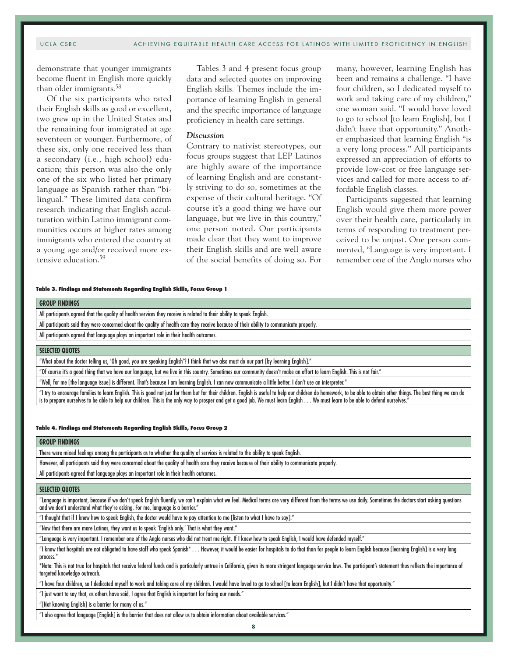demonstrate that younger immigrants become fluent in English more quickly than older immigrants.58

Of the six participants who rated their English skills as good or excellent, two grew up in the United States and the remaining four immigrated at age seventeen or younger. Furthermore, of these six, only one received less than a secondary (i.e., high school) education; this person was also the only one of the six who listed her primary language as Spanish rather than "bilingual." These limited data confirm research indicating that English acculturation within Latino immigrant communities occurs at higher rates among immigrants who entered the country at a young age and/or received more extensive education.<sup>59</sup>

Tables 3 and 4 present focus group data and selected quotes on improving English skills. Themes include the importance of learning English in general and the specific importance of language proficiency in health care settings.

# *Discussion*

Contrary to nativist stereotypes, our focus groups suggest that LEP Latinos are highly aware of the importance of learning English and are constantly striving to do so, sometimes at the expense of their cultural heritage. "Of course it's a good thing we have our language, but we live in this country," one person noted. Our participants made clear that they want to improve their English skills and are well aware of the social benefits of doing so. For

many, however, learning English has been and remains a challenge. "I have four children, so I dedicated myself to work and taking care of my children," one woman said. "I would have loved to go to school [to learn English], but I didn't have that opportunity." Another emphasized that learning English "is a very long process." All participants expressed an appreciation of efforts to provide low-cost or free language services and called for more access to affordable English classes.

Participants suggested that learning English would give them more power over their health care, particularly in terms of responding to treatment perceived to be unjust. One person commented, "Language is very important. I remember one of the Anglo nurses who

#### **Table 3. Findings and Statements Regarding English Skills, Focus Group 1**

| <b>GROUP FINDINGS</b>                                                                                                  |  |
|------------------------------------------------------------------------------------------------------------------------|--|
| All participants agreed that the quality of health services they receive is related to their ability to speak English. |  |

All participants said they were concerned about the quality of health care they receive because of their ability to communicate properly.

All participants agreed that language plays an important role in their health outcomes.

# **SELECTED QUOTES**

"What about the doctor telling us, 'Oh good, you are speaking English'? I think that we also must do our part [by learning English]."

"Of course it's a good thing that we have our language, but we live in this country. Sometimes our community doesn't make an effort to learn English. This is not fair."

"Well, for me [the language issue] is different. That's because I am learning English. I can now communicate a little better. I don't use an interpreter."

"I try to encourage families to learn English. This is good not just for them but for their children. English is useful to help our children do homework, to be able to obtain other things. The best thing we can do is to prepare ourselves to be able to help our children. This is the only way to prosper and get a good job. We must learn English . . . We must learn to be able to defend ourselves."

#### **Table 4. Findings and Statements Regarding English Skills, Focus Group 2**

#### **GROUP FINDINGS**

There were mixed feelings among the participants as to whether the quality of services is related to the ability to speak English.

However, all participants said they were concerned about the quality of health care they receive because of their ability to communicate properly.

All participants agreed that language plays an important role in their health outcomes.

#### **SELECTED QUOTES**

"Language is important, because if we don't speak English fluently, we can't explain what we feel. Medical terms are very different from the terms we use daily. Sometimes the doctors start asking questions and we don't understand what they're asking. For me, language is a barrier."

"I thought that if I knew how to speak English, the doctor would have to pay attention to me [listen to what I have to say]."

"Now that there are more Latinos, they want us to speak 'English only.' That is what they want."

"Language is very important. I remember one of the Anglo nurses who did not treat me right. If I knew how to speak English, I would have defended myself."

"I know that hospitals are not obligated to have staff who speak Spanish\* . . . However, it would be easier for hospitals to do that than for people to learn English because [learning English] is a very long process."

\*Note: This is not true for hospitals that receive federal funds and is particularly untrue in California, given its more stringent language service laws. The participant's statement thus reflects the importance of targeted knowledge outreach.

"I have four children, so I dedicated myself to work and taking care of my children. I would have loved to go to school [to learn English], but I didn't have that opportunity."

"I just want to say that, as others have said, I agree that English is important for facing our needs."

"[Not knowing English] is a barrier for many of us."

"I also agree that language [English] is the barrier that does not allow us to obtain information about available services."

**8**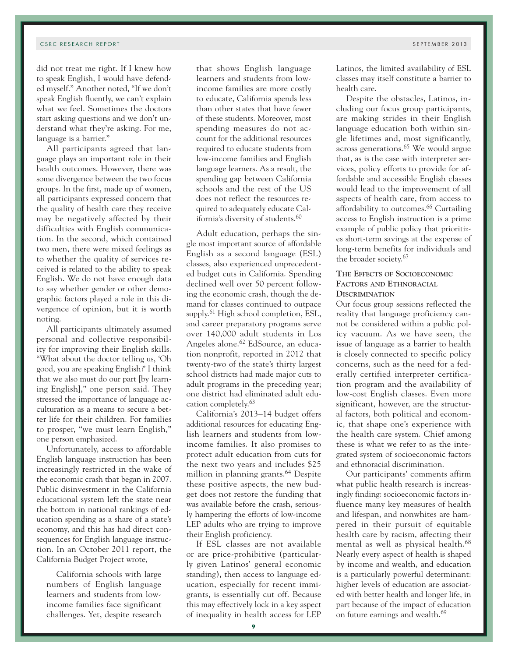did not treat me right. If I knew how to speak English, I would have defended myself." Another noted, "If we don't speak English fluently, we can't explain what we feel. Sometimes the doctors start asking questions and we don't understand what they're asking. For me, language is a barrier."

All participants agreed that language plays an important role in their health outcomes. However, there was some divergence between the two focus groups. In the first, made up of women, all participants expressed concern that the quality of health care they receive may be negatively affected by their difficulties with English communication. In the second, which contained two men, there were mixed feelings as to whether the quality of services received is related to the ability to speak English. We do not have enough data to say whether gender or other demographic factors played a role in this divergence of opinion, but it is worth noting.

All participants ultimately assumed personal and collective responsibility for improving their English skills. "What about the doctor telling us, 'Oh good, you are speaking English?' I think that we also must do our part [by learning English]," one person said. They stressed the importance of language acculturation as a means to secure a better life for their children. For families to prosper, "we must learn English," one person emphasized.

Unfortunately, access to affordable English language instruction has been increasingly restricted in the wake of the economic crash that began in 2007. Public disinvestment in the California educational system left the state near the bottom in national rankings of education spending as a share of a state's economy, and this has had direct consequences for English language instruction. In an October 2011 report, the California Budget Project wrote,

California schools with large numbers of English language learners and students from lowincome families face significant challenges. Yet, despite research that shows English language learners and students from lowincome families are more costly to educate, California spends less than other states that have fewer of these students. Moreover, most spending measures do not account for the additional resources required to educate students from low-income families and English language learners. As a result, the spending gap between California schools and the rest of the US does not reflect the resources required to adequately educate California's diversity of students.<sup>60</sup>

Adult education, perhaps the single most important source of affordable English as a second language (ESL) classes, also experienced unprecedented budget cuts in California. Spending declined well over 50 percent following the economic crash, though the demand for classes continued to outpace supply.<sup>61</sup> High school completion, ESL, and career preparatory programs serve over 140,000 adult students in Los Angeles alone.62 EdSource, an education nonprofit, reported in 2012 that twenty-two of the state's thirty largest school districts had made major cuts to adult programs in the preceding year; one district had eliminated adult education completely.63

California's 2013–14 budget offers additional resources for educating English learners and students from lowincome families. It also promises to protect adult education from cuts for the next two years and includes \$25 million in planning grants.<sup>64</sup> Despite these positive aspects, the new budget does not restore the funding that was available before the crash, seriously hampering the efforts of low-income LEP adults who are trying to improve their English proficiency.

If ESL classes are not available or are price-prohibitive (particularly given Latinos' general economic standing), then access to language education, especially for recent immigrants, is essentially cut off. Because this may effectively lock in a key aspect of inequality in health access for LEP

Latinos, the limited availability of ESL classes may itself constitute a barrier to health care.

Despite the obstacles, Latinos, including our focus group participants, are making strides in their English language education both within single lifetimes and, most significantly, across generations.65 We would argue that, as is the case with interpreter services, policy efforts to provide for affordable and accessible English classes would lead to the improvement of all aspects of health care, from access to affordability to outcomes.66 Curtailing access to English instruction is a prime example of public policy that prioritizes short-term savings at the expense of long-term benefits for individuals and the broader society.67

# **The Effects of Socioeconomic Factors and Ethnoracial Discrimination**

Our focus group sessions reflected the reality that language proficiency cannot be considered within a public policy vacuum. As we have seen, the issue of language as a barrier to health is closely connected to specific policy concerns, such as the need for a federally certified interpreter certification program and the availability of low-cost English classes. Even more significant, however, are the structural factors, both political and economic, that shape one's experience with the health care system. Chief among these is what we refer to as the integrated system of socioeconomic factors and ethnoracial discrimination.

Our participants' comments affirm what public health research is increasingly finding: socioeconomic factors influence many key measures of health and lifespan, and nonwhites are hampered in their pursuit of equitable health care by racism, affecting their mental as well as physical health.<sup>68</sup> Nearly every aspect of health is shaped by income and wealth, and education is a particularly powerful determinant: higher levels of education are associated with better health and longer life, in part because of the impact of education on future earnings and wealth.<sup>69</sup>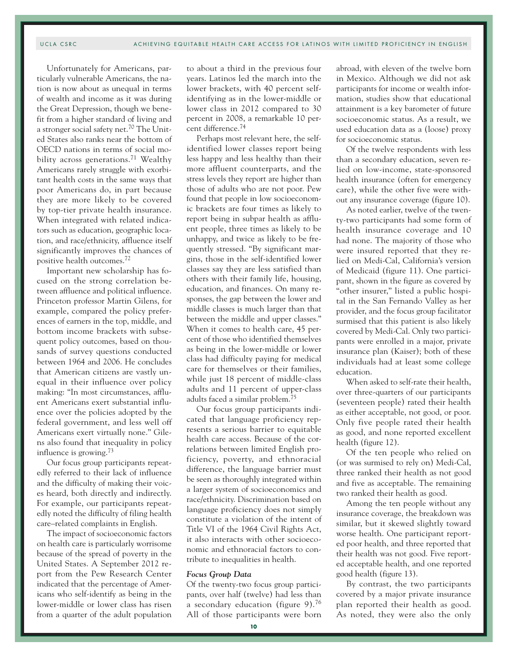Unfortunately for Americans, particularly vulnerable Americans, the nation is now about as unequal in terms of wealth and income as it was during the Great Depression, though we benefit from a higher standard of living and a stronger social safety net.70 The United States also ranks near the bottom of OECD nations in terms of social mobility across generations.<sup>71</sup> Wealthy Americans rarely struggle with exorbitant health costs in the same ways that poor Americans do, in part because they are more likely to be covered by top-tier private health insurance. When integrated with related indicators such as education, geographic location, and race/ethnicity, affluence itself significantly improves the chances of positive health outcomes.72

Important new scholarship has focused on the strong correlation between affluence and political influence. Princeton professor Martin Gilens, for example, compared the policy preferences of earners in the top, middle, and bottom income brackets with subsequent policy outcomes, based on thousands of survey questions conducted between 1964 and 2006. He concludes that American citizens are vastly unequal in their influence over policy making: "In most circumstances, affluent Americans exert substantial influence over the policies adopted by the federal government, and less well off Americans exert virtually none." Gilens also found that inequality in policy influence is growing.73

Our focus group participants repeatedly referred to their lack of influence and the difficulty of making their voices heard, both directly and indirectly. For example, our participants repeatedly noted the difficulty of filing health care–related complaints in English.

The impact of socioeconomic factors on health care is particularly worrisome because of the spread of poverty in the United States. A September 2012 report from the Pew Research Center indicated that the percentage of Americans who self-identify as being in the lower-middle or lower class has risen from a quarter of the adult population to about a third in the previous four years. Latinos led the march into the lower brackets, with 40 percent selfidentifying as in the lower-middle or lower class in 2012 compared to 30 percent in 2008, a remarkable 10 percent difference.74

Perhaps most relevant here, the selfidentified lower classes report being less happy and less healthy than their more affluent counterparts, and the stress levels they report are higher than those of adults who are not poor. Pew found that people in low socioeconomic brackets are four times as likely to report being in subpar health as affluent people, three times as likely to be unhappy, and twice as likely to be frequently stressed. "By significant margins, those in the self-identified lower classes say they are less satisfied than others with their family life, housing, education, and finances. On many responses, the gap between the lower and middle classes is much larger than that between the middle and upper classes." When it comes to health care, 45 percent of those who identified themselves as being in the lower-middle or lower class had difficulty paying for medical care for themselves or their families, while just 18 percent of middle-class adults and 11 percent of upper-class adults faced a similar problem.75

Our focus group participants indicated that language proficiency represents a serious barrier to equitable health care access. Because of the correlations between limited English proficiency, poverty, and ethnoracial difference, the language barrier must be seen as thoroughly integrated within a larger system of socioeconomics and race/ethnicity. Discrimination based on language proficiency does not simply constitute a violation of the intent of Title VI of the 1964 Civil Rights Act, it also interacts with other socioeconomic and ethnoracial factors to contribute to inequalities in health.

# *Focus Group Data*

Of the twenty-two focus group participants, over half (twelve) had less than a secondary education (figure 9).76 All of those participants were born

abroad, with eleven of the twelve born in Mexico. Although we did not ask participants for income or wealth information, studies show that educational attainment is a key barometer of future socioeconomic status. As a result, we used education data as a (loose) proxy for socioeconomic status.

Of the twelve respondents with less than a secondary education, seven relied on low-income, state-sponsored health insurance (often for emergency care), while the other five were without any insurance coverage (figure 10).

As noted earlier, twelve of the twenty-two participants had some form of health insurance coverage and 10 had none. The majority of those who were insured reported that they relied on Medi-Cal, California's version of Medicaid (figure 11). One participant, shown in the figure as covered by "other insurer," listed a public hospital in the San Fernando Valley as her provider, and the focus group facilitator surmised that this patient is also likely covered by Medi-Cal. Only two participants were enrolled in a major, private insurance plan (Kaiser); both of these individuals had at least some college education.

When asked to self-rate their health, over three-quarters of our participants (seventeen people) rated their health as either acceptable, not good, or poor. Only five people rated their health as good, and none reported excellent health (figure 12).

Of the ten people who relied on (or was surmised to rely on) Medi-Cal, three ranked their health as not good and five as acceptable. The remaining two ranked their health as good.

Among the ten people without any insurance coverage, the breakdown was similar, but it skewed slightly toward worse health. One participant reported poor health, and three reported that their health was not good. Five reported acceptable health, and one reported good health (figure 13).

By contrast, the two participants covered by a major private insurance plan reported their health as good. As noted, they were also the only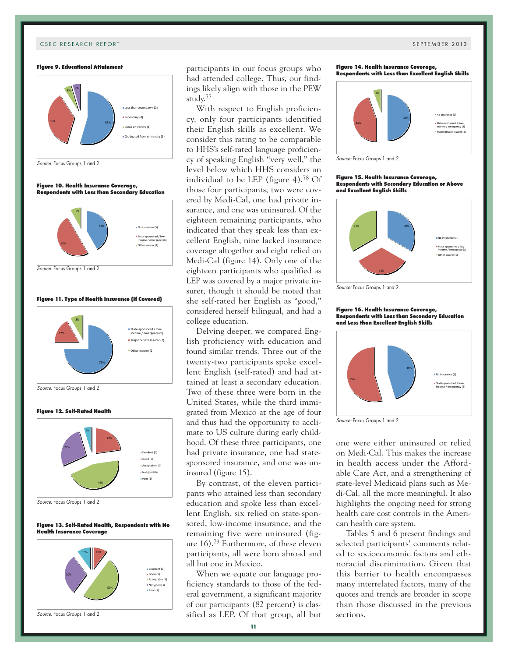#### **Figure 9. Educational Attainment**



Source: Focus Groups 1 and 2.

#### **Figure 10. Health Insurance Coverage, Respondents with Less than Secondary Education**



#### **Figure 11. Type of Health Insurance (If Covered)**



Source: Focus Groups 1 and 2.

#### **Figure 12. Self-Rated Health**



Source: Focus Groups 1 and 2.

#### **Figure 13. Self-Rated Health, Respondents with No Health Insurance Coverage**



participants in our focus groups who had attended college. Thus, our findings likely align with those in the PEW study.77

With respect to English proficiency, only four participants identified their English skills as excellent. We consider this rating to be comparable to HHS's self-rated language proficiency of speaking English "very well," the level below which HHS considers an individual to be LEP (figure 4).78 Of those four participants, two were covered by Medi-Cal, one had private insurance, and one was uninsured. Of the eighteen remaining participants, who indicated that they speak less than excellent English, nine lacked insurance coverage altogether and eight relied on Medi-Cal (figure 14). Only one of the eighteen participants who qualified as LEP was covered by a major private insurer, though it should be noted that she self-rated her English as "good," considered herself bilingual, and had a college education.

Delving deeper, we compared English proficiency with education and found similar trends. Three out of the twenty-two participants spoke excellent English (self-rated) and had attained at least a secondary education. Two of these three were born in the United States, while the third immigrated from Mexico at the age of four and thus had the opportunity to acclimate to US culture during early childhood. Of these three participants, one had private insurance, one had statesponsored insurance, and one was uninsured (figure 15).

By contrast, of the eleven participants who attained less than secondary education and spoke less than excellent English, six relied on state-sponsored, low-income insurance, and the remaining five were uninsured (figure 16).79 Furthermore, of these eleven participants, all were born abroad and all but one in Mexico.

When we equate our language proficiency standards to those of the federal government, a significant majority of our participants (82 percent) is classified as LEP. Of that group, all but





Source: Focus Groups 1 and 2.

#### **Figure 15. Health Insurance Coverage, Respondents with Secondary Education or Above and Excellent English Skills**



Source: Focus Groups 1 and 2.

#### **Figure 16. Health Insurance Coverage, Respondents with Less than Secondary Education and Less than Excellent English Skills**



Source: Focus Groups 1 and 2.

one were either uninsured or relied on Medi-Cal. This makes the increase in health access under the Affordable Care Act, and a strengthening of state-level Medicaid plans such as Medi-Cal, all the more meaningful. It also highlights the ongoing need for strong health care cost controls in the American health care system.

Tables 5 and 6 present findings and selected participants' comments related to socioeconomic factors and ethnoracial discrimination. Given that this barrier to health encompasses many interrelated factors, many of the quotes and trends are broader in scope than those discussed in the previous sections.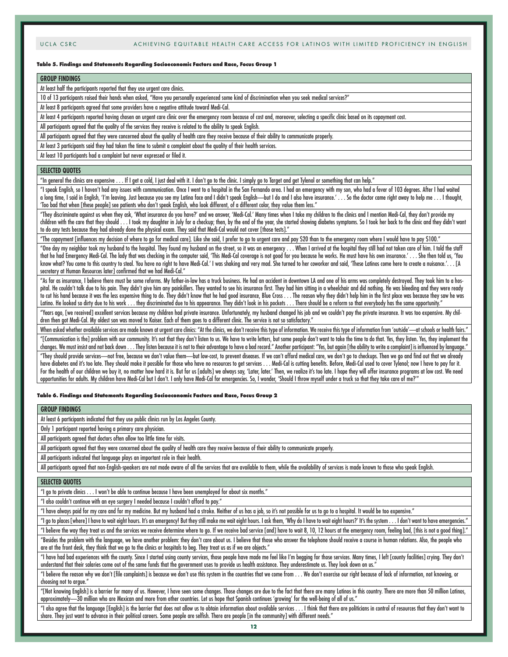#### **Table 5. Findings and Statements Regarding Socioeconomic Factors and Race, Focus Group 1**

#### **GROUP FINDINGS**

At least half the participants reported that they use urgent care clinics.

10 of 13 participants raised their hands when asked, "Have you personally experienced some kind of discrimination when you seek medical services?"

At least 8 participants agreed that some providers have a negative attitude toward Medi-Cal.

At least 4 participants reported having chosen an urgent care clinic over the emergency room because of cost and, moreover, selecting a specific clinic based on its copayment cost.

All participants agreed that the quality of the services they receive is related to the ability to speak English.

All participants agreed that they were concerned about the quality of health care they receive because of their ability to communicate properly.

At least 3 participants said they had taken the time to submit a complaint about the quality of their health services.

At least 10 participants had a complaint but never expressed or filed it.

#### **SELECTED QUOTES**

"In general the clinics are expensive . . . If I get a cold, I just deal with it. I don't go to the clinic. I simply go to Target and get Tylenol or something that can help."

"I speak English, so I haven't had any issues with communication. Once I went to a hospital in the San Fernando area. I had an emergency with my son, who had a fever of 103 degrees. After I had waited a long time, I said in English, 'I'm leaving. Just because you see my Latina face and I didn't speak English—but I do and I also have insurance.' . . . So the doctor came right away to help me . . . I thought, 'Too bad that when [these people] see patients who don't speak English, who look different, of a different color, they value them less."

"They discriminate against us when they ask, 'What insurance do you have?' and we answer, 'Medi-Cal.' Many times when I take my children to the clinics and I mention Medi-Cal, they don't provide my children with the care that they should . . . I took my daughter in July for a checkup; then, by the end of the year, she started showing diabetes symptoms. So I took her back to the clinic and they didn't want to do any tests because they had already done the physical exam. They said that Medi-Cal would not cover [those tests]."

"The copayment [influences my decision of where to go for medical care]. Like she said, I prefer to go to urgent care and pay \$20 than to the emergency room where I would have to pay \$100."

"One day my neighbor took my husband to the hospital. They found my husband on the street, so it was an emergency . . . When I arrived at the hospital they still had not taken care of him. I told the staff that he had Emergency Medi-Cal. The lady that was checking in the computer said, 'This Medi-Cal coverage is not good for you because he works. He must have his own insurance.' . . . She then told us, 'You know what? You come to this country to steal. You have no right to have Medi-Cal.' I was shaking and very mad. She turned to her coworker and said, 'These Latinos come here to create a nuisance.'. . . [A secretary at Human Resources later] confirmed that we had Medi-Cal."

"As far as insurance, I believe there must be some reforms. My father-in-law has a truck business. He had an accident in downtown LA and one of his arms was completely destroyed. They took him to a hospital. He couldn't talk due to his pain. They didn't give him any painkillers. They wanted to see his insurance first. They had him sitting in a wheelchair and did nothing. He was bleeding and they were ready to cut his hand because it was the less expensive thing to do. They didn't know that he had good insurance, Blue Cross . . . The reason why they didn't help him in the first place was because they saw he was Latino. He looked so dirty due to his work . . . they discriminated due to his appearance. They didn't look in his pockets . . . There should be a reform so that everybody has the same opportunity.

"Years ago, [we received] excellent services because my children had private insurance. Unfortunately, my husband changed his job and we couldn't pay the private insurance. It was too expensive. My children then got Medi-Cal. My oldest son was moved to Kaiser. Each of them goes to a different clinic. The service is not so satisfactory."

When asked whether available services are made known at urgent care clinics: "At the clinics, we don't receive this type of information. We receive this type of information from 'outside'—at schools or health fairs.' "[Communication is the] problem with our community. It's not that they don't listen to us. We have to write letters, but some people don't want to take the time to do that. Yes, they listen. Yes, they implement the

changes. We must insist and not back down . . . They listen because it is not to their advantage to have a bad record." Another participant: "Yes, but again [the ability to write a complaint] is influenced by language." "They should provide services—not free, because we don't value them—but low-cost, to prevent diseases. If we can't afford medical care, we don't go to checkups. Then we go and find out that we already have diabetes and it's too late. They should make it possible for those who have no resources to get services . . . Medi-Cal is cutting benefits. Before, Medi-Cal used to cover Tylenol; now I have to pay for it. For the health of our children we buy it, no matter how hard it is. But for us [adults] we always say, 'Later, later.' Then, we realize it's too late. I hope they will offer insurance programs at low cost. We need opportunities for adults. My children have Medi-Cal but I don't. I only have Medi-Cal for emergencies. So, I wonder, 'Should I throw myself under a truck so that they take care of me?'"

#### **Table 6. Findings and Statements Regarding Socioeconomic Factors and Race, Focus Group 2**

#### **GROUP FINDINGS**

At least 6 participants indicated that they use public clinics run by Los Angeles County.

Only 1 participant reported having a primary care physician.

All participants agreed that doctors often allow too little time for visits.

All participants agreed that they were concerned about the quality of health care they receive because of their ability to communicate properly.

All participants indicated that language plays an important role in their health.

All participants agreed that non-English-speakers are not made aware of all the services that are available to them, while the availability of services is made known to those who speak English.

#### **SELECTED QUOTES**

"I go to private clinics . . . I won't be able to continue because I have been unemployed for about six months."

"I also couldn't continue with an eye surgery I needed because I couldn't afford to pay."

"I have always paid for my care and for my medicine. But my husband had a stroke. Neither of us has a job, so it's not possible for us to go to a hospital. It would be too expensive."

"I go to places [where] I have to wait eight hours. It's an emergency! But they still make me wait eight hours. I ask them, 'Why do I have to wait eight hours?' It's the system . . . I don't want to have emergencies."

"I believe the way they treat us and the services we receive determine where to go. If we receive bad service [and] have to wait 8, 10, 12 hours at the emergency room, feeling bad, [this is not a good thing]." "Besides the problem with the language, we have another problem: they don't care about us. I believe that those who answer the telephone should receive a course in human relations. Also, the people who

are at the front desk, they think that we go to the clinics or hospitals to beg. They treat us as if we are objects."

"I have had bad experiences with the county. Since I started using county services, those people have made me feel like I'm begging for those services. Many times, I left [county facilities] crying. They don't understand that their salaries come out of the same funds that the government uses to provide us health assistance. They underestimate us. They look down on us."

"I believe the reason why we don't [file complaints] is because we don't use this system in the countries that we come from . . . We don't exercise our right because of lack of information, not knowing, or choosing not to argue."

"[Not knowing English] is a barrier for many of us. However, I have seen some changes. Those changes are due to the fact that there are many Latinos in this country. There are more than 50 million Latinos, approximately—30 million who are Mexican and more from other countries. Let us hope that Spanish continues 'growing' for the well-being of all of us."

"I also agree that the language [English] is the barrier that does not allow us to obtain information about available services . . . I think that there are politicians in control of resources that they don't want to share. They just want to advance in their political careers. Some people are selfish. There are people [in the community] with different needs."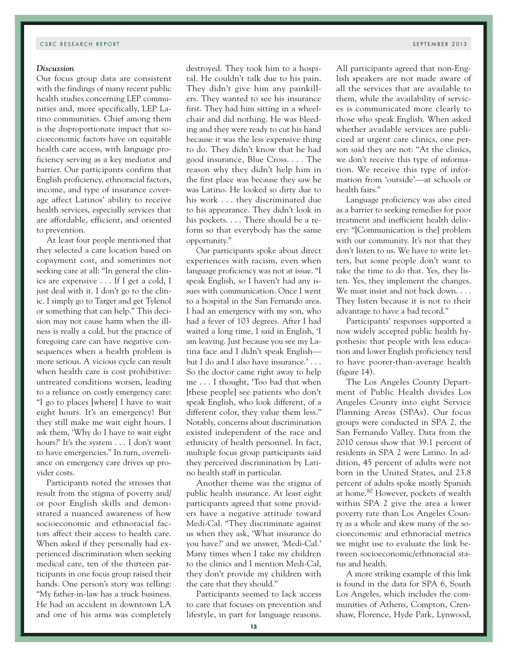# *Discussion*

Our focus group data are consistent with the findings of many recent public health studies concerning LEP communities and, more specifically, LEP Latino communities. Chief among them is the disproportionate impact that socioeconomic factors have on equitable health care access, with language proficiency serving as a key mediator and barrier. Our participants confirm that English proficiency, ethnoracial factors, income, and type of insurance coverage affect Latinos' ability to receive health services, especially services that are affordable, efficient, and oriented to prevention.

At least four people mentioned that they selected a care location based on copayment cost, and sometimes not seeking care at all: "In general the clinics are expensive . . . If I get a cold, I just deal with it. I don't go to the clinic. I simply go to Target and get Tylenol or something that can help." This decision may not cause harm when the illness is really a cold, but the practice of foregoing care can have negative consequences when a health problem is more serious. A vicious cycle can result when health care is cost prohibitive: untreated conditions worsen, leading to a reliance on costly emergency care: "I go to places [where] I have to wait eight hours. It's an emergency! But they still make me wait eight hours. I ask them, 'Why do I have to wait eight hours?' It's the system . . . I don't want to have emergencies." In turn, overreliance on emergency care drives up provider costs.

Participants noted the stresses that result from the stigma of poverty and/ or poor English skills and demonstrated a nuanced awareness of how socioeconomic and ethnoracial factors affect their access to health care. When asked if they personally had experienced discrimination when seeking medical care, ten of the thirteen participants in one focus group raised their hands. One person's story was telling: "My father-in-law has a truck business. He had an accident in downtown LA and one of his arms was completely

destroyed. They took him to a hospital. He couldn't talk due to his pain. They didn't give him any painkillers. They wanted to see his insurance first. They had him sitting in a wheelchair and did nothing. He was bleeding and they were ready to cut his hand because it was the less expensive thing to do. They didn't know that he had good insurance, Blue Cross. . . . The reason why they didn't help him in the first place was because they saw he was Latino. He looked so dirty due to his work . . . they discriminated due to his appearance. They didn't look in his pockets.... There should be a reform so that everybody has the same opportunity."

Our participants spoke about direct experiences with racism, even when language proficiency was not at issue. "I speak English, so I haven't had any issues with communication. Once I went to a hospital in the San Fernando area. I had an emergency with my son, who had a fever of 103 degrees. After I had waited a long time, I said in English, 'I am leaving. Just because you see my Latina face and I didn't speak English but I do and I also have insurance.' . . . So the doctor came right away to help me . . . I thought, 'Too bad that when [these people] see patients who don't speak English, who look different, of a different color, they value them less." Notably, concerns about discrimination existed independent of the race and ethnicity of health personnel. In fact, multiple focus group participants said they perceived discrimination by Latino health staff in particular.

Another theme was the stigma of public health insurance. At least eight participants agreed that some providers have a negative attitude toward Medi-Cal. "They discriminate against us when they ask, 'What insurance do you have?' and we answer, 'Medi-Cal.' Many times when I take my children to the clinics and I mention Medi-Cal, they don't provide my children with the care that they should."

Participants seemed to lack access to care that focuses on prevention and lifestyle, in part for language reasons.

All participants agreed that non-English speakers are not made aware of all the services that are available to them, while the availability of services is communicated more clearly to those who speak English. When asked whether available services are publicized at urgent care clinics, one person said they are not: "At the clinics, we don't receive this type of information. We receive this type of information from 'outside'—at schools or health fairs."

Language proficiency was also cited as a barrier to seeking remedies for poor treatment and inefficient health delivery: "[Communication is the] problem with our community. It's not that they don't listen to us. We have to write letters, but some people don't want to take the time to do that. Yes, they listen. Yes, they implement the changes. We must insist and not back down. . . . They listen because it is not to their advantage to have a bad record."

Participants' responses supported a now widely accepted public health hypothesis: that people with less education and lower English proficiency tend to have poorer-than-average health (figure 14).

The Los Angeles County Department of Public Health divides Los Angeles County into eight Service Planning Areas (SPAs). Our focus groups were conducted in SPA 2, the San Fernando Valley. Data from the 2010 census show that 39.1 percent of residents in SPA 2 were Latino. In addition, 45 percent of adults were not born in the United States, and 23.8 percent of adults spoke mostly Spanish at home.80 However, pockets of wealth within SPA 2 give the area a lower poverty rate than Los Angeles County as a whole and skew many of the socioeconomic and ethnoracial metrics we might use to evaluate the link between socioeconomic/ethnoracial status and health.

A more striking example of this link is found in the data for SPA 6, South Los Angeles, which includes the communities of Athens, Compton, Crenshaw, Florence, Hyde Park, Lynwood,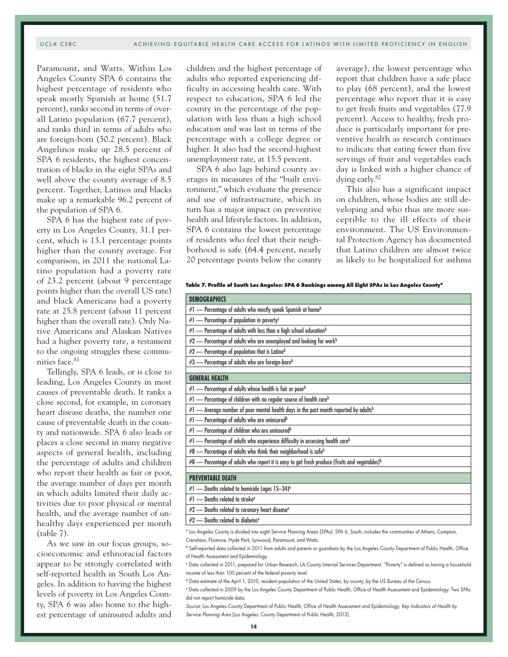Paramount, and Watts. Within Los Angeles County SPA 6 contains the highest percentage of residents who speak mostly Spanish at home (51.7 percent), ranks second in terms of overall Latino population (67.7 percent), and ranks third in terms of adults who are foreign-born (50.2 percent). Black Angelinos make up 28.5 percent of SPA 6 residents, the highest concentration of blacks in the eight SPAs and well above the county average of 8.5 percent. Together, Latinos and blacks make up a remarkable 96.2 percent of the population of SPA 6.

SPA 6 has the highest rate of poverty in Los Angeles County, 31.1 percent, which is 13.1 percentage points higher than the county average. For comparison, in 2011 the national Latino population had a poverty rate of 23.2 percent (about 9 percentage points higher than the overall US rate) and black Americans had a poverty rate at 25.8 percent (about 11 percent higher than the overall rate). Only Native Americans and Alaskan Natives had a higher poverty rate, a testament to the ongoing struggles these communities face.<sup>81</sup>

Tellingly, SPA 6 leads, or is close to leading, Los Angeles County in most causes of preventable death. It ranks a close second, for example, in coronary heart disease deaths, the number one cause of preventable death in the county and nationwide. SPA 6 also leads or places a close second in many negative aspects of general health, including the percentage of adults and children who report their health as fair or poor, the average number of days per month in which adults limited their daily activities due to poor physical or mental health, and the average number of unhealthy days experienced per month (table 7).

As we saw in our focus groups, socioeconomic and ethnoracial factors appear to be strongly correlated with self-reported health in South Los Angeles. In addition to having the highest levels of poverty in Los Angeles County, SPA 6 was also home to the highest percentage of uninsured adults and

children and the highest percentage of adults who reported experiencing difficulty in accessing health care. With respect to education, SPA 6 led the county in the percentage of the population with less than a high school education and was last in terms of the percentage with a college degree or higher. It also had the second-highest unemployment rate, at 15.5 percent.

SPA 6 also lags behind county averages in measures of the "built environment," which evaluate the presence and use of infrastructure, which in turn has a major impact on preventive health and lifestyle factors. In addition, SPA 6 contains the lowest percentage of residents who feel that their neighborhood is safe (64.4 percent, nearly 20 percentage points below the county

average), the lowest percentage who report that children have a safe place to play (68 percent), and the lowest percentage who report that it is easy to get fresh fruits and vegetables (77.9 percent). Access to healthy, fresh produce is particularly important for preventive health as research continues to indicate that eating fewer than five servings of fruit and vegetables each day is linked with a higher chance of dying early.82

This also has a significant impact on children, whose bodies are still developing and who thus are more susceptible to the ill effects of their environment. The US Environmental Protection Agency has documented that Latino children are almost twice as likely to be hospitalized for asthma

|  | Table 7. Profile of South Los Angeles: SPA 6 Rankings among All Eight SPAs in Los Angeles County <sup>a</sup> |
|--|---------------------------------------------------------------------------------------------------------------|
|  |                                                                                                               |

| <b>DEMOGRAPHICS</b>                                                                                                          |
|------------------------------------------------------------------------------------------------------------------------------|
| #1 - Percentage of adults who mostly speak Spanish at homeb                                                                  |
| #1 - Percentage of population in poverty <sup>c</sup>                                                                        |
| $#1$ - Percentage of adults with less than a high school education <sup>b</sup>                                              |
| $#2$ - Percentage of adults who are unemployed and looking for workb                                                         |
| #2 - Percentage of population that is Latinod                                                                                |
| #3 - Percentage of adults who are foreign-bornb                                                                              |
| <b>GENERAL HEALTH</b>                                                                                                        |
| $#1$ — Percentage of adults whose health is fair or poorb                                                                    |
| $#1$ - Percentage of children with no regular source of health careb                                                         |
| $#1$ — Average number of poor mental health days in the past month reported by adultsb                                       |
| #1 - Percentage of adults who are uninsured <sup>b</sup>                                                                     |
| #1 - Percentage of children who are uninsuredb                                                                               |
| $#1$ — Percentage of adults who experience difficulty in accessing health careb                                              |
| $#8$ — Percentage of adults who think their neighborhood is safeb                                                            |
| #8 - Percentage of adults who report it is easy to get fresh produce (fruits and vegetables) <sup>b</sup>                    |
| <b>PREVENTABLE DEATH</b>                                                                                                     |
| #1 - Deaths related to homicide (ages 15-34) <sup>e</sup>                                                                    |
| $#1$ - Deaths related to stroke <sup>e</sup>                                                                                 |
| #2 - Deaths related to coronary heart disease <sup>e</sup>                                                                   |
| $\#2$ - Deaths related to diabetes <sup>e</sup>                                                                              |
| Stockhooler Countrie divided into ojaht Semice Planning Areas (SDA), SDA 6, South includes the communities of Athons Compton |

Los Angeles County is divided into eight Service Planning Areas (SPAs). SPA 6, South, includes the communities of Athens, Compton Crenshaw, Florence, Hyde Park, Lynwood, Paramount, and Watts.

b Self-reported data collected in 2011 from adults and parents or guardians by the Los Angeles County Department of Public Health, Office of Health Assessment and Epidemiology.

c Data collected in 2011, prepared for Urban Research, LA County Internal Services Department. "Poverty" is defined as having a household income of less than 100 percent of the federal poverty level.

<sup>d</sup> Data estimate of the April 1, 2010, resident population of the United States, by county, by the US Bureau of the Census.

<sup>e</sup> Data collected in 2009 by the Los Angeles County Department of Public Health, Office of Health Assessment and Epidemiology. Two SPAs did not report homicide data.

Source: Los Angeles County Department of Public Health, Office of Health Assessment and Epidemiology, Key Indicators of Health by Service Planning Area (Los Angeles: County Department of Public Health, 2013).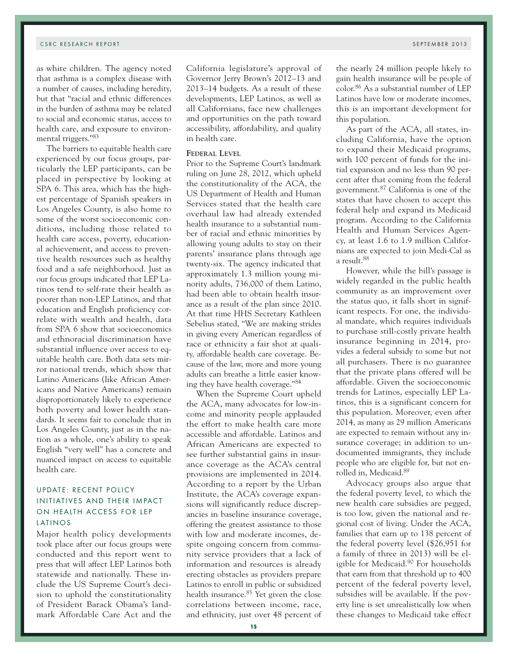as white children. The agency noted that asthma is a complex disease with a number of causes, including heredity, but that "racial and ethnic differences in the burden of asthma may be related to social and economic status, access to health care, and exposure to environmental triggers."83

The barriers to equitable health care experienced by our focus groups, particularly the LEP participants, can be placed in perspective by looking at SPA 6. This area, which has the highest percentage of Spanish speakers in Los Angeles County, is also home to some of the worst socioeconomic conditions, including those related to health care access, poverty, educational achievement, and access to preventive health resources such as healthy food and a safe neighborhood. Just as our focus groups indicated that LEP Latinos tend to self-rate their health as poorer than non-LEP Latinos, and that education and English proficiency correlate with wealth and health, data from SPA 6 show that socioeconomics and ethnoracial discrimination have substantial influence over access to equitable health care. Both data sets mirror national trends, which show that Latino Americans (like African Americans and Native Americans) remain disproportionately likely to experience both poverty and lower health standards. It seems fair to conclude that in Los Angeles County, just as in the nation as a whole, one's ability to speak English "very well" has a concrete and nuanced impact on access to equitable health care.

# UPDATE: RECENT POLICY INITIATIVES AND THEIR IMPACT ON HEALTH ACCESS FOR LEP LATINOS

Major health policy developments took place after our focus groups were conducted and this report went to press that will affect LEP Latinos both statewide and nationally. These include the US Supreme Court's decision to uphold the constitutionality of President Barack Obama's landmark Affordable Care Act and the

the nearly 24 million people likely to gain health insurance will be people of color.86 As a substantial number of LEP Latinos have low or moderate incomes, this is an important development for this population.

As part of the ACA, all states, including California, have the option to expand their Medicaid programs, with 100 percent of funds for the initial expansion and no less than 90 percent after that coming from the federal government.87 California is one of the states that have chosen to accept this federal help and expand its Medicaid program. According to the California Health and Human Services Agency, at least 1.6 to 1.9 million Californians are expected to join Medi-Cal as a result.88

However, while the bill's passage is widely regarded in the public health community as an improvement over the status quo, it falls short in significant respects. For one, the individual mandate, which requires individuals to purchase still-costly private health insurance beginning in 2014, provides a federal subsidy to some but not all purchasers. There is no guarantee that the private plans offered will be affordable. Given the socioeconomic trends for Latinos, especially LEP Latinos, this is a significant concern for this population. Moreover, even after 2014, as many as 29 million Americans are expected to remain without any insurance coverage; in addition to undocumented immigrants, they include people who are eligible for, but not enrolled in, Medicaid.89

Advocacy groups also argue that the federal poverty level, to which the new health care subsidies are pegged, is too low, given the national and regional cost of living. Under the ACA, families that earn up to 138 percent of the federal poverty level (\$26,951 for a family of three in 2013) will be eligible for Medicaid.90 For households that earn from that threshold up to 400 percent of the federal poverty level, subsidies will be available. If the poverty line is set unrealistically low when these changes to Medicaid take effect

California legislature's approval of Governor Jerry Brown's 2012–13 and 2013–14 budgets. As a result of these developments, LEP Latinos, as well as all Californians, face new challenges and opportunities on the path toward accessibility, affordability, and quality

Prior to the Supreme Court's landmark ruling on June 28, 2012, which upheld the constitutionality of the ACA, the US Department of Health and Human Services stated that the health care overhaul law had already extended health insurance to a substantial number of racial and ethnic minorities by allowing young adults to stay on their parents' insurance plans through age twenty-six. The agency indicated that approximately 1.3 million young minority adults, 736,000 of them Latino, had been able to obtain health insurance as a result of the plan since 2010. At that time HHS Secretary Kathleen Sebelius stated, "We are making strides in giving every American regardless of race or ethnicity a fair shot at quality, affordable health care coverage. Because of the law, more and more young adults can breathe a little easier knowing they have health coverage."84

When the Supreme Court upheld the ACA, many advocates for low-income and minority people applauded the effort to make health care more accessible and affordable. Latinos and African Americans are expected to see further substantial gains in insurance coverage as the ACA's central provisions are implemented in 2014. According to a report by the Urban Institute, the ACA's coverage expansions will significantly reduce discrepancies in baseline insurance coverage, offering the greatest assistance to those with low and moderate incomes, despite ongoing concern from community service providers that a lack of information and resources is already erecting obstacles as providers prepare Latinos to enroll in public or subsidized health insurance.<sup>85</sup> Yet given the close correlations between income, race,

in health care. **Federal Level**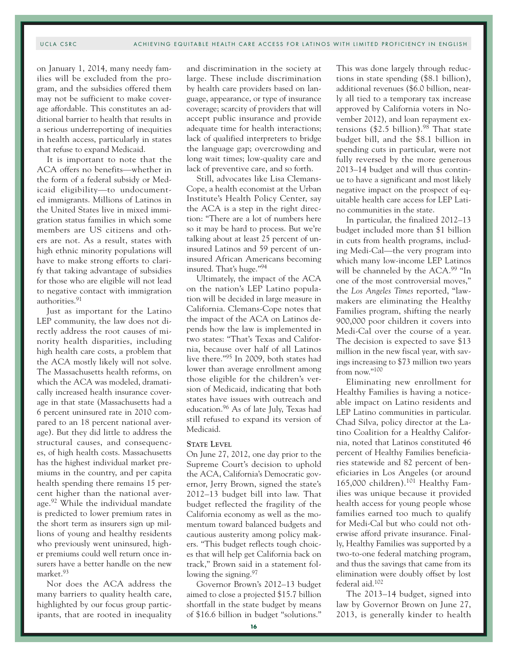on January 1, 2014, many needy families will be excluded from the program, and the subsidies offered them may not be sufficient to make coverage affordable. This constitutes an additional barrier to health that results in a serious underreporting of inequities in health access, particularly in states that refuse to expand Medicaid.

It is important to note that the ACA offers no benefits—whether in the form of a federal subsidy or Medicaid eligibility—to undocumented immigrants. Millions of Latinos in the United States live in mixed immigration status families in which some members are US citizens and others are not. As a result, states with high ethnic minority populations will have to make strong efforts to clarify that taking advantage of subsidies for those who are eligible will not lead to negative contact with immigration authorities.91

Just as important for the Latino LEP community, the law does not directly address the root causes of minority health disparities, including high health care costs, a problem that the ACA mostly likely will not solve. The Massachusetts health reforms, on which the ACA was modeled, dramatically increased health insurance coverage in that state (Massachusetts had a 6 percent uninsured rate in 2010 compared to an 18 percent national average). But they did little to address the structural causes, and consequences, of high health costs. Massachusetts has the highest individual market premiums in the country, and per capita health spending there remains 15 percent higher than the national average.92 While the individual mandate is predicted to lower premium rates in the short term as insurers sign up millions of young and healthy residents who previously went uninsured, higher premiums could well return once insurers have a better handle on the new market.93

Nor does the ACA address the many barriers to quality health care, highlighted by our focus group participants, that are rooted in inequality

and discrimination in the society at large. These include discrimination by health care providers based on language, appearance, or type of insurance coverage; scarcity of providers that will accept public insurance and provide adequate time for health interactions; lack of qualified interpreters to bridge the language gap; overcrowding and long wait times; low-quality care and lack of preventive care, and so forth.

Still, advocates like Lisa Clemans-Cope, a health economist at the Urban Institute's Health Policy Center, say the ACA is a step in the right direction: "There are a lot of numbers here so it may be hard to process. But we're talking about at least 25 percent of uninsured Latinos and 59 percent of uninsured African Americans becoming insured. That's huge."94

Ultimately, the impact of the ACA on the nation's LEP Latino population will be decided in large measure in California. Clemans-Cope notes that the impact of the ACA on Latinos depends how the law is implemented in two states: "That's Texas and California, because over half of all Latinos live there."95 In 2009, both states had lower than average enrollment among those eligible for the children's version of Medicaid, indicating that both states have issues with outreach and education.96 As of late July, Texas had still refused to expand its version of Medicaid.

#### **STATE** LEVEL

On June 27, 2012, one day prior to the Supreme Court's decision to uphold the ACA, California's Democratic governor, Jerry Brown, signed the state's 2012–13 budget bill into law. That budget reflected the fragility of the California economy as well as the momentum toward balanced budgets and cautious austerity among policy makers. "This budget reflects tough choices that will help get California back on track," Brown said in a statement following the signing.<sup>97</sup>

Governor Brown's 2012–13 budget aimed to close a projected \$15.7 billion shortfall in the state budget by means of \$16.6 billion in budget "solutions."

This was done largely through reductions in state spending (\$8.1 billion), additional revenues (\$6.0 billion, nearly all tied to a temporary tax increase approved by California voters in November 2012), and loan repayment extensions  $(\$2.5\ billion).$ <sup>98</sup> That state budget bill, and the \$8.1 billion in spending cuts in particular, were not fully reversed by the more generous 2013–14 budget and will thus continue to have a significant and most likely negative impact on the prospect of equitable health care access for LEP Latino communities in the state.

In particular, the finalized 2012–13 budget included more than \$1 billion in cuts from health programs, including Medi-Cal—the very program into which many low-income LEP Latinos will be channeled by the ACA.<sup>99</sup> "In one of the most controversial moves," the *Los Angeles Times* reported, "lawmakers are eliminating the Healthy Families program, shifting the nearly 900,000 poor children it covers into Medi-Cal over the course of a year. The decision is expected to save \$13 million in the new fiscal year, with savings increasing to \$73 million two years from now."100

Eliminating new enrollment for Healthy Families is having a noticeable impact on Latino residents and LEP Latino communities in particular. Chad Silva, policy director at the Latino Coalition for a Healthy California, noted that Latinos constituted 46 percent of Healthy Families beneficiaries statewide and 82 percent of beneficiaries in Los Angeles (or around 165,000 children).101 Healthy Families was unique because it provided health access for young people whose families earned too much to qualify for Medi-Cal but who could not otherwise afford private insurance. Finally, Healthy Families was supported by a two-to-one federal matching program, and thus the savings that came from its elimination were doubly offset by lost federal aid.102

The 2013–14 budget, signed into law by Governor Brown on June 27, 2013, is generally kinder to health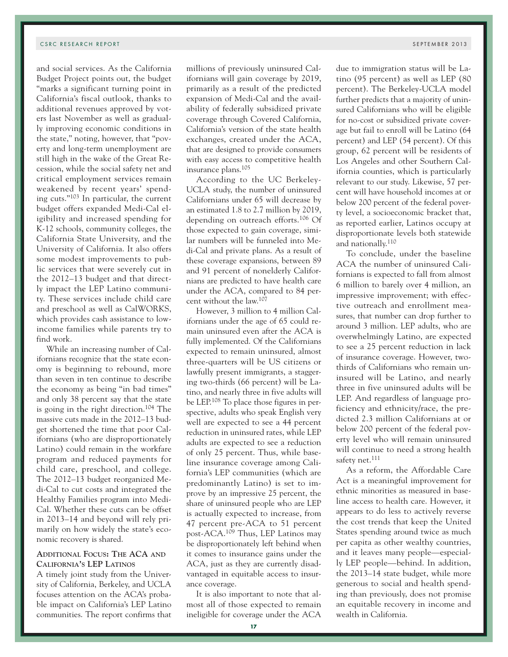and social services. As the California Budget Project points out, the budget "marks a significant turning point in California's fiscal outlook, thanks to additional revenues approved by voters last November as well as gradually improving economic conditions in the state," noting, however, that "poverty and long-term unemployment are still high in the wake of the Great Recession, while the social safety net and critical employment services remain weakened by recent years' spending cuts."103 In particular, the current budget offers expanded Medi-Cal eligibility and increased spending for K-12 schools, community colleges, the California State University, and the University of California. It also offers some modest improvements to public services that were severely cut in the 2012–13 budget and that directly impact the LEP Latino community. These services include child care and preschool as well as CalWORKS, which provides cash assistance to lowincome families while parents try to find work.

While an increasing number of Californians recognize that the state economy is beginning to rebound, more than seven in ten continue to describe the economy as being "in bad times" and only 38 percent say that the state is going in the right direction.<sup>104</sup> The massive cuts made in the 2012–13 budget shortened the time that poor Californians (who are disproportionately Latino) could remain in the workfare program and reduced payments for child care, preschool, and college. The 2012–13 budget reorganized Medi-Cal to cut costs and integrated the Healthy Families program into Medi-Cal. Whether these cuts can be offset in 2013–14 and beyond will rely primarily on how widely the state's economic recovery is shared.

# **Additional Focus: The ACA and California's LEP Latinos**

A timely joint study from the University of California, Berkeley, and UCLA focuses attention on the ACA's probable impact on California's LEP Latino communities. The report confirms that millions of previously uninsured Californians will gain coverage by 2019, primarily as a result of the predicted expansion of Medi-Cal and the availability of federally subsidized private coverage through Covered California, California's version of the state health exchanges, created under the ACA, that are designed to provide consumers with easy access to competitive health insurance plans.105

According to the UC Berkeley-UCLA study, the number of uninsured Californians under 65 will decrease by an estimated 1.8 to 2.7 million by 2019, depending on outreach efforts.106 Of those expected to gain coverage, similar numbers will be funneled into Medi-Cal and private plans. As a result of these coverage expansions, between 89 and 91 percent of nonelderly Californians are predicted to have health care under the ACA, compared to 84 percent without the law.107

However, 3 million to 4 million Californians under the age of 65 could remain uninsured even after the ACA is fully implemented. Of the Californians expected to remain uninsured, almost three-quarters will be US citizens or lawfully present immigrants, a staggering two-thirds (66 percent) will be Latino, and nearly three in five adults will be LEP.108 To place those figures in perspective, adults who speak English very well are expected to see a 44 percent reduction in uninsured rates, while LEP adults are expected to see a reduction of only 25 percent. Thus, while baseline insurance coverage among California's LEP communities (which are predominantly Latino) is set to improve by an impressive 25 percent, the share of uninsured people who are LEP is actually expected to increase, from 47 percent pre-ACA to 51 percent post-ACA.109 Thus, LEP Latinos may be disproportionately left behind when it comes to insurance gains under the ACA, just as they are currently disadvantaged in equitable access to insurance coverage.

It is also important to note that almost all of those expected to remain ineligible for coverage under the ACA due to immigration status will be Latino (95 percent) as well as LEP (80 percent). The Berkeley-UCLA model further predicts that a majority of uninsured Californians who will be eligible for no-cost or subsidized private coverage but fail to enroll will be Latino (64 percent) and LEP (54 percent). Of this group, 62 percent will be residents of Los Angeles and other Southern California counties, which is particularly relevant to our study. Likewise, 57 percent will have household incomes at or below 200 percent of the federal poverty level, a socioeconomic bracket that, as reported earlier, Latinos occupy at disproportionate levels both statewide and nationally.110

To conclude, under the baseline ACA the number of uninsured Californians is expected to fall from almost 6 million to barely over 4 million, an impressive improvement; with effective outreach and enrollment measures, that number can drop further to around 3 million. LEP adults, who are overwhelmingly Latino, are expected to see a 25 percent reduction in lack of insurance coverage. However, twothirds of Californians who remain uninsured will be Latino, and nearly three in five uninsured adults will be LEP. And regardless of language proficiency and ethnicity/race, the predicted 2.3 million Californians at or below 200 percent of the federal poverty level who will remain uninsured will continue to need a strong health safety net.<sup>111</sup>

As a reform, the Affordable Care Act is a meaningful improvement for ethnic minorities as measured in baseline access to health care. However, it appears to do less to actively reverse the cost trends that keep the United States spending around twice as much per capita as other wealthy countries, and it leaves many people—especially LEP people—behind. In addition, the 2013–14 state budget, while more generous to social and health spending than previously, does not promise an equitable recovery in income and wealth in California.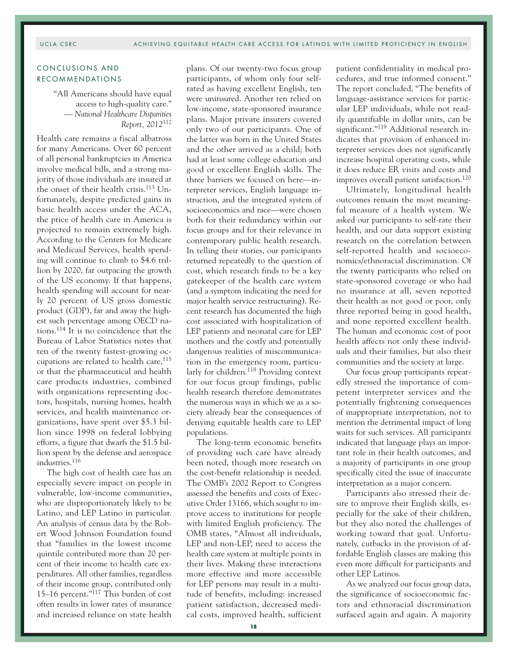# CONCLUSIONS AND RECOMMENDATIONS

"All Americans should have equal access to high-quality care." — *National Healthcare Disparities Report, 2012*<sup>112</sup>

Health care remains a fiscal albatross for many Americans. Over 60 percent of all personal bankruptcies in America involve medical bills, and a strong majority of those individuals are insured at the onset of their health crisis.<sup>113</sup> Unfortunately, despite predicted gains in basic health access under the ACA, the price of health care in America is projected to remain extremely high. According to the Centers for Medicare and Medicaid Services, health spending will continue to climb to \$4.6 trillion by 2020, far outpacing the growth of the US economy. If that happens, health spending will account for nearly 20 percent of US gross domestic product (GDP), far and away the highest such percentage among OECD nations.114 It is no coincidence that the Bureau of Labor Statistics notes that ten of the twenty fastest-growing occupations are related to health care,  $115$ or that the pharmaceutical and health care products industries, combined with organizations representing doctors, hospitals, nursing homes, health services, and health maintenance organizations, have spent over \$5.3 billion since 1998 on federal lobbying efforts, a figure that dwarfs the \$1.5 billion spent by the defense and aerospace industries.116

The high cost of health care has an especially severe impact on people in vulnerable, low-income communities, who are disproportionately likely to be Latino, and LEP Latino in particular. An analysis of census data by the Robert Wood Johnson Foundation found that "families in the lowest income quintile contributed more than 20 percent of their income to health care expenditures. All other families, regardless of their income group, contributed only 15–16 percent."117 This burden of cost often results in lower rates of insurance and increased reliance on state health

plans. Of our twenty-two focus group participants, of whom only four selfrated as having excellent English, ten were uninsured. Another ten relied on low-income, state-sponsored insurance plans. Major private insurers covered only two of our participants. One of the latter was born in the United States and the other arrived as a child; both had at least some college education and good or excellent English skills. The three barriers we focused on here—interpreter services, English language instruction, and the integrated system of socioeconomics and race—were chosen both for their redundancy within our focus groups and for their relevance in contemporary public health research. In telling their stories, our participants returned repeatedly to the question of cost, which research finds to be a key gatekeeper of the health care system (and a symptom indicating the need for major health service restructuring). Recent research has documented the high cost associated with hospitalization of LEP patients and neonatal care for LEP mothers and the costly and potentially dangerous realities of miscommunication in the emergency room, particularly for children.118 Providing context for our focus group findings, public health research therefore demonstrates the numerous ways in which we as a society already bear the consequences of denying equitable health care to LEP populations.

The long-term economic benefits of providing such care have already been noted, though more research on the cost-benefit relationship is needed. The OMB's 2002 Report to Congress assessed the benefits and costs of Executive Order 13166, which sought to improve access to institutions for people with limited English proficiency. The OMB states, "Almost all individuals, LEP and non-LEP, need to access the health care system at multiple points in their lives. Making these interactions more effective and more accessible for LEP persons may result in a multitude of benefits, including: increased patient satisfaction, decreased medical costs, improved health, sufficient

patient confidentiality in medical procedures, and true informed consent." The report concluded, "The benefits of language-assistance services for particular LEP individuals, while not readily quantifiable in dollar units, can be significant."119 Additional research indicates that provision of enhanced interpreter services does not significantly increase hospital operating costs, while it does reduce ER visits and costs and improves overall patient satisfaction.120

Ultimately, longitudinal health outcomes remain the most meaningful measure of a health system. We asked our participants to self-rate their health, and our data support existing research on the correlation between self-reported health and socioeconomics/ethnoracial discrimination. Of the twenty participants who relied on state-sponsored coverage or who had no insurance at all, seven reported their health as not good or poor, only three reported being in good health, and none reported excellent health. The human and economic cost of poor health affects not only these individuals and their families, but also their communities and the society at large.

Our focus group participants repeatedly stressed the importance of competent interpreter services and the potentially frightening consequences of inappropriate interpretation, not to mention the detrimental impact of long waits for such services. All participants indicated that language plays an important role in their health outcomes, and a majority of participants in one group specifically cited the issue of inaccurate interpretation as a major concern.

Participants also stressed their desire to improve their English skills, especially for the sake of their children, but they also noted the challenges of working toward that goal. Unfortunately, cutbacks in the provision of affordable English classes are making this even more difficult for participants and other LEP Latinos.

As we analyzed our focus group data, the significance of socioeconomic factors and ethnoracial discrimination surfaced again and again. A majority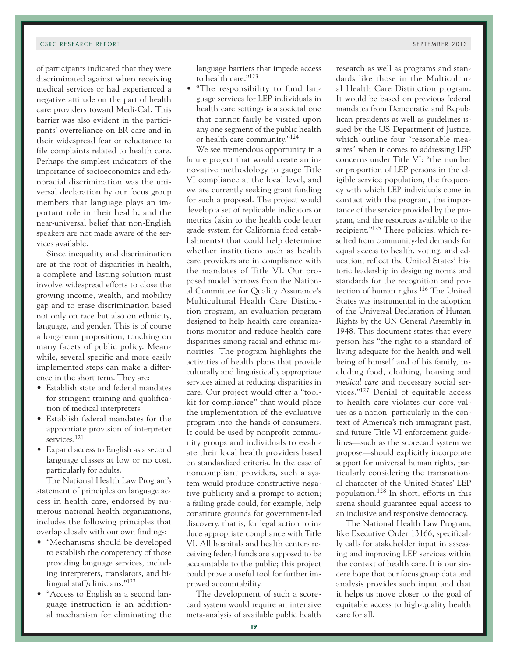of participants indicated that they were discriminated against when receiving medical services or had experienced a negative attitude on the part of health care providers toward Medi-Cal. This barrier was also evident in the participants' overreliance on ER care and in their widespread fear or reluctance to file complaints related to health care. Perhaps the simplest indicators of the importance of socioeconomics and ethnoracial discrimination was the universal declaration by our focus group members that language plays an important role in their health, and the near-universal belief that non-English speakers are not made aware of the services available.

Since inequality and discrimination are at the root of disparities in health, a complete and lasting solution must involve widespread efforts to close the growing income, wealth, and mobility gap and to erase discrimination based not only on race but also on ethnicity, language, and gender. This is of course a long-term proposition, touching on many facets of public policy. Meanwhile, several specific and more easily implemented steps can make a difference in the short term. They are:

- Establish state and federal mandates for stringent training and qualification of medical interpreters.
- Establish federal mandates for the appropriate provision of interpreter services.<sup>121</sup>
- Expand access to English as a second language classes at low or no cost, particularly for adults.

The National Health Law Program's statement of principles on language access in health care, endorsed by numerous national health organizations, includes the following principles that overlap closely with our own findings:

- "Mechanisms should be developed to establish the competency of those providing language services, including interpreters, translators, and bilingual staff/clinicians."122
- "Access to English as a second language instruction is an additional mechanism for eliminating the

language barriers that impede access to health care."123

• "The responsibility to fund language services for LEP individuals in health care settings is a societal one that cannot fairly be visited upon any one segment of the public health or health care community."124

We see tremendous opportunity in a future project that would create an innovative methodology to gauge Title VI compliance at the local level, and we are currently seeking grant funding for such a proposal. The project would develop a set of replicable indicators or metrics (akin to the health code letter grade system for California food establishments) that could help determine whether institutions such as health care providers are in compliance with the mandates of Title VI. Our proposed model borrows from the National Committee for Quality Assurance's Multicultural Health Care Distinction program, an evaluation program designed to help health care organizations monitor and reduce health care disparities among racial and ethnic minorities. The program highlights the activities of health plans that provide culturally and linguistically appropriate services aimed at reducing disparities in care. Our project would offer a "toolkit for compliance" that would place the implementation of the evaluative program into the hands of consumers. It could be used by nonprofit community groups and individuals to evaluate their local health providers based on standardized criteria. In the case of noncompliant providers, such a system would produce constructive negative publicity and a prompt to action; a failing grade could, for example, help constitute grounds for government-led discovery, that is, for legal action to induce appropriate compliance with Title VI. All hospitals and health centers receiving federal funds are supposed to be accountable to the public; this project could prove a useful tool for further improved accountability.

The development of such a scorecard system would require an intensive meta-analysis of available public health

research as well as programs and standards like those in the Multicultural Health Care Distinction program. It would be based on previous federal mandates from Democratic and Republican presidents as well as guidelines issued by the US Department of Justice, which outline four "reasonable measures" when it comes to addressing LEP concerns under Title VI: "the number or proportion of LEP persons in the eligible service population, the frequency with which LEP individuals come in contact with the program, the importance of the service provided by the program, and the resources available to the recipient."125 These policies, which resulted from community-led demands for equal access to health, voting, and education, reflect the United States' historic leadership in designing norms and standards for the recognition and protection of human rights.126 The United States was instrumental in the adoption of the Universal Declaration of Human Rights by the UN General Assembly in 1948. This document states that every person has "the right to a standard of living adequate for the health and well being of himself and of his family, including food, clothing, housing and *medical care* and necessary social services."127 Denial of equitable access to health care violates our core values as a nation, particularly in the context of America's rich immigrant past, and future Title VI enforcement guidelines—such as the scorecard system we propose—should explicitly incorporate support for universal human rights, particularly considering the transnational character of the United States' LEP population.128 In short, efforts in this arena should guarantee equal access to an inclusive and responsive democracy.

The National Health Law Program, like Executive Order 13166, specifically calls for stakeholder input in assessing and improving LEP services within the context of health care. It is our sincere hope that our focus group data and analysis provides such input and that it helps us move closer to the goal of equitable access to high-quality health care for all.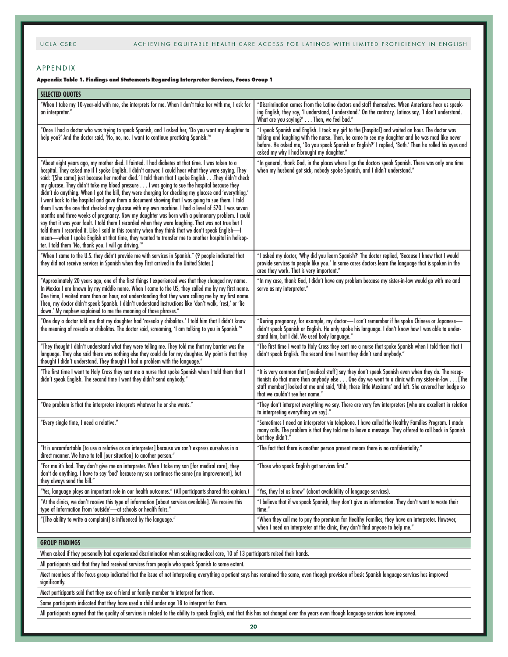#### APPENDIX

#### **Appendix Table 1. Findings and Statements Regarding Interpreter Services, Focus Group 1**

| <b>SELECTED QUOTES</b>                                                                                                                                                                                                                                                                                                                                                                                                                                                                                                                                                                                                                                                                                                                                                                                                                                                                                                                                                                                                                                                                                                                                                                                           |                                                                                                                                                                                                                                                                                                                                                            |
|------------------------------------------------------------------------------------------------------------------------------------------------------------------------------------------------------------------------------------------------------------------------------------------------------------------------------------------------------------------------------------------------------------------------------------------------------------------------------------------------------------------------------------------------------------------------------------------------------------------------------------------------------------------------------------------------------------------------------------------------------------------------------------------------------------------------------------------------------------------------------------------------------------------------------------------------------------------------------------------------------------------------------------------------------------------------------------------------------------------------------------------------------------------------------------------------------------------|------------------------------------------------------------------------------------------------------------------------------------------------------------------------------------------------------------------------------------------------------------------------------------------------------------------------------------------------------------|
| "When I take my 10-year-old with me, she interprets for me. When I don't take her with me, I ask for<br>an interpreter."                                                                                                                                                                                                                                                                                                                                                                                                                                                                                                                                                                                                                                                                                                                                                                                                                                                                                                                                                                                                                                                                                         | "Discrimination comes from the Latino doctors and staff themselves. When Americans hear us speak-<br>ing English, they say, 'I understand, I understand.' On the contrary, Latinos say, 'I don't understand.<br>What are you saying?' Then, we feel bad."                                                                                                  |
| "Once I had a doctor who was trying to speak Spanish, and I asked her, 'Do you want my daughter to<br>help you?' And the doctor said, 'No, no, no. I want to continue practicing Spanish.'"                                                                                                                                                                                                                                                                                                                                                                                                                                                                                                                                                                                                                                                                                                                                                                                                                                                                                                                                                                                                                      | "I speak Spanish and English. I took my girl to the [hospital] and waited an hour. The doctor was<br>talking and laughing with the nurse. Then, he came to see my daughter and he was mad like never<br>before. He asked me, 'Do you speak Spanish or English?' I replied, 'Both.' Then he rolled his eyes and<br>asked my why I had brought my daughter." |
| "About eight years ago, my mother died. I fainted. I had diabetes at that time. I was taken to a<br>hospital. They asked me if I spoke English. I didn't answer. I could hear what they were saying. They<br>said: '[She came] just because her mother died.' I told them that I spoke EnglishThey didn't check<br>my glucose. They didn't take my blood pressure I was going to sue the hospital because they<br>didn't do anything. When I got the bill, they were charging for checking my glucose and 'everything.'<br>I went back to the hospital and gave them a document showing that I was going to sue them. I told<br>them I was the one that checked my glucose with my own machine. I had a level of 570. I was seven<br>months and three weeks of pregnancy. Now my daughter was born with a pulmonary problem. I could<br>say that it was your fault. I told them I recorded when they were laughing. That was not true but I<br>told them I recorded it. Like I said in this country when they think that we don't speak English-I<br>mean—when I spoke English at that time, they wanted to transfer me to another hospital in helicop-<br>ter. I told them 'No, thank you. I will go driving.'" | "In general, thank God, in the places where I go the doctors speak Spanish. There was only one time<br>when my husband got sick, nobody spoke Spanish, and I didn't understand."                                                                                                                                                                           |
| "When I came to the U.S. they didn't provide me with services in Spanish." (9 people indicated that<br>they did not receive services in Spanish when they first arrived in the United States.)                                                                                                                                                                                                                                                                                                                                                                                                                                                                                                                                                                                                                                                                                                                                                                                                                                                                                                                                                                                                                   | "I asked my doctor, 'Why did you learn Spanish?' The doctor replied, 'Because I knew that I would<br>provide services to people like you.' In some cases doctors learn the language that is spoken in the<br>area they work. That is very important."                                                                                                      |
| "Approximately 20 years ago, one of the first things I experienced was that they changed my name.<br>In Mexico I am known by my middle name. When I came to the US, they called me by my first name.<br>One time, I waited more than an hour, not understanding that they were calling me by my first name.<br>Then, my doctor didn't speak Spanish. I didn't understand instructions like 'don't walk, 'rest,' or 'lie<br>down.' My nephew explained to me the meaning of those phrases."                                                                                                                                                                                                                                                                                                                                                                                                                                                                                                                                                                                                                                                                                                                       | "In my case, thank God, I didn't have any problem because my sister-in-law would go with me and<br>serve as my interpreter."                                                                                                                                                                                                                               |
| "One day a doctor told me that my daughter had 'roseola y chibolitas.' I told him that I didn't know<br>the meaning of roseola or chibolitas. The doctor said, screaming, 'I am talking to you in Spanish.'"                                                                                                                                                                                                                                                                                                                                                                                                                                                                                                                                                                                                                                                                                                                                                                                                                                                                                                                                                                                                     | "During pregnancy, for example, my doctor-I can't remember if he spoke Chinese or Japanese-<br>didn't speak Spanish or English. He only spoke his language. I don't know how I was able to under-<br>stand him, but I did. We used body language."                                                                                                         |
| "They thought I didn't understand what they were telling me. They told me that my barrier was the<br>language. They also said there was nothing else they could do for my daughter. My point is that they<br>thought I didn't understand. They thought I had a problem with the language."                                                                                                                                                                                                                                                                                                                                                                                                                                                                                                                                                                                                                                                                                                                                                                                                                                                                                                                       | "The first time I went to Holy Cross they sent me a nurse that spoke Spanish when I told them that I<br>didn't speak English. The second time I went they didn't send anybody."                                                                                                                                                                            |
| "The first time I went to Holy Cross they sent me a nurse that spoke Spanish when I told them that I<br>didn't speak English. The second time I went they didn't send anybody."                                                                                                                                                                                                                                                                                                                                                                                                                                                                                                                                                                                                                                                                                                                                                                                                                                                                                                                                                                                                                                  | "It is very common that [medical staff] say they don't speak Spanish even when they do. The recep-<br>tionists do that more than anybody else One day we went to a clinic with my sister-in-law [The<br>staff member] looked at me and said, 'Uhh, these little Mexicans' and left. She covered her badge so<br>that we couldn't see her name."            |
| "One problem is that the interpreter interprets whatever he or she wants."                                                                                                                                                                                                                                                                                                                                                                                                                                                                                                                                                                                                                                                                                                                                                                                                                                                                                                                                                                                                                                                                                                                                       | "They don't interpret everything we say. There are very few interpreters [who are excellent in relation<br>to interpreting everything we say]."                                                                                                                                                                                                            |
| "Every single time, I need a relative."                                                                                                                                                                                                                                                                                                                                                                                                                                                                                                                                                                                                                                                                                                                                                                                                                                                                                                                                                                                                                                                                                                                                                                          | "Sometimes I need an interpreter via telephone. I have called the Healthy Families Program. I made<br>many calls. The problem is that they told me to leave a message. They offered to call back in Spanish<br>but they didn't."                                                                                                                           |
| "It is uncomfortable [to use a relative as an interpreter] because we can't express ourselves in a<br>direct manner. We have to tell [our situation] to another person."                                                                                                                                                                                                                                                                                                                                                                                                                                                                                                                                                                                                                                                                                                                                                                                                                                                                                                                                                                                                                                         | "The fact that there is another person present means there is no confidentiality."                                                                                                                                                                                                                                                                         |
| "For me it's bad. They don't give me an interpreter. When I take my son [for medical care], they<br>don't do anything. I have to say 'bad' because my son continues the same [no improvement], but<br>they always send the bill."                                                                                                                                                                                                                                                                                                                                                                                                                                                                                                                                                                                                                                                                                                                                                                                                                                                                                                                                                                                | "Those who speak English get services first."                                                                                                                                                                                                                                                                                                              |
| "Yes, language plays an important role in our health outcomes." (All participants shared this opinion.)                                                                                                                                                                                                                                                                                                                                                                                                                                                                                                                                                                                                                                                                                                                                                                                                                                                                                                                                                                                                                                                                                                          | "Yes, they let us know" (about availability of language services).                                                                                                                                                                                                                                                                                         |
| "At the clinics, we don't receive this type of information [about services available]. We receive this<br>type of information from 'outside'—at schools or health fairs."                                                                                                                                                                                                                                                                                                                                                                                                                                                                                                                                                                                                                                                                                                                                                                                                                                                                                                                                                                                                                                        | "I believe that if we speak Spanish, they don't give us information. They don't want to waste their<br>time."                                                                                                                                                                                                                                              |
| "[The ability to write a complaint] is influenced by the language."                                                                                                                                                                                                                                                                                                                                                                                                                                                                                                                                                                                                                                                                                                                                                                                                                                                                                                                                                                                                                                                                                                                                              | "When they call me to pay the premium for Healthy Families, they have an interpreter. However,<br>when I need an interpreter at the clinic, they don't find anyone to help me."                                                                                                                                                                            |

# **GROUP FINDINGS**

When asked if they personally had experienced discrimination when seeking medical care, 10 of 13 participants raised their hands.

All participants said that they had received services from people who speak Spanish to some extent.

Most members of the focus group indicated that the issue of not interpreting everything a patient says has remained the same, even though provision of basic Spanish language services has improved significantly.

Most participants said that they use a friend or family member to interpret for them.

Some participants indicated that they have used a child under age 18 to interpret for them.

All participants agreed that the quality of services is related to the ability to speak English, and that this has not changed over the years even though language services have improved.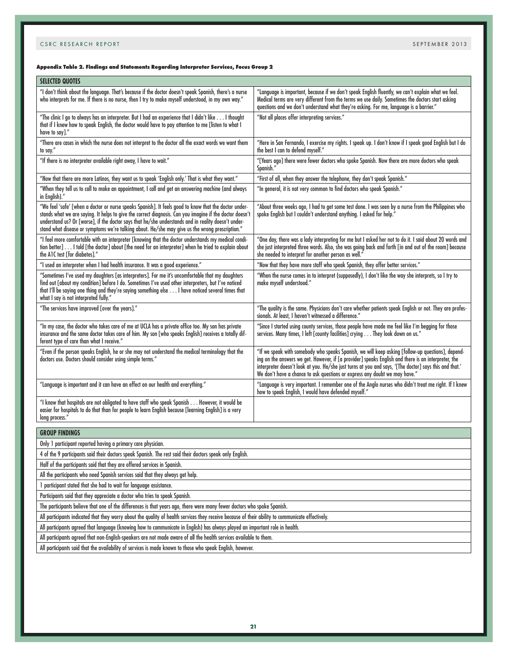# **Appendix Table 2. Findings and Statements Regarding Interpreter Services, Focus Group 2**

| <b>SELECTED QUOTES</b>                                                                                                                                                                                                                                                                                                                                                                                                      |                                                                                                                                                                                                                                                                                                                                                                                                  |  |
|-----------------------------------------------------------------------------------------------------------------------------------------------------------------------------------------------------------------------------------------------------------------------------------------------------------------------------------------------------------------------------------------------------------------------------|--------------------------------------------------------------------------------------------------------------------------------------------------------------------------------------------------------------------------------------------------------------------------------------------------------------------------------------------------------------------------------------------------|--|
| "I don't think about the language. That's because if the doctor doesn't speak Spanish, there's a nurse<br>"who interprets for me. If there is no nurse, then I try to make myself understood, in my own way.                                                                                                                                                                                                                | "Language is important, because if we don't speak English fluently, we can't explain what we feel.<br>Medical terms are very different from the terms we use daily. Sometimes the doctors start asking<br>questions and we don't understand what they're asking. For me, language is a barrier."                                                                                                 |  |
| "The clinic I go to always has an interpreter. But I had an experience that I didn't like I thought<br>that if I knew how to speak English, the doctor would have to pay attention to me [listen to what I<br>have to say]."                                                                                                                                                                                                | "Not all places offer interpreting services."                                                                                                                                                                                                                                                                                                                                                    |  |
| "There are cases in which the nurse does not interpret to the doctor all the exact words we want them<br>to say."                                                                                                                                                                                                                                                                                                           | "Here in San Fernando, I exercise my rights. I speak up. I don't know if I speak good English but I do<br>the best I can to defend myself."                                                                                                                                                                                                                                                      |  |
| "If there is no interpreter available right away, I have to wait."                                                                                                                                                                                                                                                                                                                                                          | "[Years ago] there were fewer doctors who spoke Spanish. Now there are more doctors who speak<br>Spanish."                                                                                                                                                                                                                                                                                       |  |
| "Now that there are more Latinos, they want us to speak 'English only.' That is what they want."                                                                                                                                                                                                                                                                                                                            | "First of all, when they answer the telephone, they don't speak Spanish."                                                                                                                                                                                                                                                                                                                        |  |
| "When they tell us to call to make an appointment, I call and get an answering machine (and always<br>in English)."                                                                                                                                                                                                                                                                                                         | "In general, it is not very common to find doctors who speak Spanish."                                                                                                                                                                                                                                                                                                                           |  |
| "We feel 'safe' [when a doctor or nurse speaks Spanish]. It feels good to know that the doctor under-<br>stands what we are saying. It helps to give the correct diagnosis. Can you imagine if the doctor doesn't<br>understand us? Or [worse], if the doctor says that he/she understands and in reality doesn't under-<br>stand what disease or symptoms we're talking about. He/she may give us the wrong prescription." | "About three weeks ago, I had to get some test done. I was seen by a nurse from the Philippines who<br>spoke English but I couldn't understand anything. I asked for help."                                                                                                                                                                                                                      |  |
| "I feel more comfortable with an interpreter [knowing that the doctor understands my medical condi-<br>tion better] I told [the doctor] about [the need for an interpreter] when he tried to explain about<br>the A1C test [for diabetes]."                                                                                                                                                                                 | "One day, there was a lady interpreting for me but I asked her not to do it. I said about 20 words and<br>she just interpreted three words. Also, she was going back and forth [in and out of the room] because<br>she needed to interpret for another person as well."                                                                                                                          |  |
| "I used an interpreter when I had health insurance. It was a good experience."                                                                                                                                                                                                                                                                                                                                              | "Now that they have more staff who speak Spanish, they offer better services."                                                                                                                                                                                                                                                                                                                   |  |
| "Sometimes I've used my daughters [as interpreters]. For me it's uncomfortable that my daughters<br>find out [about my condition] before I do. Sometimes I've used other interpreters, but I've noticed<br>that I'll be saying one thing and they're saying something else I have noticed several times that<br>what I say is not interpreted fully."                                                                       | "When the nurse comes in to interpret (supposedly), I don't like the way she interprets, so I try to<br>make myself understood."                                                                                                                                                                                                                                                                 |  |
| "The services have improved [over the years]."                                                                                                                                                                                                                                                                                                                                                                              | "The quality is the same. Physicians don't care whether patients speak English or not. They are profes-<br>sionals. At least, I haven't witnessed a difference."                                                                                                                                                                                                                                 |  |
| "In my case, the doctor who takes care of me at UCLA has a private office too. My son has private<br>insurance and the same doctor takes care of him. My son [who speaks English] receives a totally dif-<br>ferent type of care than what I receive."                                                                                                                                                                      | "Since I started using county services, those people have made me feel like I'm begging for those<br>services. Many times, I left [county facilities] crying They look down on us."                                                                                                                                                                                                              |  |
| "Even if the person speaks English, he or she may not understand the medical terminology that the<br>doctors use. Doctors should consider using simple terms."                                                                                                                                                                                                                                                              | "If we speak with somebody who speaks Spanish, we will keep asking [follow-up questions], depend-<br>ing on the answers we get. However, if [a provider] speaks English and there is an interpreter, the<br>interpreter doesn't look at you. He/she just turns at you and says, '[The doctor] says this and that.'<br>We don't have a chance to ask questions or express any doubt we may have." |  |
| "Language is important and it can have an effect on our health and everything."                                                                                                                                                                                                                                                                                                                                             | "Language is very important. I remember one of the Anglo nurses who didn't treat me right. If I knew<br>how to speak English, I would have defended myself."                                                                                                                                                                                                                                     |  |
| "I know that hospitals are not obligated to have staff who speak Spanish However, it would be<br>easier for hospitals to do that than for people to learn English because [learning English] is a very<br>long process."                                                                                                                                                                                                    |                                                                                                                                                                                                                                                                                                                                                                                                  |  |
| <b>GROUP FINDINGS</b>                                                                                                                                                                                                                                                                                                                                                                                                       |                                                                                                                                                                                                                                                                                                                                                                                                  |  |
| Only 1 participant reported having a primary care physician.                                                                                                                                                                                                                                                                                                                                                                |                                                                                                                                                                                                                                                                                                                                                                                                  |  |
| 4 of the 9 participants said their doctors speak Spanish. The rest said their doctors speak only English.                                                                                                                                                                                                                                                                                                                   |                                                                                                                                                                                                                                                                                                                                                                                                  |  |
| Half of the participants said that they are offered services in Spanish.                                                                                                                                                                                                                                                                                                                                                    |                                                                                                                                                                                                                                                                                                                                                                                                  |  |
| All the participants who need Spanish services said that they always get help.                                                                                                                                                                                                                                                                                                                                              |                                                                                                                                                                                                                                                                                                                                                                                                  |  |
| 1 participant stated that she had to wait for language assistance.                                                                                                                                                                                                                                                                                                                                                          |                                                                                                                                                                                                                                                                                                                                                                                                  |  |
| Participants said that they appreciate a doctor who tries to speak Spanish.                                                                                                                                                                                                                                                                                                                                                 |                                                                                                                                                                                                                                                                                                                                                                                                  |  |
| The participants believe that one of the differences is that years ago, there were many fewer doctors who spoke Spanish.                                                                                                                                                                                                                                                                                                    |                                                                                                                                                                                                                                                                                                                                                                                                  |  |
| All participants indicated that they worry about the quality of health services they receive because of their ability to communicate effectively.                                                                                                                                                                                                                                                                           |                                                                                                                                                                                                                                                                                                                                                                                                  |  |
| All participants agreed that language (knowing how to communicate in English) has always played an important role in health.                                                                                                                                                                                                                                                                                                |                                                                                                                                                                                                                                                                                                                                                                                                  |  |
| All participants agreed that non-English-speakers are not made aware of all the health services available to them.                                                                                                                                                                                                                                                                                                          |                                                                                                                                                                                                                                                                                                                                                                                                  |  |

All participants said that the availability of services is made known to those who speak English, however.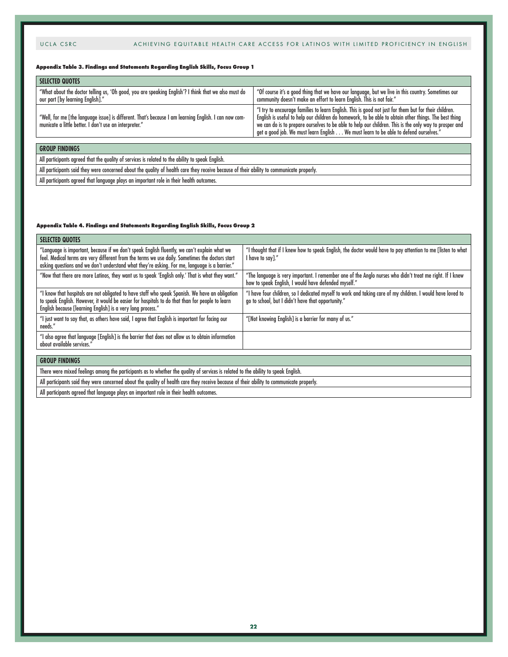#### **Appendix Table 3. Findings and Statements Regarding English Skills, Focus Group 1**

| <b>SELECTED QUOTES</b>                                                                                                                                          |                                                                                                                                                                                                                                                                                                                                                                                                                  |
|-----------------------------------------------------------------------------------------------------------------------------------------------------------------|------------------------------------------------------------------------------------------------------------------------------------------------------------------------------------------------------------------------------------------------------------------------------------------------------------------------------------------------------------------------------------------------------------------|
| "What about the doctor telling us, 'Oh good, you are speaking English'? I think that we also must do<br>our part [by learning English]."                        | "Of course it's a good thing that we have our language, but we live in this country. Sometimes our<br>community doesn't make an effort to learn English. This is not fair."                                                                                                                                                                                                                                      |
| "Well, for me [the language issue] is different. That's because I am learning English. I can now com-<br>municate a little better. I don't use an interpreter." | "I try to encourage families to learn English. This is good not just for them but for their children.<br>English is useful to help our children do homework, to be able to obtain other things. The best thing<br>we can do is to prepare ourselves to be able to help our children. This is the only way to prosper and<br>get a good job. We must learn English We must learn to be able to defend ourselves." |
|                                                                                                                                                                 |                                                                                                                                                                                                                                                                                                                                                                                                                  |
| <b>GROUP FINDINGS</b>                                                                                                                                           |                                                                                                                                                                                                                                                                                                                                                                                                                  |
| All participants agreed that the quality of services is related to the ability to speak English.                                                                |                                                                                                                                                                                                                                                                                                                                                                                                                  |

All participants said they were concerned about the quality of health care they receive because of their ability to communicate properly.

All participants agreed that language plays an important role in their health outcomes.

#### **Appendix Table 4. Findings and Statements Regarding English Skills, Focus Group 2**

| <b>SELECTED QUOTES</b>                                                                                                                                                                                                                                                                           |                                                                                                                                                                  |
|--------------------------------------------------------------------------------------------------------------------------------------------------------------------------------------------------------------------------------------------------------------------------------------------------|------------------------------------------------------------------------------------------------------------------------------------------------------------------|
| "Language is important, because if we don't speak English fluently, we can't explain what we<br>feel. Medical terms are very different from the terms we use daily. Sometimes the doctors start<br>asking questions and we don't understand what they're asking. For me, language is a barrier." | "I thought that if I knew how to speak English, the doctor would have to pay attention to me [listen to what<br>I have to say]."                                 |
| "Now that there are more Latinos, they want us to speak 'English only.' That is what they want."                                                                                                                                                                                                 | "The language is very important. I remember one of the Anglo nurses who didn't treat me right. If I knew<br>how to speak English, I would have defended myself." |
| "I know that hospitals are not obligated to have staff who speak Spanish. We have an obligation<br>to speak English. However, it would be easier for hospitals to do that than for people to learn<br>English because [learning English] is a very long process."                                | "I have four children, so I dedicated myself to work and taking care of my children. I would have loved to<br>go to school, but I didn't have that opportunity." |
| "I just want to say that, as others have said, I agree that English is important for facing our<br>needs."                                                                                                                                                                                       | "[Not knowing English] is a barrier for many of us."                                                                                                             |
| "I also agree that language [English] is the barrier that does not allow us to obtain information<br>about available services."                                                                                                                                                                  |                                                                                                                                                                  |
|                                                                                                                                                                                                                                                                                                  |                                                                                                                                                                  |
| <b>GROUP FINDINGS</b>                                                                                                                                                                                                                                                                            |                                                                                                                                                                  |
| There were mixed feelings among the participants as to whether the quality of services is related to the ability to speak English.                                                                                                                                                               |                                                                                                                                                                  |

All participants said they were concerned about the quality of health care they receive because of their ability to communicate properly.

All participants agreed that language plays an important role in their health outcomes.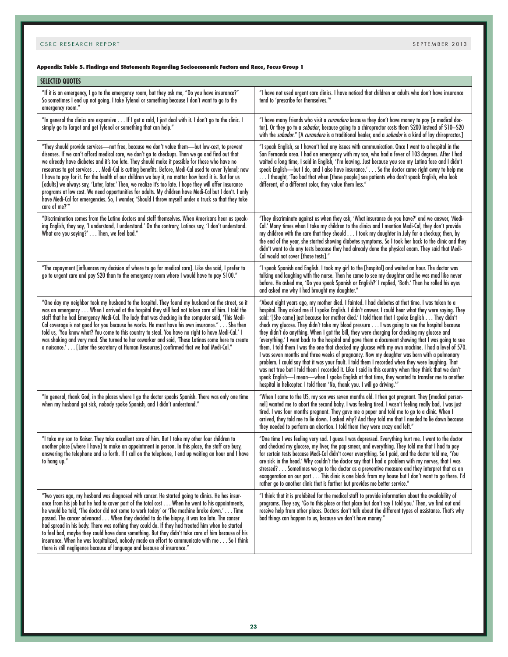# **Appendix Table 5. Findings and Statements Regarding Socioeconomic Factors and Race, Focus Group 1**

| <b>SELECTED QUOTES</b>                                                                                                                                                                                                                                                                                                                                                                                                                                                                                                                                                                                                                                                                                                                                                                                                                                        |                                                                                                                                                                                                                                                                                                                                                                                                                                                                                                                                                                                                                                                                                                                                                                                                                                                                                                                                                                                                                                                                                                                                                                                                                 |
|---------------------------------------------------------------------------------------------------------------------------------------------------------------------------------------------------------------------------------------------------------------------------------------------------------------------------------------------------------------------------------------------------------------------------------------------------------------------------------------------------------------------------------------------------------------------------------------------------------------------------------------------------------------------------------------------------------------------------------------------------------------------------------------------------------------------------------------------------------------|-----------------------------------------------------------------------------------------------------------------------------------------------------------------------------------------------------------------------------------------------------------------------------------------------------------------------------------------------------------------------------------------------------------------------------------------------------------------------------------------------------------------------------------------------------------------------------------------------------------------------------------------------------------------------------------------------------------------------------------------------------------------------------------------------------------------------------------------------------------------------------------------------------------------------------------------------------------------------------------------------------------------------------------------------------------------------------------------------------------------------------------------------------------------------------------------------------------------|
| "If it is an emergency, I go to the emergency room, but they ask me, "Do you have insurance?"<br>So sometimes I end up not going. I take Tylenol or something because I don't want to go to the<br>emergency room."                                                                                                                                                                                                                                                                                                                                                                                                                                                                                                                                                                                                                                           | "I have not used urgent care clinics. I have noticed that children or adults who don't have insurance<br>tend to 'prescribe for themselves."                                                                                                                                                                                                                                                                                                                                                                                                                                                                                                                                                                                                                                                                                                                                                                                                                                                                                                                                                                                                                                                                    |
| "In general the clinics are expensive If I get a cold, I just deal with it. I don't go to the clinic. I<br>simply go to Target and get Tylenol or something that can help."                                                                                                                                                                                                                                                                                                                                                                                                                                                                                                                                                                                                                                                                                   | "I have many friends who visit a curandero because they don't have money to pay [a medical doc-<br>tor]. Or they go to a <i>sobador</i> , because going to a chiropractor costs them \$200 instead of \$10–\$20<br>with the sobador." [A curandero is a traditional healer, and a sobador is a kind of lay chiropractor.]                                                                                                                                                                                                                                                                                                                                                                                                                                                                                                                                                                                                                                                                                                                                                                                                                                                                                       |
| "They should provide services-not free, because we don't value them-but low-cost, to prevent<br>diseases. If we can't afford medical care, we don't go to checkups. Then we go and find out that<br>we already have diabetes and it's too late. They should make it possible for those who have no<br>resources to get services Medi-Cal is cutting benefits. Before, Medi-Cal used to cover Tylenol; now<br>I have to pay for it. For the health of our children we buy it, no matter how hard it is. But for us<br>[adults] we always say, 'Later, later.' Then, we realize it's too late. I hope they will offer insurance<br>programs at low cost. We need opportunities for adults. My children have Medi-Cal but I don't. I only<br>have Medi-Cal for emergencies. So, I wonder, 'Should I throw myself under a truck so that they take<br>care of me?" | "I speak English, so I haven't had any issues with communication. Once I went to a hospital in the<br>San Fernando area. I had an emergency with my son, who had a fever of 103 degrees. After I had<br>waited a long time, I said in English, 'I'm leaving. Just because you see my Latina face and I didn't<br>speak English-but I do, and I also have insurance.' So the doctor came right away to help me<br>I thought, 'Too bad that when [these people] see patients who don't speak English, who look<br>different, of a different color, they value them less."                                                                                                                                                                                                                                                                                                                                                                                                                                                                                                                                                                                                                                         |
| "Discrimination comes from the Latino doctors and staff themselves. When Americans hear us speak-<br>ing English, they say, 'I understand, I understand.' On the contrary, Latinos say, 'I don't understand.<br>What are you saying?' Then, we feel bad."                                                                                                                                                                                                                                                                                                                                                                                                                                                                                                                                                                                                     | "They discriminate against us when they ask, 'What insurance do you have?' and we answer, 'Medi-<br>Cal.' Many times when I take my children to the clinics and I mention Medi-Cal, they don't provide<br>my children with the care that they should I took my daughter in July for a checkup; then, by<br>the end of the year, she started showing diabetes symptoms. So I took her back to the clinic and they<br>didn't want to do any tests because they had already done the physical exam. They said that Medi-<br>Cal would not cover [those tests]."                                                                                                                                                                                                                                                                                                                                                                                                                                                                                                                                                                                                                                                    |
| "The copayment [influences my decision of where to go for medical care]. Like she said, I prefer to<br>go to urgent care and pay \$20 than to the emergency room where I would have to pay \$100."                                                                                                                                                                                                                                                                                                                                                                                                                                                                                                                                                                                                                                                            | "I speak Spanish and English. I took my girl to the [hospital] and waited an hour. The doctor was<br>talking and laughing with the nurse. Then he came to see my daughter and he was mad like never<br>before. He asked me, 'Do you speak Spanish or English?' I replied, 'Both.' Then he rolled his eyes<br>and asked me why I had brought my daughter."                                                                                                                                                                                                                                                                                                                                                                                                                                                                                                                                                                                                                                                                                                                                                                                                                                                       |
| "One day my neighbor took my husband to the hospital. They found my husband on the street, so it<br>was an emergency When I arrived at the hospital they still had not taken care of him. I told the<br>staff that he had Emergency Medi-Cal. The lady that was checking in the computer said, 'This Medi-<br>Cal coverage is not good for you because he works. He must have his own insurance." She then<br>told us, 'You know what? You come to this country to steal. You have no right to have Medi-Cal.' I<br>was shaking and very mad. She turned to her coworker and said, 'These Latinos come here to create<br>a nuisance.' [Later the secretary at Human Resources] confirmed that we had Medi-Cal."                                                                                                                                               | "About eight years ago, my mother died. I fainted. I had diabetes at that time. I was taken to a<br>hospital. They asked me if I spoke English. I didn't answer. I could hear what they were saying. They<br>said: '[She came] just because her mother died.' I told them that I spoke English They didn't<br>check my glucose. They didn't take my blood pressure I was going to sue the hospital because<br>they didn't do anything. When I got the bill, they were charging for checking my glucose and<br>everything.' I went back to the hospital and gave them a document showing that I was going to sue'<br>them. I told them I was the one that checked my glucose with my own machine. I had a level of 570.<br>I was seven months and three weeks of pregnancy. Now my daughter was born with a pulmonary<br>problem. I could say that it was your fault. I told them I recorded when they were laughing. That<br>was not true but I told them I recorded it. Like I said in this country when they think that we don't<br>speak English—I mean—when I spoke English at that time, they wanted to transfer me to another<br>hospital in helicopter. I told them 'No, thank you. I will go driving.'" |
| "In general, thank God, in the places where I go the doctor speaks Spanish. There was only one time<br>when my husband got sick, nobody spoke Spanish, and I didn't understand."                                                                                                                                                                                                                                                                                                                                                                                                                                                                                                                                                                                                                                                                              | "When I came to the US, my son was seven months old. I then got pregnant. They [medical person-<br>nel] wanted me to abort the second baby. I was feeling tired. I wasn't feeling really bad, I was just<br>tired. I was four months pregnant. They gave me a paper and told me to go to a clinic. When I<br>arrived, they told me to lie down. I asked why? And they told me that I needed to lie down because<br>they needed to perform an abortion. I told them they were crazy and left."                                                                                                                                                                                                                                                                                                                                                                                                                                                                                                                                                                                                                                                                                                                   |
| "I take my son to Kaiser. They take excellent care of him. But I take my other four children to<br>another place [where I have] to make an appointment in person. In this place, the staff are busy,<br>answering the telephone and so forth. If I call on the telephone, I end up waiting an hour and I have<br>to hang up."                                                                                                                                                                                                                                                                                                                                                                                                                                                                                                                                 | "One time I was feeling very sad. I guess I was depressed. Everything hurt me. I went to the doctor<br>and checked my glucose, my liver, the pap smear, and everything. They told me that I had to pay<br>for certain tests because Medi-Cal didn't cover everything. So I paid, and the doctor told me, 'You<br>are sick in the head.' Why couldn't the doctor say that I had a problem with my nerves, that I was<br>stressed? Sometimes we go to the doctor as a preventive measure and they interpret that as an<br>exaggeration on our part This clinic is one block from my house but I don't want to go there. I'd<br>rather go to another clinic that is farther but provides me better service."                                                                                                                                                                                                                                                                                                                                                                                                                                                                                                       |
| "Two years ago, my husband was diagnosed with cancer. He started going to clinics. He has insur-<br>ance from his job but he had to cover part of the total cost When he went to his appointments,<br>he would be told, 'The doctor did not come to work today' or 'The machine broke down.' Time<br>passed. The cancer advanced When they decided to do the biopsy, it was too late. The cancer<br>had spread in his body. There was nothing they could do. If they had treated him when he started<br>to feel bad, maybe they could have done something. But they didn't take care of him because of his<br>insurance. When he was hospitalized, nobody made an effort to communicate with me So I think<br>there is still negligence because of language and because of insurance."                                                                        | "I think that it is prohibited for the medical staff to provide information about the availability of<br>programs. They say, 'Go to this place or that place but don't say I told you.' Then, we find out and<br>receive help from other places. Doctors don't talk about the different types of assistance. That's why<br>bad things can happen to us, because we don't have money."                                                                                                                                                                                                                                                                                                                                                                                                                                                                                                                                                                                                                                                                                                                                                                                                                           |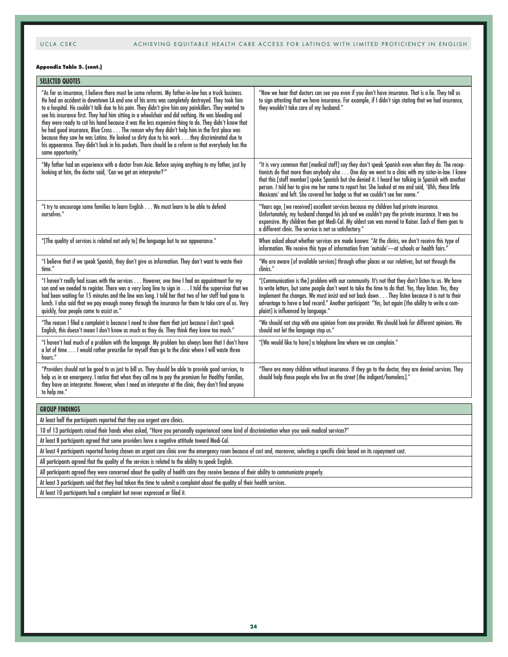#### **Appendix Table 5. (cont.)**

| <b>SELECTED QUOTES</b>                                                                                                                                                                                                                                                                                                                                                                                                                                                                                                                                                                                                                                                                                                                                                                                                                                  |                                                                                                                                                                                                                                                                                                                                                                                                                                                                                                         |
|---------------------------------------------------------------------------------------------------------------------------------------------------------------------------------------------------------------------------------------------------------------------------------------------------------------------------------------------------------------------------------------------------------------------------------------------------------------------------------------------------------------------------------------------------------------------------------------------------------------------------------------------------------------------------------------------------------------------------------------------------------------------------------------------------------------------------------------------------------|---------------------------------------------------------------------------------------------------------------------------------------------------------------------------------------------------------------------------------------------------------------------------------------------------------------------------------------------------------------------------------------------------------------------------------------------------------------------------------------------------------|
| "As far as insurance, I believe there must be some reforms. My father-in-law has a truck business.<br>He had an accident in downtown LA and one of his arms was completely destroyed. They took him<br>to a hospital. He couldn't talk due to his pain. They didn't give him any painkillers. They wanted to<br>see his insurance first. They had him sitting in a wheelchair and did nothing. He was bleeding and<br>they were ready to cut his hand because it was the less expensive thing to do. They didn't know that<br>he had good insurance, Blue Cross The reason why they didn't help him in the first place was<br>because they saw he was Latino. He looked so dirty due to his work they discriminated due to<br>his appearance. They didn't look in his pockets. There should be a reform so that everybody has the<br>same opportunity." | "Now we hear that doctors can see you even if you don't have insurance. That is a lie. They tell us<br>to sign attesting that we have insurance. For example, if I didn't sign stating that we had insurance,<br>they wouldn't take care of my husband."                                                                                                                                                                                                                                                |
| "My father had an experience with a doctor from Asia. Before saying anything to my father, just by<br>looking at him, the doctor said, 'Can we get an interpreter?'"                                                                                                                                                                                                                                                                                                                                                                                                                                                                                                                                                                                                                                                                                    | "It is very common that [medical staff] say they don't speak Spanish even when they do. The recep-<br>tionists do that more than anybody else One day we went to a clinic with my sister-in-law. I knew<br>that this [staff member] spoke Spanish but she denied it. I heard her talking in Spanish with another<br>person. I told her to give me her name to report her. She looked at me and said, 'Uhh, these little<br>Mexicans' and left. She covered her badge so that we couldn't see her name." |
| "I try to encourage some families to learn English We must learn to be able to defend<br>ourselves."                                                                                                                                                                                                                                                                                                                                                                                                                                                                                                                                                                                                                                                                                                                                                    | "Years ago, [we received] excellent services because my children had private insurance.<br>Unfortunately, my husband changed his job and we couldn't pay the private insurance. It was too<br>expensive. My children then got Medi-Cal. My oldest son was moved to Kaiser. Each of them goes to<br>a different clinic. The service is not so satisfactory."                                                                                                                                             |
| "[The quality of services is related not only to] the language but to our appearance."                                                                                                                                                                                                                                                                                                                                                                                                                                                                                                                                                                                                                                                                                                                                                                  | When asked about whether services are made known: "At the clinics, we don't receive this type of<br>information. We receive this type of information from 'outside'-at schools or health fairs."                                                                                                                                                                                                                                                                                                        |
| "I believe that if we speak Spanish, they don't give us information. They don't want to waste their<br>time."                                                                                                                                                                                                                                                                                                                                                                                                                                                                                                                                                                                                                                                                                                                                           | "We are aware [of available services] through other places or our relatives, but not through the<br>clinics."                                                                                                                                                                                                                                                                                                                                                                                           |
| "I haven't really had issues with the services However, one time I had an appointment for my<br>son and we needed to register. There was a very long line to sign in I told the supervisor that we<br>had been waiting for 15 minutes and the line was long. I told her that two of her staff had gone to<br>lunch. I also said that we pay enough money through the insurance for them to take care of us. Very<br>quickly, four people came to assist us."                                                                                                                                                                                                                                                                                                                                                                                            | "[Communication is the] problem with our community. It's not that they don't listen to us. We have<br>to write letters, but some people don't want to take the time to do that. Yes, they listen. Yes, they<br>implement the changes. We must insist and not back down They listen because it is not to their<br>advantage to have a bad record." Another participant: "Yes, but again [the ability to write a com-<br>plaint] is influenced by language."                                              |
| "The reason I filed a complaint is because I need to show them that just because I don't speak<br>English, this doesn't mean I don't know as much as they do. They think they know too much."                                                                                                                                                                                                                                                                                                                                                                                                                                                                                                                                                                                                                                                           | "We should not stop with one opinion from one provider. We should look for different opinions. We<br>should not let the language stop us."                                                                                                                                                                                                                                                                                                                                                              |
| "I haven't had much of a problem with the language. My problem has always been that I don't have<br>a lot of time I would rather prescribe for myself than go to the clinic where I will waste three<br>hours."                                                                                                                                                                                                                                                                                                                                                                                                                                                                                                                                                                                                                                         | "[We would like to have] a telephone line where we can complain."                                                                                                                                                                                                                                                                                                                                                                                                                                       |
| "Providers should not be good to us just to bill us. They should be able to provide good services, to<br>help us in an emergency. I notice that when they call me to pay the premium for Healthy Families,<br>they have an interpreter. However, when I need an interpreter at the clinic, they don't find anyone<br>to help me."                                                                                                                                                                                                                                                                                                                                                                                                                                                                                                                       | "There are many children without insurance. If they go to the doctor, they are denied services. They<br>should help those people who live on the street [the indigent/homeless]."                                                                                                                                                                                                                                                                                                                       |
| <b>GROUP FINDINGS</b>                                                                                                                                                                                                                                                                                                                                                                                                                                                                                                                                                                                                                                                                                                                                                                                                                                   |                                                                                                                                                                                                                                                                                                                                                                                                                                                                                                         |

At least half the participants reported that they use urgent care clinics.

10 of 13 participants raised their hands when asked, "Have you personally experienced some kind of discrimination when you seek medical services?"

At least 8 participants agreed that some providers have a negative attitude toward Medi-Cal.

At least 4 participants reported having chosen an urgent care clinic over the emergency room because of cost and, moreover, selecting a specific clinic based on its copayment cost.

All participants agreed that the quality of the services is related to the ability to speak English.

All participants agreed they were concerned about the quality of health care they receive because of their ability to communicate properly.

At least 3 participants said that they had taken the time to submit a complaint about the quality of their health services.

At least 10 participants had a complaint but never expressed or filed it.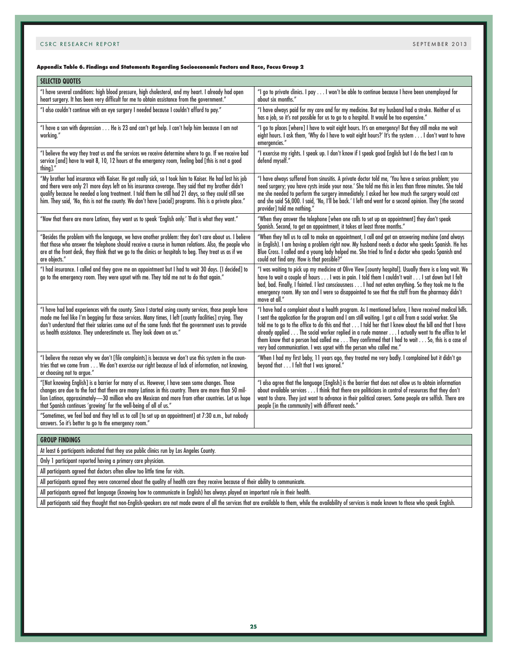#### **Appendix Table 6. Findings and Statements Regarding Socioeconomic Factors and Race, Focus Group 2**

| <b>SELECTED QUOTES</b>                                                                                                                                                                                                                                                                                                                                                                                                           |                                                                                                                                                                                                                                                                                                                                                                                                                                                                                                                                                                                                    |
|----------------------------------------------------------------------------------------------------------------------------------------------------------------------------------------------------------------------------------------------------------------------------------------------------------------------------------------------------------------------------------------------------------------------------------|----------------------------------------------------------------------------------------------------------------------------------------------------------------------------------------------------------------------------------------------------------------------------------------------------------------------------------------------------------------------------------------------------------------------------------------------------------------------------------------------------------------------------------------------------------------------------------------------------|
| "I have several conditions: high blood pressure, high cholesterol, and my heart. I already had open<br>heart surgery. It has been very difficult for me to obtain assistance from the government."                                                                                                                                                                                                                               | "I go to private clinics. I pay I won't be able to continue because I have been unemployed for<br>about six months."                                                                                                                                                                                                                                                                                                                                                                                                                                                                               |
| "I also couldn't continue with an eye surgery I needed because I couldn't afford to pay."                                                                                                                                                                                                                                                                                                                                        | "I have always paid for my care and for my medicine. But my husband had a stroke. Neither of us<br>has a job, so it's not possible for us to go to a hospital. It would be too expensive."                                                                                                                                                                                                                                                                                                                                                                                                         |
| "I have a son with depression He is 23 and can't get help. I can't help him because I am not<br>working."                                                                                                                                                                                                                                                                                                                        | "I go to places [where] I have to wait eight hours. It's an emergency! But they still make me wait<br>eight hours. I ask them, 'Why do I have to wait eight hours?' It's the system I don't want to have<br>emergencies."                                                                                                                                                                                                                                                                                                                                                                          |
| "I believe the way they treat us and the services we receive determine where to go. If we receive bad<br>service [and] have to wait 8, 10, 12 hours at the emergency room, feeling bad [this is not a good<br>thing]."                                                                                                                                                                                                           | "I exercise my rights. I speak up. I don't know if I speak good English but I do the best I can to<br>defend myself."                                                                                                                                                                                                                                                                                                                                                                                                                                                                              |
| "My brother had insurance with Kaiser. He got really sick, so I took him to Kaiser. He had lost his job<br>and there were only 21 more days left on his insurance coverage. They said that my brother didn't<br>qualify because he needed a long treatment. I told them he still had 21 days, so they could still see<br>him. They said, 'No, this is not the county. We don't have [social] programs. This is a private place." | "I have always suffered from sinusitis. A private doctor told me, 'You have a serious problem; you<br>need surgery; you have cysts inside your nose.' She told me this in less than three minutes. She told<br>me she needed to perform the surgery immediately. I asked her how much the surgery would cost<br>and she said \$6,000. I said, 'No, I'll be back.' I left and went for a second opinion. They [the second<br>provider] told me nothing."                                                                                                                                            |
| "Now that there are more Latinos, they want us to speak 'English only.' That is what they want."                                                                                                                                                                                                                                                                                                                                 | "When they answer the telephone [when one calls to set up an appointment] they don't speak<br>Spanish. Second, to get an appointment, it takes at least three months."                                                                                                                                                                                                                                                                                                                                                                                                                             |
| "Besides the problem with the language, we have another problem: they don't care about us. I believe<br>that those who answer the telephone should receive a course in human relations. Also, the people who<br>are at the front desk, they think that we go to the clinics or hospitals to beg. They treat us as if we<br>are objects."                                                                                         | "When they tell us to call to make an appointment, I call and get an answering machine (and always<br>in English). I am having a problem right now. My husband needs a doctor who speaks Spanish. He has<br>Blue Cross. I called and a young lady helped me. She tried to find a doctor who speaks Spanish and<br>could not find any. How is that possible?"                                                                                                                                                                                                                                       |
| "I had insurance. I called and they gave me an appointment but I had to wait 30 days. [I decided] to<br>go to the emergency room. They were upset with me. They told me not to do that again."                                                                                                                                                                                                                                   | "I was waiting to pick up my medicine at Olive View [county hospital]. Usually there is a long wait. We<br>have to wait a couple of hours I was in pain. I told them I couldn't wait I sat down but I felt<br>bad, bad. Finally, I fainted. I lost consciousness I had not eaten anything. So they took me to the<br>emergency room. My son and I were so disappointed to see that the staff from the pharmacy didn't<br>move at all."                                                                                                                                                             |
| "I have had bad experiences with the county. Since I started using county services, those people have<br>made me feel like I'm begging for those services. Many times, I left [county facilities] crying. They<br>don't understand that their salaries come out of the same funds that the government uses to provide<br>us health assistance. They underestimate us. They look down on us."                                     | "I have had a complaint about a health program. As I mentioned before, I have received medical bills.<br>I sent the application for the program and I am still waiting. I got a call from a social worker. She<br>told me to go to the office to do this and that I told her that I knew about the bill and that I have<br>already applied The social worker replied in a rude manner I actually went to the office to let<br>them know that a person had called me They confirmed that I had to wait So, this is a case of<br>very bad communication. I was upset with the person who called me." |
| "I believe the reason why we don't [file complaints] is because we don't use this system in the coun-<br>tries that we come from We don't exercise our right because of lack of information, not knowing,<br>or choosing not to arque."                                                                                                                                                                                          | "When I had my first baby, 11 years ago, they treated me very badly. I complained but it didn't go<br>beyond that I felt that I was ignored."                                                                                                                                                                                                                                                                                                                                                                                                                                                      |
| "[Not knowing English] is a barrier for many of us. However, I have seen some changes. Those<br>changes are due to the fact that there are many Latinos in this country. There are more than 50 mil-<br>lion Latinos, approximately-30 million who are Mexican and more from other countries. Let us hope<br>that Spanish continues 'growing' for the well-being of all of us."                                                  | "I also agree that the language [English] is the barrier that does not allow us to obtain information<br>about available services I think that there are politicians in control of resources that they don't<br>want to share. They just want to advance in their political careers. Some people are selfish. There are<br>people [in the community] with different needs."                                                                                                                                                                                                                        |
| "Sometimes, we feel bad and they tell us to call [to set up an appointment] at 7:30 a.m., but nobody<br>answers. So it's better to go to the emergency room."                                                                                                                                                                                                                                                                    |                                                                                                                                                                                                                                                                                                                                                                                                                                                                                                                                                                                                    |
| <b>GROUP FINDINGS</b>                                                                                                                                                                                                                                                                                                                                                                                                            |                                                                                                                                                                                                                                                                                                                                                                                                                                                                                                                                                                                                    |

At least 6 participants indicated that they use public clinics run by Los Angeles County.

Only 1 participant reported having a primary care physician.

All participants agreed that doctors often allow too little time for visits.

All participants agreed they were concerned about the quality of health care they receive because of their ability to communicate.

All participants agreed that language (knowing how to communicate in English) has always played an important role in their health.

All participants said they thought that non-English-speakers are not made aware of all the services that are available to them, while the availability of services is made known to those who speak English.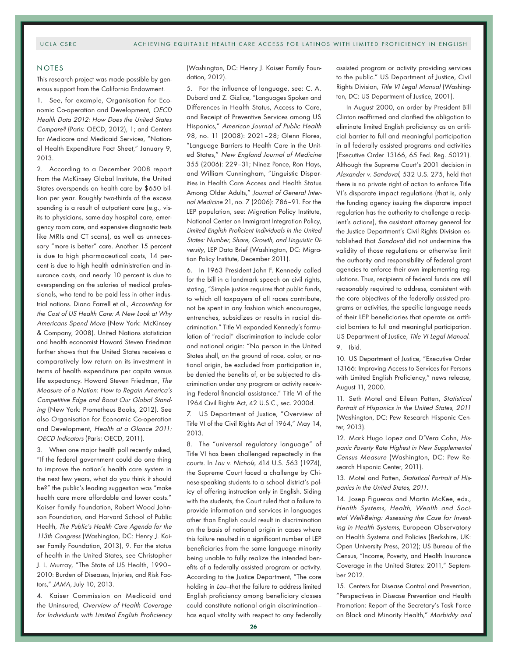### NOTES

This research project was made possible by generous support from the California Endowment.

1. See, for example, Organisation for Economic Co-operation and Development, OECD Health Data 2012: How Does the United States Compare? (Paris: OECD, 2012), 1; and Centers for Medicare and Medicaid Services, "National Health Expenditure Fact Sheet," January 9, 2013.

2. According to a December 2008 report from the McKinsey Global Institute, the United States overspends on health care by \$650 billion per year. Roughly two-thirds of the excess spending is a result of outpatient care (e.g., visits to physicians, same-day hospital care, emergency room care, and expensive diagnostic tests like MRIs and CT scans), as well as unnecessary "more is better" care. Another 15 percent is due to high pharmaceutical costs, 14 percent is due to high health administration and insurance costs, and nearly 10 percent is due to overspending on the salaries of medical professionals, who tend to be paid less in other industrial nations. Diana Farrell et al., Accounting for the Cost of US Health Care: A New Look at Why Americans Spend More (New York: McKinsey & Company, 2008). United Nations statistician and health economist Howard Steven Friedman further shows that the United States receives a comparatively low return on its investment in terms of health expenditure per capita versus life expectancy. Howard Steven Friedman, The Measure of a Nation: How to Regain America's Competitive Edge and Boost Our Global Standing (New York: Prometheus Books, 2012). See also Organisation for Economic Co-operation and Development, Health at a Glance 2011: OECD Indicators (Paris: OECD, 2011).

3. When one major health poll recently asked, "If the federal government could do one thing to improve the nation's health care system in the next few years, what do you think it should be?" the public's leading suggestion was "make health care more affordable and lower costs." Kaiser Family Foundation, Robert Wood Johnson Foundation, and Harvard School of Public Health, The Public's Health Care Agenda for the 113th Congress (Washington, DC: Henry J. Kaiser Family Foundation, 2013), 9. For the status of health in the United States, see Christopher J. L. Murray, "The State of US Health, 1990– 2010: Burden of Diseases, Injuries, and Risk Factors," JAMA, July 10, 2013.

4. Kaiser Commission on Medicaid and the Uninsured, Overview of Health Coverage for Individuals with Limited English Proficiency (Washington, DC: Henry J. Kaiser Family Foundation, 2012).

5. For the influence of language, see: C. A. Dubard and Z. Gizlice, "Languages Spoken and Differences in Health Status, Access to Care, and Receipt of Preventive Services among US Hispanics," American Journal of Public Health 98, no. 11 (2008): 2021–28; Glenn Flores, "Language Barriers to Health Care in the United States," New England Journal of Medicine 355 (2006): 229–31; Ninez Ponce, Ron Hays, and William Cunningham, "Linguistic Disparities in Health Care Access and Health Status Among Older Adults," Journal of General Internal Medicine 21, no. 7 (2006): 786–91. For the LEP population, see: Migration Policy Institute, National Center on Immigrant Integration Policy, Limited English Proficient Individuals in the United States: Number, Share, Growth, and Linguistic Diversity, LEP Data Brief (Washington, DC: Migration Policy Institute, December 2011).

6. In 1963 President John F. Kennedy called for the bill in a landmark speech on civil rights, stating, "Simple justice requires that public funds, to which all taxpayers of all races contribute, not be spent in any fashion which encourages, entrenches, subsidizes or results in racial discrimination." Title VI expanded Kennedy's formulation of "racial" discrimination to include color and national origin: "No person in the United States shall, on the ground of race, color, or national origin, be excluded from participation in, be denied the benefits of, or be subjected to discrimination under any program or activity receiving Federal financial assistance." Title VI of the 1964 Civil Rights Act, 42 U.S.C., sec. 2000d.

7. US Department of Justice, "Overview of Title VI of the Civil Rights Act of 1964," May 14, 2013.

8. The "universal regulatory language" of Title VI has been challenged repeatedly in the courts. In Lau v. Nichols, 414 U.S. 563 (1974), the Supreme Court faced a challenge by Chinese-speaking students to a school district's policy of offering instruction only in English. Siding with the students, the Court ruled that a failure to provide information and services in languages other than English could result in discrimination on the basis of national origin in cases where this failure resulted in a significant number of LEP beneficiaries from the same language minority being unable to fully realize the intended benefits of a federally assisted program or activity. According to the Justice Department, "The core holding in Lau-that the failure to address limited English proficiency among beneficiary classes could constitute national origin discrimination has equal vitality with respect to any federally assisted program or activity providing services to the public." US Department of Justice, Civil Rights Division, Title VI Legal Manual (Washington, DC: US Department of Justice, 2001).

In August 2000, an order by President Bill Clinton reaffirmed and clarified the obligation to eliminate limited English proficiency as an artificial barrier to full and meaningful participation in all federally assisted programs and activities (Executive Order 13166, 65 Fed. Reg. 50121). Although the Supreme Court's 2001 decision in Alexander v. Sandoval, 532 U.S. 275, held that there is no private right of action to enforce Title VI's disparate impact regulations (that is, only the funding agency issuing the disparate impact regulation has the authority to challenge a recipient's actions), the assistant attorney general for the Justice Department's Civil Rights Division established that Sandoval did not undermine the validity of those regulations or otherwise limit the authority and responsibility of federal grant agencies to enforce their own implementing regulations. Thus, recipients of federal funds are still reasonably required to address, consistent with the core objectives of the federally assisted programs or activities, the specific language needs of their LEP beneficiaries that operate as artificial barriers to full and meaningful participation. US Department of Justice, Title VI Legal Manual. 9. Ibid.

10. US Department of Justice, "Executive Order 13166: Improving Access to Services for Persons with Limited English Proficiency," news release, August 11, 2000.

11. Seth Motel and Eileen Patten, Statistical Portrait of Hispanics in the United States, 2011 (Washington, DC: Pew Research Hispanic Center, 2013).

12. Mark Hugo Lopez and D'Vera Cohn, Hispanic Poverty Rate Highest in New Supplemental Census Measure (Washington, DC: Pew Research Hispanic Center, 2011).

13. Motel and Patten, Statistical Portrait of Hispanics in the United States, 2011.

14. Josep Figueras and Martin McKee, eds., Health Systems, Health, Wealth and Societal Well-Being: Assessing the Case for Investing in Health Systems, European Observatory on Health Systems and Policies (Berkshire, UK: Open University Press, 2012); US Bureau of the Census, "Income, Poverty, and Health Insurance Coverage in the United States: 2011," September 2012.

15. Centers for Disease Control and Prevention, "Perspectives in Disease Prevention and Health Promotion: Report of the Secretary's Task Force on Black and Minority Health," Morbidity and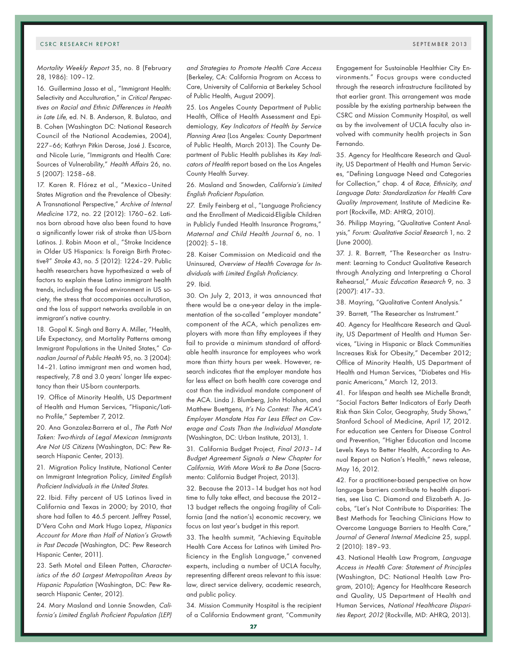Mortality Weekly Report 35, no. 8 (February 28, 1986): 109–12.

16. Guillermina Jasso et al., "Immigrant Health: Selectivity and Acculturation," in Critical Perspectives on Racial and Ethnic Differences in Health in Late Life, ed. N. B. Anderson, R. Bulatao, and B. Cohen (Washington DC: National Research Council of the National Academies, 2004), 227–66; Kathryn Pitkin Derose, José J. Escarce, and Nicole Lurie, "Immigrants and Health Care: Sources of Vulnerability," Health Affairs 26, no. 5 (2007): 1258–68.

17. Karen R. Flórez et al., "Mexico–United States Migration and the Prevalence of Obesity: A Transnational Perspective," Archive of Internal Medicine 172, no. 22 (2012): 1760–62. Latinos born abroad have also been found to have a significantly lower risk of stroke than US-born Latinos. J. Robin Moon et al., "Stroke Incidence in Older US Hispanics: Is Foreign Birth Protective?" Stroke 43, no. 5 (2012): 1224–29. Public health researchers have hypothesized a web of factors to explain these Latino immigrant health trends, including the food environment in US society, the stress that accompanies acculturation, and the loss of support networks available in an immigrant's native country.

18. Gopal K. Singh and Barry A. Miller, "Health, Life Expectancy, and Mortality Patterns among Immigrant Populations in the United States," Canadian Journal of Public Health 95, no. 3 (2004): 14–21. Latino immigrant men and women had, respectively, 7.8 and 3.0 years' longer life expectancy than their US-born counterparts.

19. Office of Minority Health, US Department of Health and Human Services, "Hispanic/Latino Profile," September 7, 2012.

20. Ana Gonzalez-Barrera et al., The Path Not Taken: Two-thirds of Legal Mexican Immigrants Are Not US Citizens (Washington, DC: Pew Research Hispanic Center, 2013).

21. Migration Policy Institute, National Center on Immigrant Integration Policy, Limited English Proficient Individuals in the United States.

22. Ibid. Fifty percent of US Latinos lived in California and Texas in 2000; by 2010, that share had fallen to 46.5 percent. Jeffrey Passel, D'Vera Cohn and Mark Hugo Lopez, Hispanics Account for More than Half of Nation's Growth in Past Decade (Washington, DC: Pew Research Hispanic Center, 2011).

23. Seth Motel and Eileen Patten, Characteristics of the 60 Largest Metropolitan Areas by Hispanic Population (Washington, DC: Pew Research Hispanic Center, 2012).

24. Mary Masland and Lonnie Snowden, California's Limited English Proficient Population (LEP) and Strategies to Promote Health Care Access (Berkeley, CA: California Program on Access to Care, University of California at Berkeley School of Public Health, August 2009).

25. Los Angeles County Department of Public Health, Office of Health Assessment and Epidemiology, Key Indicators of Health by Service Planning Area (Los Angeles: County Department of Public Health, March 2013). The County Department of Public Health publishes its Key Indicators of Health report based on the Los Angeles County Health Survey.

26. Masland and Snowden, California's Limited English Proficient Population.

27. Emily Feinberg et al., "Language Proficiency and the Enrollment of Medicaid-Eligible Children in Publicly Funded Health Insurance Programs," Maternal and Child Health Journal 6, no. 1 (2002): 5–18.

28. Kaiser Commission on Medicaid and the Uninsured, Overview of Health Coverage for Individuals with Limited English Proficiency.

# 29. Ibid.

30. On July 2, 2013, it was announced that there would be a one-year delay in the implementation of the so-called "employer mandate" component of the ACA, which penalizes employers with more than fifty employees if they fail to provide a minimum standard of affordable health insurance for employees who work more than thirty hours per week. However, research indicates that the employer mandate has far less effect on both health care coverage and cost than the individual mandate component of the ACA. Linda J. Blumberg, John Holahan, and Matthew Buettgens, It's No Contest: The ACA's Employer Mandate Has Far Less Effect on Coverage and Costs Than the Individual Mandate (Washington, DC: Urban Institute, 2013), 1.

31. California Budget Project, Final 2013–14 Budget Agreement Signals a New Chapter for California, With More Work to Be Done (Sacramento: California Budget Project, 2013).

32. Because the 2013–14 budget has not had time to fully take effect, and because the 2012– 13 budget reflects the ongoing fragility of California (and the nation's) economic recovery, we focus on last year's budget in this report.

33. The health summit, "Achieving Equitable Health Care Access for Latinos with Limited Proficiency in the English Language," convened experts, including a number of UCLA faculty, representing different areas relevant to this issue: law, direct service delivery, academic research, and public policy.

34. Mission Community Hospital is the recipient of a California Endowment grant, "Community

Engagement for Sustainable Healthier City Environments." Focus groups were conducted through the research infrastructure facilitated by that earlier grant. This arrangement was made possible by the existing partnership between the CSRC and Mission Community Hospital, as well as by the involvement of UCLA faculty also involved with community health projects in San Fernando.

35. Agency for Healthcare Research and Quality, US Department of Health and Human Services, "Defining Language Need and Categories for Collection," chap. 4 of Race, Ethnicity, and Language Data: Standardization for Health Care Quality Improvement, Institute of Medicine Report (Rockville, MD: AHRQ, 2010).

36. Philipp Mayring, "Qualitative Content Analysis," Forum: Qualitative Social Research 1, no. 2 (June 2000).

37. J. R. Barrett, "The Researcher as Instrument: Learning to Conduct Qualitative Research through Analyzing and Interpreting a Choral Rehearsal," Music Education Research 9, no. 3 (2007): 417–33.

38. Mayring, "Qualitative Content Analysis."

39. Barrett, "The Researcher as Instrument."

40. Agency for Healthcare Research and Quality, US Department of Health and Human Services, "Living in Hispanic or Black Communities Increases Risk for Obesity," December 2012; Office of Minority Health, US Department of Health and Human Services, "Diabetes and Hispanic Americans," March 12, 2013.

41. For lifespan and health see Michelle Brandt, "Social Factors Better Indicators of Early Death Risk than Skin Color, Geography, Study Shows," Stanford School of Medicine, April 17, 2012. For education see Centers for Disease Control and Prevention, "Higher Education and Income Levels Keys to Better Health, According to Annual Report on Nation's Health," news release, May 16, 2012.

42. For a practitioner-based perspective on how language barriers contribute to health disparities, see Lisa C. Diamond and Elizabeth A. Jacobs, "Let's Not Contribute to Disparities: The Best Methods for Teaching Clinicians How to Overcome Language Barriers to Health Care," Journal of General Internal Medicine 25, suppl. 2 (2010): 189–93.

43. National Health Law Program, Language Access in Health Care: Statement of Principles (Washington, DC: National Health Law Program, 2010); Agency for Healthcare Research and Quality, US Department of Health and Human Services, National Healthcare Disparities Report, 2012 (Rockville, MD: AHRQ, 2013).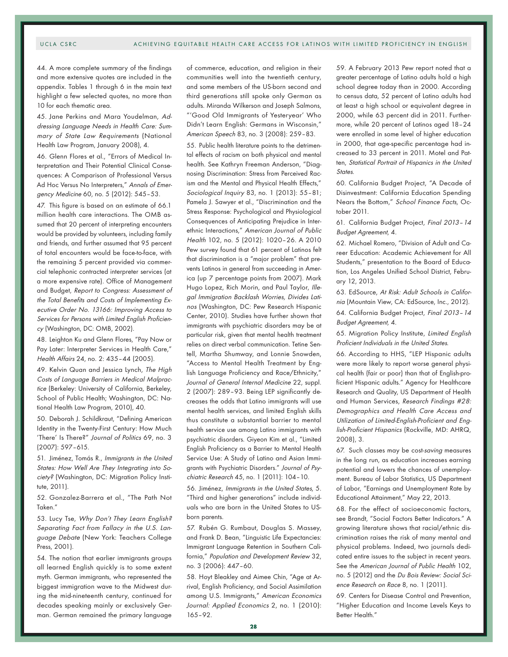#### UCLA CSRC ACHIEVING EQUITABLE HEALTH CARE ACCESS FOR LATINOS WITH LIMITED PROFICIENCY IN ENGLISH

44. A more complete summary of the findings and more extensive quotes are included in the appendix. Tables 1 through 6 in the main text highlight a few selected quotes, no more than 10 for each thematic area.

45. Jane Perkins and Mara Youdelman, Addressing Language Needs in Health Care: Summary of State Law Requirements (National Health Law Program, January 2008), 4.

46. Glenn Flores et al., "Errors of Medical Interpretation and Their Potential Clinical Consequences: A Comparison of Professional Versus Ad Hoc Versus No Interpreters," Annals of Emergency Medicine 60, no. 5 (2012): 545–53.

47. This figure is based on an estimate of 66.1 million health care interactions. The OMB assumed that 20 percent of interpreting encounters would be provided by volunteers, including family and friends, and further assumed that 95 percent of total encounters would be face-to-face, with the remaining 5 percent provided via commercial telephonic contracted interpreter services (at a more expensive rate). Office of Management and Budget, Report to Congress: Assessment of the Total Benefits and Costs of Implementing Executive Order No. 13166: Improving Access to Services for Persons with Limited English Proficiency (Washington, DC: OMB, 2002).

48. Leighton Ku and Glenn Flores, "Pay Now or Pay Later: Interpreter Services in Health Care," Health Affairs 24, no. 2: 435–44 (2005).

49. Kelvin Quan and Jessica Lynch, The High Costs of Language Barriers in Medical Malpractice (Berkeley: University of California, Berkeley, School of Public Health; Washington, DC: National Health Law Program, 2010), 40.

50. Deborah J. Schildkraut, "Defining American Identity in the Twenty-First Century: How Much 'There' Is There?" Journal of Politics 69, no. 3 (2007): 597–615.

51. Jiménez, Tomás R., Immigrants in the United States: How Well Are They Integrating into Society? (Washington, DC: Migration Policy Institute, 2011).

52. Gonzalez-Barrera et al., "The Path Not Taken."

53. Lucy Tse, Why Don't They Learn English? Separating Fact from Fallacy in the U.S. Language Debate (New York: Teachers College Press, 2001).

54. The notion that earlier immigrants groups all learned English quickly is to some extent myth. German immigrants, who represented the biggest immigration wave to the Midwest during the mid-nineteenth century, continued for decades speaking mainly or exclusively German. German remained the primary language

of commerce, education, and religion in their communities well into the twentieth century, and some members of the US-born second and third generations still spoke only German as adults. Miranda Wilkerson and Joseph Salmons, "'Good Old Immigrants of Yesteryear' Who Didn't Learn English: Germans in Wisconsin," American Speech 83, no. 3 (2008): 259–83.

55. Public health literature points to the detrimental effects of racism on both physical and mental health. See Kathryn Freeman Anderson, "Diagnosing Discrimination: Stress from Perceived Racism and the Mental and Physical Health Effects," Sociological Inquiry 83, no. 1 (2013): 55–81; Pamela J. Sawyer et al., "Discrimination and the Stress Response: Psychological and Physiological Consequences of Anticipating Prejudice in Interethnic Interactions," American Journal of Public Health 102, no. 5 (2012): 1020–26. A 2010 Pew survey found that 61 percent of Latinos felt that discrimination is a "major problem" that prevents Latinos in general from succeeding in America (up 7 percentage points from 2007). Mark Hugo Lopez, Rich Morin, and Paul Taylor, Illegal Immigration Backlash Worries, Divides Latinos (Washington, DC: Pew Research Hispanic Center, 2010). Studies have further shown that immigrants with psychiatric disorders may be at particular risk, given that mental health treatment relies on direct verbal communication. Tetine Sentell, Martha Shumway, and Lonnie Snowden, "Access to Mental Health Treatment by English Language Proficiency and Race/Ethnicity," Journal of General Internal Medicine 22, suppl. 2 (2007): 289–93. Being LEP significantly decreases the odds that Latino immigrants will use mental health services, and limited English skills thus constitute a substantial barrier to mental health service use among Latino immigrants with psychiatric disorders. Giyeon Kim et al., "Limited English Proficiency as a Barrier to Mental Health Service Use: A Study of Latino and Asian Immigrants with Psychiatric Disorders." Journal of Psychiatric Research 45, no. 1 (2011): 104–10.

56. Jiménez, Immigrants in the United States, 5. "Third and higher generations" include individuals who are born in the United States to USborn parents.

57. Rubén G. Rumbaut, Douglas S. Massey, and Frank D. Bean, "Linguistic Life Expectancies: Immigrant Language Retention in Southern California," Population and Development Review 32, no. 3 (2006): 447–60.

58. Hoyt Bleakley and Aimee Chin, "Age at Arrival, English Proficiency, and Social Assimilation among U.S. Immigrants," American Economics Journal: Applied Economics 2, no. 1 (2010): 165–92.

59. A February 2013 Pew report noted that a greater percentage of Latino adults hold a high school degree today than in 2000. According to census data, 52 percent of Latino adults had at least a high school or equivalent degree in 2000, while 63 percent did in 2011. Furthermore, while 20 percent of Latinos aged 18–24 were enrolled in some level of higher education in 2000, that age-specific percentage had increased to 33 percent in 2011. Motel and Patten, Statistical Portrait of Hispanics in the United States.

60. California Budget Project, "A Decade of Disinvestment: California Education Spending Nears the Bottom," School Finance Facts, October 2011.

61. California Budget Project, Final 2013–14 Budget Agreement, 4.

62. Michael Romero, "Division of Adult and Career Education: Academic Achievement for All Students," presentation to the Board of Education, Los Angeles Unified School District, February 12, 2013.

63. EdSource, At Risk: Adult Schools in California (Mountain View, CA: EdSource, Inc., 2012). 64. California Budget Project, Final 2013–14

Budget Agreement, 4.

65. Migration Policy Institute, Limited English Proficient Individuals in the United States.

66. According to HHS, "LEP Hispanic adults were more likely to report worse general physical health (fair or poor) than that of English-proficient Hispanic adults." Agency for Healthcare Research and Quality, US Department of Health and Human Services, Research Findings #28: Demographics and Health Care Access and Utilization of Limited-English-Proficient and English-Proficient Hispanics (Rockville, MD: AHRQ, 2008), 3.

67. Such classes may be cost-saving measures in the long run, as education increases earning potential and lowers the chances of unemployment. Bureau of Labor Statistics, US Department of Labor, "Earnings and Unemployment Rate by Educational Attainment," May 22, 2013.

68. For the effect of socioeconomic factors, see Brandt, "Social Factors Better Indicators." A growing literature shows that racial/ethnic discrimination raises the risk of many mental and physical problems. Indeed, two journals dedicated entire issues to the subject in recent years. See the American Journal of Public Health 102, no. 5 (2012) and the Du Bois Review: Social Science Research on Race 8, no. 1 (2011).

69. Centers for Disease Control and Prevention, "Higher Education and Income Levels Keys to Better Health."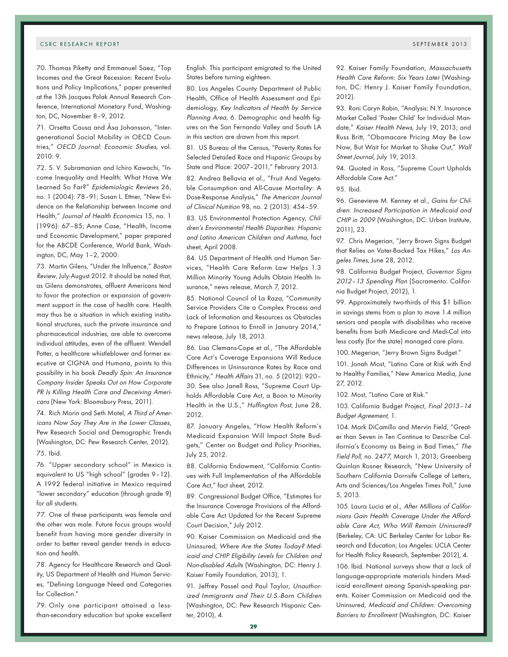70. Thomas Piketty and Emmanuel Saez, "Top Incomes and the Great Recession: Recent Evolutions and Policy Implications," paper presented at the 13th Jacques Polak Annual Research Conference, International Monetary Fund, Washington, DC, November 8–9, 2012.

71. Orsetta Causa and Åsa Johansson, "Intergenerational Social Mobility in OECD Countries," OECD Journal: Economic Studies, vol. 2010: 9.

72. S. V. Subramanian and Ichiro Kawachi, "Income Inequality and Health: What Have We Learned So Far?" Epidemiologic Reviews 26, no. 1 (2004): 78–91; Susan L. Ettner, "New Evidence on the Relationship between Income and Health," Journal of Health Economics 15, no. 1 (1996): 67–85; Anne Case, "Health, Income and Economic Development," paper prepared for the ABCDE Conference, World Bank, Washington, DC, May 1–2, 2000.

73. Martin Gilens, "Under the Influence," Boston Review, July-August 2012. It should be noted that, as Gilens demonstrates, affluent Americans tend to favor the protection or expansion of government support in the case of health care. Health may thus be a situation in which existing institutional structures, such the private insurance and pharmaceutical industries, are able to overcome individual attitudes, even of the affluent. Wendell Potter, a healthcare whistleblower and former executive at CIGNA and Humana, points to this possibility in his book Deadly Spin: An Insurance Company Insider Speaks Out on How Corporate PR Is Killing Health Care and Deceiving Americans (New York: Bloomsbury Press, 2011).

74. Rich Morin and Seth Motel, A Third of Americans Now Say They Are in the Lower Classes, Pew Research Social and Demographic Trends (Washington, DC: Pew Research Center, 2012). 75. Ibid.

76. "Upper secondary school" in Mexico is equivalent to US "high school" (grades 9–12). A 1992 federal initiative in Mexico required "lower secondary" education (through grade 9) for all students.

77. One of these participants was female and the other was male. Future focus groups would benefit from having more gender diversity in order to better reveal gender trends in education and health.

78. Agency for Healthcare Research and Quality, US Department of Health and Human Services, "Defining Language Need and Categories for Collection."

79. Only one participant attained a lessthan-secondary education but spoke excellent

English. This participant emigrated to the United States before turning eighteen.

80. Los Angeles County Department of Public Health, Office of Health Assessment and Epidemiology, Key Indicators of Health by Service Planning Area, 6. Demographic and health figures on the San Fernando Valley and South LA in this section are drawn from this report.

81. US Bureau of the Census, "Poverty Rates for Selected Detailed Race and Hispanic Groups by State and Place: 2007–2011," February 2013.

82. Andrea Bellavia et al., "Fruit And Vegetable Consumption and All-Cause Mortality: A Dose-Response Analysis," The American Journal of Clinical Nutrition 98, no. 2 (2013): 454–59.

83. US Environmental Protection Agency, Children's Environmental Health Disparities: Hispanic and Latino American Children and Asthma, fact sheet, April 2008.

84. US Department of Health and Human Services, "Health Care Reform Law Helps 1.3 Million Minority Young Adults Obtain Health Insurance," news release, March 7, 2012.

85. National Council of La Raza, "Community Service Providers Cite a Complex Process and Lack of Information and Resources as Obstacles to Prepare Latinos to Enroll in January 2014," news release, July 18, 2013.

86. Lisa Clemans-Cope et al., "The Affordable Care Act's Coverage Expansions Will Reduce Differences in Uninsurance Rates by Race and Ethnicity," Health Affairs 31, no. 5 (2012): 920– 30. See also Janell Ross, "Supreme Court Upholds Affordable Care Act, a Boon to Minority Health in the U.S.," Huffington Post, June 28, 2012.

87. January Angeles, "How Health Reform's Medicaid Expansion Will Impact State Budgets," Center on Budget and Policy Priorities, July 25, 2012.

88. California Endowment, "California Continues with Full Implementation of the Affordable Care Act," fact sheet, 2012.

89. Congressional Budget Office, "Estimates for the Insurance Coverage Provisions of the Affordable Care Act Updated for the Recent Supreme Court Decision," July 2012.

90. Kaiser Commission on Medicaid and the Uninsured, Where Are the States Today? Medicaid and CHIP Eligibility Levels for Children and Non-disabled Adults (Washington, DC: Henry J. Kaiser Family Foundation, 2013), 1.

91. Jeffrey Passel and Paul Taylor, Unauthorized Immigrants and Their U.S.-Born Children (Washington, DC: Pew Research Hispanic Center, 2010), 4.

92. Kaiser Family Foundation, Massachusetts Health Care Reform: Six Years Later (Washington, DC: Henry J. Kaiser Family Foundation, 2012).

93. Roni Caryn Rabin, "Analysis: N.Y. Insurance Market Called 'Poster Child' for Individual Mandate," Kaiser Health News, July 19, 2013; and Russ Britt, "Obamacare Pricing May Be Low Now, But Wait for Market to Shake Out," Wall Street Journal, July 19, 2013.

94. Quoted in Ross, "Supreme Court Upholds Affordable Care Act."

95. Ibid.

96. Genevieve M. Kenney et al., Gains for Children: Increased Participation in Medicaid and CHIP in 2009 (Washington, DC: Urban Institute, 2011), 23.

97. Chris Megerian, "Jerry Brown Signs Budget that Relies on Voter-Backed Tax Hikes," Los Angeles Times, June 28, 2012.

98. California Budget Project, Governor Signs 2012–13 Spending Plan (Sacramento: California Budget Project, 2012), 1.

99. Approximately two-thirds of this \$1 billion in savings stems from a plan to move 1.4 million seniors and people with disabilities who receive benefits from both Medicare and Medi-Cal into less costly (for the state) managed care plans.

100. Megerian, "Jerry Brown Signs Budget."

101. Jonah Most, "Latino Care at Risk with End to Healthy Families," New America Media, June 27, 2012.

102. Most, "Latino Care at Risk."

103. California Budget Project, Final 2013–14 Budget Agreement, 1.

104. Mark DiCamillo and Mervin Field, "Greater than Seven in Ten Continue to Describe California's Economy as Being in Bad Times," The Field Poll, no. 2477, March 1, 2013; Greenberg Quinlan Rosner Research, "New University of Southern California Dornsife College of Letters, Arts and Sciences/Los Angeles Times Poll," June 5, 2013.

105. Laura Lucia et al., After Millions of Californians Gain Health Coverage Under the Affordable Care Act, Who Will Remain Uninsured? (Berkeley, CA: UC Berkeley Center for Labor Research and Education; Los Angeles: UCLA Center for Health Policy Research, September 2012), 4. 106. Ibid. National surveys show that a lack of language-appropriate materials hinders Medicaid enrollment among Spanish-speaking parents. Kaiser Commission on Medicaid and the Uninsured, Medicaid and Children: Overcoming Barriers to Enrollment (Washington, DC: Kaiser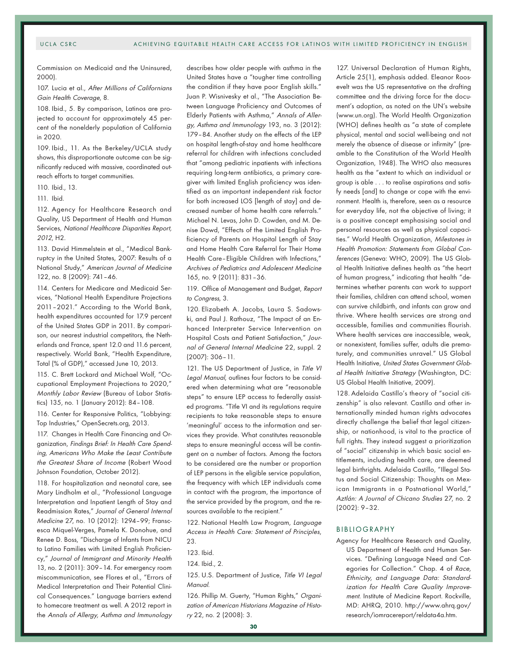Commission on Medicaid and the Uninsured, 2000).

107. Lucia et al., After Millions of Californians Gain Health Coverage, 8.

108. Ibid., 5. By comparison, Latinos are projected to account for approximately 45 percent of the nonelderly population of California in 2020.

109. Ibid., 11. As the Berkeley/UCLA study shows, this disproportionate outcome can be significantly reduced with massive, coordinated outreach efforts to target communities.

110. Ibid., 13.

111. Ibid.

112. Agency for Healthcare Research and Quality, US Department of Health and Human Services, National Healthcare Disparities Report, <sup>2012</sup>, H2.

113. David Himmelstein et al., "Medical Bankruptcy in the United States, 2007: Results of a National Study," American Journal of Medicine 122, no. 8 (2009): 741–46.

114. Centers for Medicare and Medicaid Services, "National Health Expenditure Projections 2011–2021." According to the World Bank, health expenditures accounted for 17.9 percent of the United States GDP in 2011. By comparison, our nearest industrial competitors, the Netherlands and France, spent 12.0 and 11.6 percent, respectively. World Bank, "Health Expenditure, Total (% of GDP)," accessed June 10, 2013.

115. C. Brett Lockard and Michael Wolf, "Occupational Employment Projections to 2020," Monthly Labor Review (Bureau of Labor Statistics) 135, no. 1 (January 2012): 84–108.

116. Center for Responsive Politics, "Lobbying: Top Industries," OpenSecrets.org, 2013.

117. Changes in Health Care Financing and Organization, Findings Brief: In Health Care Spending, Americans Who Make the Least Contribute the Greatest Share of Income (Robert Wood Johnson Foundation, October 2012).

118. For hospitalization and neonatal care, see Mary Lindholm et al., "Professional Language Interpretation and Inpatient Length of Stay and Readmission Rates," Journal of General Internal Medicine 27, no. 10 (2012): 1294–99; Franscesca Miquel-Verges, Pamela K. Donohue, and Renee D. Boss, "Discharge of Infants from NICU to Latino Families with Limited English Proficiency," Journal of Immigrant and Minority Health 13, no. 2 (2011): 309–14. For emergency room miscommunication, see Flores et al., "Errors of Medical Interpretation and Their Potential Clinical Consequences." Language barriers extend to homecare treatment as well. A 2012 report in the Annals of Allergy, Asthma and Immunology describes how older people with asthma in the United States have a "tougher time controlling the condition if they have poor English skills." Juan P. Wisnivesky et al., "The Association Between Language Proficiency and Outcomes of Elderly Patients with Asthma," Annals of Allergy, Asthma and Immunology 193, no. 3 (2012): 179–84. Another study on the effects of the LEP on hospital length-of-stay and home healthcare referral for children with infections concluded that "among pediatric inpatients with infections requiring long-term antibiotics, a primary caregiver with limited English proficiency was identified as an important independent risk factor for both increased LOS [length of stay] and decreased number of home health care referrals." Michael N. Levas, John D. Cowden, and M. Denise Dowd, "Effects of the Limited English Proficiency of Parents on Hospital Length of Stay and Home Health Care Referral for Their Home Health Care–Eligible Children with Infections," Archives of Pediatrics and Adolescent Medicine 165, no. 9 (2011): 831–36.

119. Office of Management and Budget, Report to Congress, 3.

120. Elizabeth A. Jacobs, Laura S. Sadowski, and Paul J. Rathouz, "The Impact of an Enhanced Interpreter Service Intervention on Hospital Costs and Patient Satisfaction," Journal of General Internal Medicine 22, suppl. 2 (2007): 306–11.

121. The US Department of Justice, in Title VI Legal Manual, outlines four factors to be considered when determining what are "reasonable steps" to ensure LEP access to federally assisted programs. "Title VI and its regulations require recipients to take reasonable steps to ensure 'meaningful' access to the information and services they provide. What constitutes reasonable steps to ensure meaningful access will be contingent on a number of factors. Among the factors to be considered are the number or proportion of LEP persons in the eligible service population, the frequency with which LEP individuals come in contact with the program, the importance of the service provided by the program, and the resources available to the recipient."

122. National Health Law Program, Language Access in Health Care: Statement of Principles,  $23$ 

124. Ibid., 2.

125. U.S. Department of Justice, Title VI Legal Manual.

126. Phillip M. Guerty, "Human Rights," Organization of American Historians Magazine of History 22, no. 2 (2008): 3.

127. Universal Declaration of Human Rights, Article 25(1), emphasis added. Eleanor Roosevelt was the US representative on the drafting committee and the driving force for the document's adoption, as noted on the UN's website (www.un.org). The World Health Organization (WHO) defines health as "a state of complete physical, mental and social well-being and not merely the absence of disease or infirmity" (preamble to the Constitution of the World Health Organization, 1948). The WHO also measures health as the "extent to which an individual or group is able . . . to realise aspirations and satisfy needs [and] to change or cope with the environment. Health is, therefore, seen as a resource for everyday life, not the objective of living; it is a positive concept emphasising social and personal resources as well as physical capacities." World Health Organization, Milestones in Health Promotion: Statements from Global Conferences (Geneva: WHO, 2009). The US Global Health Initiative defines health as "the heart of human progress," indicating that health "determines whether parents can work to support their families, children can attend school, women can survive childbirth, and infants can grow and thrive. Where health services are strong and accessible, families and communities flourish. Where health services are inaccessible, weak, or nonexistent, families suffer, adults die prematurely, and communities unravel." US Global Health Initiative, United States Government Global Health Initiative Strategy (Washington, DC: US Global Health Initiative, 2009).

128. Adelaida Castillo's theory of "social citizenship" is also relevant. Castillo and other internationally minded human rights advocates directly challenge the belief that legal citizenship, or nationhood, is vital to the practice of full rights. They instead suggest a prioritization of "social" citizenship in which basic social entitlements, including health care, are deemed legal birthrights. Adelaida Castillo, "Illegal Status and Social Citizenship: Thoughts on Mexican Immigrants in a Postnational World," Aztlán: A Journal of Chicano Studies 27, no. 2 (2002): 9–32.

#### BIBLIOGRAPHY

Agency for Healthcare Research and Quality, US Department of Health and Human Services. "Defining Language Need and Categories for Collection." Chap. 4 of Race, Ethnicity, and Language Data: Standardization for Health Care Quality Improvement. Institute of Medicine Report. Rockville, MD: AHRQ, 2010. http://www.ahrq.gov/ research/iomracereport/reldata4a.htm.

<sup>123.</sup> Ibid.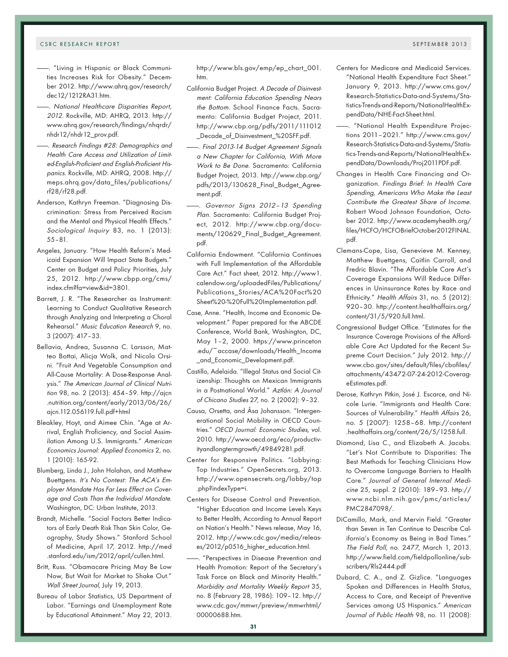- -. "Living in Hispanic or Black Communities Increases Risk for Obesity." December 2012. http://www.ahrq.gov/research/ dec12/1212RA31.htm.
- . National Healthcare Disparities Report, <sup>2012</sup>. Rockville, MD: AHRQ, 2013. http:// www.ahrq.gov/research/findings/nhqrdr/ nhdr12/nhdr12\_prov.pdf.
- ———. Research Findings #28: Demographics and Health Care Access and Utilization of Limited-English-Proficient and English-Proficient Hispanics. Rockville, MD: AHRQ, 2008. http:// meps.ahrq.gov/data\_files/publications/ rf28/rf28.pdf.
- Anderson, Kathryn Freeman. "Diagnosing Discrimination: Stress from Perceived Racism and the Mental and Physical Health Effects." Sociological Inquiry 83, no. 1 (2013): 55–81.
- Angeles, January. "How Health Reform's Medicaid Expansion Will Impact State Budgets." Center on Budget and Policy Priorities, July 25, 2012. http://www.cbpp.org/cms/ index.cfm?fa=view&id=3801.
- Barrett, J. R. "The Researcher as Instrument: Learning to Conduct Qualitative Research through Analyzing and Interpreting a Choral Rehearsal." Music Education Research 9, no. 3 (2007): 417–33.
- Bellavia, Andrea, Susanna C. Larsson, Matteo Bottai, Alicja Wolk, and Nicola Orsini. "Fruit And Vegetable Consumption and All-Cause Mortality: A Dose-Response Analysis." The American Journal of Clinical Nutrition 98, no. 2 (2013): 454–59. http://ajcn .nutrition.org/content/early/2013/06/26/ ajcn.112.056119.full.pdf+html
- Bleakley, Hoyt, and Aimee Chin. "Age at Arrival, English Proficiency, and Social Assimilation Among U.S. Immigrants." American Economics Journal: Applied Economics 2, no. 1 (2010): 165-92.
- Blumberg, Linda J., John Holahan, and Matthew Buettgens. It's No Contest: The ACA's Employer Mandate Has Far Less Effect on Coverage and Costs Than the Individual Mandate. Washington, DC: Urban Institute, 2013.
- Brandt, Michelle. "Social Factors Better Indicators of Early Death Risk Than Skin Color, Geography, Study Shows." Stanford School of Medicine, April 17, 2012. http://med .stanford.edu/ism/2012/april/cullen.html.
- Britt, Russ. "Obamacare Pricing May Be Low Now, But Wait for Market to Shake Out." Wall Street Journal, July 19, 2013.
- Bureau of Labor Statistics, US Department of Labor. "Earnings and Unemployment Rate by Educational Attainment." May 22, 2013.

http://www.bls.gov/emp/ep\_chart\_001. htm.

- California Budget Project. A Decade of Disinvestment: California Education Spending Nears the Bottom. School Finance Facts. Sacramento: California Budget Project, 2011. http://www.cbp.org/pdfs/2011/111012 \_Decade\_of\_Disinvestment\_%20SFF.pdf.
- ———. Final 2013-14 Budget Agreement Signals a New Chapter for California, With More Work to Be Done. Sacramento: California Budget Project, 2013. http://www.cbp.org/ pdfs/2013/130628\_Final\_Budget\_Agreement.pdf.
- Governor Signs 2012-13 Spending Plan. Sacramento: California Budget Project, 2012. http://www.cbp.org/documents/120629\_Final\_Budget\_Agreement. pdf.
- California Endowment. "California Continues with Full Implementation of the Affordable Care Act." Fact sheet, 2012. http://www1. calendow.org/uploadedFiles/Publications/ Publications\_Stories/ACA%20Fact%20 Sheet%20-%20Full%20Implementation.pdf.
- Case, Anne. "Health, Income and Economic Development." Paper prepared for the ABCDE Conference, World Bank, Washington, DC, May 1–2, 2000. https://www.princeton .edu/~accase/downloads/Health\_Income \_and\_Economic\_Development.pdf.
- Castillo, Adelaida. "Illegal Status and Social Citizenship: Thoughts on Mexican Immigrants in a Postnational World." Aztlán: A Journal of Chicano Studies 27, no. 2 (2002): 9–32.
- Causa, Orsetta, and Åsa Johansson. "Intergenerational Social Mobility in OECD Countries." OECD Journal: Economic Studies, vol. 2010. http://www.oecd.org/eco/productivityandlongtermgrowth/49849281.pdf.
- Center for Responsive Politics. "Lobbying: Top Industries." OpenSecrets.org, 2013. http://www.opensecrets.org/lobby/top .php?indexType=i.
- Centers for Disease Control and Prevention. "Higher Education and Income Levels Keys to Better Health, According to Annual Report on Nation's Health." News release, May 16, 2012. http://www.cdc.gov/media/releases/2012/p0516\_higher\_education.html.
- ———. "Perspectives in Disease Prevention and Health Promotion: Report of the Secretary's Task Force on Black and Minority Health." Morbidity and Mortality Weekly Report 35, no. 8 (February 28, 1986): 109–12. http:// www.cdc.gov/mmwr/preview/mmwrhtml/ 00000688.htm.
- Centers for Medicare and Medicaid Services. "National Health Expenditure Fact Sheet." January 9, 2013. http://www.cms.gov/ Research-Statistics-Data-and-Systems/Statistics-Trends-and-Reports/NationalHealthExpendData/NHE-Fact-Sheet.html.
- ———. "National Health Expenditure Projections 2011–2021." http://www.cms.gov/ Research-Statistics-Data-and-Systems/Statistics-Trends-and-Reports/NationalHealthExpendData/Downloads/Proj2011PDF.pdf.
- Changes in Health Care Financing and Organization. Findings Brief: In Health Care Spending, Americans Who Make the Least Contribute the Greatest Share of Income. Robert Wood Johnson Foundation, October 2012. http://www.academyhealth.org/ files/HCFO/HCFOBriefOctober2012FINAL. pdf.
- Clemans-Cope, Lisa, Genevieve M. Kenney, Matthew Buettgens, Caitlin Carroll, and Fredric Blavin. "The Affordable Care Act's Coverage Expansions Will Reduce Differences in Uninsurance Rates by Race and Ethnicity." Health Affairs 31, no. 5 (2012): 920–30. http://content.healthaffairs.org/ content/31/5/920.full.html.
- Congressional Budget Office. "Estimates for the Insurance Coverage Provisions of the Affordable Care Act Updated for the Recent Supreme Court Decision." July 2012. http:// www.cbo.gov/sites/default/files/cbofiles/ attachments/43472-07-24-2012-CoverageEstimates.pdf.
- Derose, Kathryn Pitkin, José J. Escarce, and Nicole Lurie. "Immigrants and Health Care: Sources of Vulnerability." Health Affairs 26, no. 5 (2007): 1258–68. http://content .healthaffairs.org/content/26/5/1258.full.
- Diamond, Lisa C., and Elizabeth A. Jacobs. "Let's Not Contribute to Disparities: The Best Methods for Teaching Clinicians How to Overcome Language Barriers to Health Care." Journal of General Internal Medicine 25, suppl. 2 (2010): 189–93. http:// www.ncbi.nlm.nih.gov/pmc/articles/ PMC2847098/.
- DiCamillo, Mark, and Mervin Field. "Greater than Seven in Ten Continue to Describe California's Economy as Being in Bad Times." The Field Poll, no. 2477, March 1, 2013. http://www.field.com/fieldpollonline/subscribers/Rls2444.pdf
- Dubard, C. A., and Z. Gizlice. "Languages Spoken and Differences in Health Status, Access to Care, and Receipt of Preventive Services among US Hispanics." American Journal of Public Health 98, no. 11 (2008):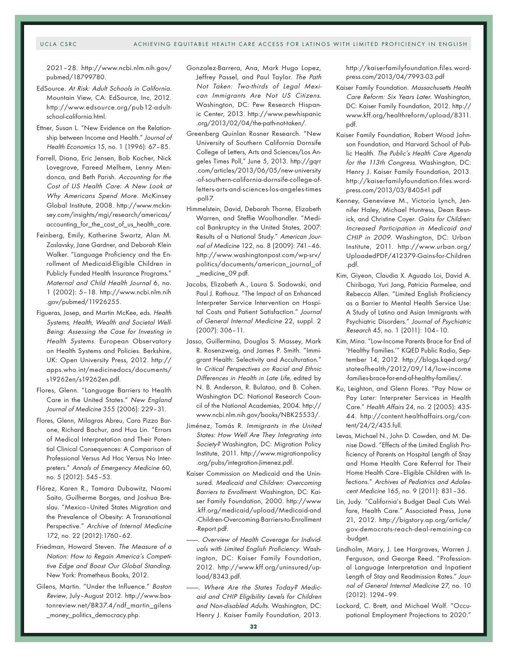2021–28. http://www.ncbi.nlm.nih.gov/ pubmed/18799780.

- EdSource. At Risk: Adult Schools in California. Mountain View, CA: EdSource, Inc, 2012. http://www.edsource.org/pub12-adultschool-california.html.
- Ettner, Susan L. "New Evidence on the Relationship between Income and Health." Journal of Health Economics 15, no. 1 (1996): 67–85.
- Farrell, Diana, Eric Jensen, Bob Kocher, Nick Lovegrove, Fareed Melhem, Lenny Mendonca, and Beth Parish. Accounting for the Cost of US Health Care: A New Look at Why Americans Spend More. McKinsey Global Institute, 2008. http://www.mckinsey.com/insights/mgi/research/americas/ accounting\_for\_the\_cost\_of\_us\_health\_care.
- Feinberg, Emily, Katherine Swartz, Alan M. Zaslavsky, Jane Gardner, and Deborah Klein Walker. "Language Proficiency and the Enrollment of Medicaid-Eligible Children in Publicly Funded Health Insurance Programs." Maternal and Child Health Journal 6, no. 1 (2002): 5–18. http://www.ncbi.nlm.nih .gov/pubmed/11926255.
- Figueras, Josep, and Martin McKee, eds. Health Systems, Health, Wealth and Societal Well-Being: Assessing the Case for Investing in Health Systems. European Observatory on Health Systems and Policies. Berkshire, UK: Open University Press, 2012. http:// apps.who.int/medicinedocs/documents/ s19262en/s19262en.pdf.
- Flores, Glenn. "Language Barriers to Health Care in the United States." New England Journal of Medicine 355 (2006): 229–31.
- Flores, Glenn, Milagros Abreu, Cara Pizzo Barone, Richard Bachur, and Hua Lin. "Errors of Medical Interpretation and Their Potential Clinical Consequences: A Comparison of Professional Versus Ad Hoc Versus No Interpreters." Annals of Emergency Medicine 60, no. 5 (2012): 545–53.
- Flórez, Karen R., Tamara Dubowitz, Naomi Saito, Guilherme Borges, and Joshua Breslau. "Mexico–United States Migration and the Prevalence of Obesity: A Transnational Perspective." Archive of Internal Medicine 172, no. 22 (2012):1760–62.
- Friedman, Howard Steven. The Measure of a Nation: How to Regain America's Competitive Edge and Boost Our Global Standing. New York: Prometheus Books, 2012.
- Gilens, Martin. "Under the Influence." Boston Review, July–August 2012. http://www.bostonreview.net/BR37.4/ndf\_martin\_gilens \_money\_politics\_democracy.php.
- Gonzalez-Barrera, Ana, Mark Hugo Lopez, Jeffrey Passel, and Paul Taylor. The Path Not Taken: Two-thirds of Legal Mexican Immigrants Are Not US Citizens. Washington, DC: Pew Research Hispanic Center, 2013. http://www.pewhispanic .org/2013/02/04/the-path-not-taken/.
- Greenberg Quinlan Rosner Research. "New University of Southern California Dornsife College of Letters, Arts and Sciences/Los Angeles Times Poll," June 5, 2013. http://gqrr .com/articles/2013/06/05/new-university -of-southern-california-dornsife-college-ofletters-arts-and-sciences-los-angeles-times -poll-7.
- Himmelstein, David, Deborah Thorne, Elizabeth Warren, and Steffie Woolhandler. "Medical Bankruptcy in the United States, 2007: Results of a National Study." American Journal of Medicine 122, no. 8 (2009): 741–46. http://www.washingtonpost.com/wp-srv/ politics/documents/american\_journal\_of \_medicine\_09.pdf.
- Jacobs, Elizabeth A., Laura S. Sadowski, and Paul J. Rathouz. "The Impact of an Enhanced Interpreter Service Intervention on Hospital Costs and Patient Satisfaction." Journal of General Internal Medicine 22, suppl. 2 (2007): 306–11.
- Jasso, Guillermina, Douglas S. Massey, Mark R. Rosenzweig, and James P. Smith. "Immigrant Health: Selectivity and Acculturation." In Critical Perspectives on Racial and Ethnic Differences in Health in Late Life, edited by N. B. Anderson, R. Bulatao, and B. Cohen. Washington DC: National Research Council of the National Academies, 2004. http:// www.ncbi.nlm.nih.gov/books/NBK25533/.
- Jiménez, Tomás R. Immigrants in the United States: How Well Are They Integrating into Society? Washington, DC: Migration Policy Institute, 2011. http://www.migrationpolicy .org/pubs/integration-Jimenez.pdf.
- Kaiser Commission on Medicaid and the Uninsured. Medicaid and Children: Overcoming Barriers to Enrollment. Washington, DC: Kaiser Family Foundation, 2000. http://www .kff.org/medicaid/upload/Medicaid-and -Children-Overcoming-Barriers-to-Enrollment -Report.pdf.
- -. Overview of Health Coverage for Individuals with Limited English Proficiency. Washington, DC: Kaiser Family Foundation, 2012. http://www.kff.org/uninsured/upload/8343.pdf.
- . Where Are the States Today? Medicaid and CHIP Eligibility Levels for Children and Non-disabled Adults. Washington, DC: Henry J. Kaiser Family Foundation, 2013.

http://kaiserfamilyfoundation.files.wordpress.com/2013/04/7993-03.pdf

- Kaiser Family Foundation. Massachusetts Health Care Reform: Six Years Later. Washington, DC: Kaiser Family Foundation, 2012. http:// www.kff.org/healthreform/upload/8311. pdf.
- Kaiser Family Foundation, Robert Wood Johnson Foundation, and Harvard School of Public Health. The Public's Health Care Agenda for the 113th Congress. Washington, DC: Henry J. Kaiser Family Foundation, 2013. http://kaiserfamilyfoundation.files.wordpress.com/2013/03/8405-t1.pdf
- Kenney, Genevieve M., Victoria Lynch, Jennifer Haley, Michael Huntress, Dean Resnick, and Christine Coyer. Gains for Children: Increased Participation in Medicaid and CHIP in 2009. Washington, DC: Urban Institute, 2011. http://www.urban.org/ UploadedPDF/412379-Gains-for-Children .pdf.
- Kim, Giyeon, Claudia X. Aguado Loi, David A. Chiriboga, Yuri Jang, Patricia Parmelee, and Rebecca Allen. "Limited English Proficiency as a Barrier to Mental Health Service Use: A Study of Latino and Asian Immigrants with Psychiatric Disorders." Journal of Psychiatric Research 45, no. 1 (2011): 104–10.
- Kim, Mina. "Low-Income Parents Brace for End of 'Healthy Families.'" KQED Public Radio, September 14, 2012. http://blogs.kqed.org/ stateofhealth/2012/09/14/low-income -families-brace-for-end-of-healthy-families/.
- Ku, Leighton, and Glenn Flores. "Pay Now or Pay Later: Interpreter Services in Health Care." Health Affairs 24, no. 2 (2005): 435- 44. http://content.healthaffairs.org/content/24/2/435.full.
- Levas, Michael N., John D. Cowden, and M. Denise Dowd. "Effects of the Limited English Proficiency of Parents on Hospital Length of Stay and Home Health Care Referral for Their Home Health Care–Eligible Children with Infections." Archives of Pediatrics and Adolescent Medicine 165, no. 9 (2011): 831–36.
- Lin, Judy. "California's Budget Deal Cuts Welfare, Health Care." Associated Press, June 21, 2012. http://bigstory.ap.org/article/ gov-democrats-reach-deal-remaining-ca -budget.
- Lindholm, Mary, J. Lee Hargraves, Warren J. Ferguson, and George Reed. "Professional Language Interpretation and Inpatient Length of Stay and Readmission Rates." Journal of General Internal Medicine 27, no. 10 (2012): 1294–99.
- Lockard, C. Brett, and Michael Wolf. "Occupational Employment Projections to 2020."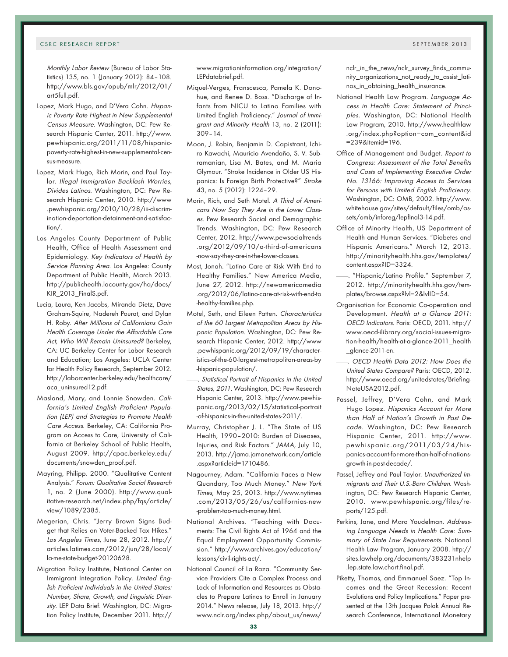Monthly Labor Review (Bureau of Labor Statistics) 135, no. 1 (January 2012): 84–108. http://www.bls.gov/opub/mlr/2012/01/ art5full.pdf.

- Lopez, Mark Hugo, and D'Vera Cohn. Hispanic Poverty Rate Highest in New Supplemental Census Measure. Washington, DC: Pew Research Hispanic Center, 2011. http://www. pewhispanic.org/2011/11/08/hispanicpoverty-rate-highest-in-new-supplemental-census-measure.
- Lopez, Mark Hugo, Rich Morin, and Paul Taylor. Illegal Immigration Backlash Worries, Divides Latinos. Washington, DC: Pew Research Hispanic Center, 2010. http://www .pewhispanic.org/2010/10/28/iii-discrimination-deportation-detainment-and-satisfaction/.
- Los Angeles County Department of Public Health, Office of Health Assessment and Epidemiology. Key Indicators of Health by Service Planning Area. Los Angeles: County Department of Public Health, March 2013. http://publichealth.lacounty.gov/ha/docs/ KIR\_2013\_FinalS.pdf.
- Lucia, Laura, Ken Jacobs, Miranda Dietz, Dave Graham-Squire, Nadereh Pourat, and Dylan H. Roby. After Millions of Californians Gain Health Coverage Under the Affordable Care Act, Who Will Remain Uninsured? Berkeley, CA: UC Berkeley Center for Labor Research and Education; Los Angeles: UCLA Center for Health Policy Research, September 2012. http://laborcenter.berkeley.edu/healthcare/ aca\_uninsured12.pdf.
- Masland, Mary, and Lonnie Snowden. California's Limited English Proficient Population (LEP) and Strategies to Promote Health Care Access. Berkeley, CA: California Program on Access to Care, University of California at Berkeley School of Public Health, August 2009. http://cpac.berkeley.edu/ documents/snowden\_proof.pdf.
- Mayring, Philipp. 2000. "Qualitative Content Analysis." Forum: Qualitative Social Research 1, no. 2 (June 2000). http://www.qualitative-research.net/index.php/fqs/article/ view/1089/2385.
- Megerian, Chris. "Jerry Brown Signs Budget that Relies on Voter-Backed Tax Hikes." Los Angeles Times, June 28, 2012. http:// articles.latimes.com/2012/jun/28/local/ la-me-state-budget-20120628.
- Migration Policy Institute, National Center on Immigrant Integration Policy. Limited English Proficient Individuals in the United States: Number, Share, Growth, and Linguistic Diversity. LEP Data Brief. Washington, DC: Migration Policy Institute, December 2011. http://

www.migrationinformation.org/integration/ LEPdatabrief.pdf.

- Miquel-Verges, Franscesca, Pamela K. Donohue, and Renee D. Boss. "Discharge of Infants from NICU to Latino Families with Limited English Proficiency." Journal of Immigrant and Minority Health 13, no. 2 (2011): 309–14.
- Moon, J. Robin, Benjamin D. Capistrant, Ichiro Kawachi, Mauricio Avendaño, S. V. Subramanian, Lisa M. Bates, and M. Maria Glymour. "Stroke Incidence in Older US Hispanics: Is Foreign Birth Protective?" Stroke 43, no. 5 (2012): 1224–29.
- Morin, Rich, and Seth Motel. A Third of Americans Now Say They Are in the Lower Classes. Pew Research Social and Demographic Trends. Washington, DC: Pew Research Center, 2012. http://www.pewsocialtrends .org/2012/09/10/a-third-of-americans -now-say-they-are-in-the-lower-classes.
- Most, Jonah. "Latino Care at Risk With End to Healthy Families." New America Media, June 27, 2012. http://newamericamedia .org/2012/06/latino-care-at-risk-with-end-to -healthy-families.php.
- Motel, Seth, and Eileen Patten. Characteristics of the 60 Largest Metropolitan Areas by Hispanic Population. Washington, DC: Pew Research Hispanic Center, 2012. http://www .pewhispanic.org/2012/09/19/characteristics-of-the-60-largest-metropolitan-areas-by -hispanic-population/.
- ———. Statistical Portrait of Hispanics in the United States, 2011. Washington, DC: Pew Research Hispanic Center, 2013. http://www.pewhispanic.org/2013/02/15/statistical-portrait -of-hispanics-in-the-united-states-2011/.
- Murray, Christopher J. L. "The State of US Health, 1990–2010: Burden of Diseases, Injuries, and Risk Factors." JAMA, July 10, 2013. http://jama.jamanetwork.com/article .aspx?articleid=1710486.
- Nagourney, Adam. "California Faces a New Quandary, Too Much Money." New York Times, May 25, 2013. http://www.nytimes .com/2013/05/26/us/californias-new -problem-too-much-money.html.
- National Archives. "Teaching with Documents: The Civil Rights Act of 1964 and the Equal Employment Opportunity Commission." http://www.archives.gov/education/ lessons/civil-rights-act/.
- National Council of La Raza. "Community Service Providers Cite a Complex Process and Lack of Information and Resources as Obstacles to Prepare Latinos to Enroll in January 2014." News release, July 18, 2013. http:// www.nclr.org/index.php/about\_us/news/

nclr\_in\_the\_news/nclr\_survey\_finds\_community\_organizations\_not\_ready\_to\_assist\_latinos\_in\_obtaining\_health\_insurance.

- National Health Law Program. Language Access in Health Care: Statement of Princi<sup>p</sup>les. Washington, DC: National Health Law Program, 2010. http://www.healthlaw .org/index.php?option=com\_content&id =239&Itemid=196.
- Office of Management and Budget. Report to Congress: Assessment of the Total Benefits and Costs of Implementing Executive Order No. 13166: Improving Access to Services for Persons with Limited English Proficiency. Washington, DC: OMB, 2002. http://www. whitehouse.gov/sites/default/files/omb/assets/omb/inforeg/lepfinal3-14.pdf.
- Office of Minority Health, US Department of Health and Human Services. "Diabetes and Hispanic Americans." March 12, 2013. http://minorityhealth.hhs.gov/templates/ content.aspx?ID=3324.
- ———. "Hispanic/Latino Profile." September 7, 2012. http://minorityhealth.hhs.gov/templates/browse.aspx?lvl=2&lvlID=54.
- Organisation for Economic Co-operation and Development. Health at a Glance 2011: OECD Indicators. Paris: OECD, 2011. http:// www.oecd-ilibrary.org/social-issues-migration-health/health-at-a-glance-2011\_health \_glance-2011-en.
- -. OECD Health Data 2012: How Does the United States Compare? Paris: OECD, 2012. http://www.oecd.org/unitedstates/Briefing-NoteUSA2012.pdf.
- Passel, Jeffrey, D'Vera Cohn, and Mark Hugo Lopez. Hispanics Account for More than Half of Nation's Growth in Past Decade. Washington, DC: Pew Research Hispanic Center, 2011. http://www. pewhispanic.org/2011/03/24/hispanics-account-for-more-than-half-of-nationsgrowth-in-past-decade/.
- Passel, Jeffrey and Paul Taylor. Unauthorized Immigrants and Their U.S.-Born Children. Washington, DC: Pew Research Hispanic Center, 2010. www.pewhispanic.org/files/reports/125.pdf.
- Perkins, Jane, and Mara Youdelman. Addressing Language Needs in Health Care: Summary of State Law Requirements. National Health Law Program, January 2008. http:// sites.lawhelp.org/documents/383231nhelp .lep.state.law.chart.final.pdf.
- Piketty, Thomas, and Emmanuel Saez. "Top Incomes and the Great Recession: Recent Evolutions and Policy Implications." Paper presented at the 13th Jacques Polak Annual Research Conference, International Monetary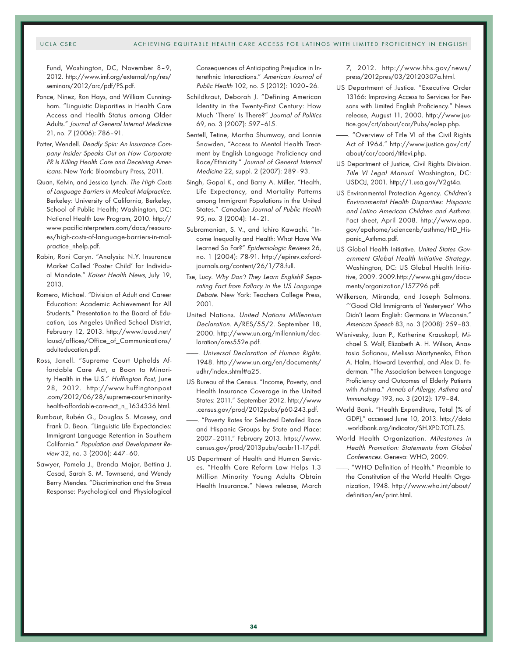#### UCLA CSRC ACHIEVING EQUITABLE HEALTH CARE ACCESS FOR LATINOS WITH LIMITED PROFICIENCY IN ENGLISH

Fund, Washington, DC, November 8–9, 2012. http://www.imf.org/external/np/res/ seminars/2012/arc/pdf/PS.pdf.

- Ponce, Ninez, Ron Hays, and William Cunningham. "Linguistic Disparities in Health Care Access and Health Status among Older Adults." Journal of General Internal Medicine 21, no. 7 (2006): 786–91.
- Potter, Wendell. Deadly Spin: An Insurance Company Insider Speaks Out on How Corporate PR Is Killing Health Care and Deceiving Americans. New York: Bloomsbury Press, 2011.
- Quan, Kelvin, and Jessica Lynch. The High Costs of Language Barriers in Medical Malpractice. Berkeley: University of California, Berkeley, School of Public Health; Washington, DC: National Health Law Program, 2010. http:// www.pacificinterpreters.com/docs/resources/high-costs-of-language-barriers-in-malpractice\_nhelp.pdf.
- Rabin, Roni Caryn. "Analysis: N.Y. Insurance Market Called 'Poster Child' for Individual Mandate." Kaiser Health News, July 19, 2013.
- Romero, Michael. "Division of Adult and Career Education: Academic Achievement for All Students." Presentation to the Board of Education, Los Angeles Unified School District, February 12, 2013. http://www.lausd.net/ lausd/offices/Office\_of\_Communications/ adulteducation.pdf.
- Ross, Janell. "Supreme Court Upholds Affordable Care Act, a Boon to Minority Health in the U.S." Huffington Post, June 28, 2012. http://www.huffingtonpost .com/2012/06/28/supreme-court-minorityhealth-affordable-care-act\_n\_1634336.html.
- Rumbaut, Rubén G., Douglas S. Massey, and Frank D. Bean. "Linguistic Life Expectancies: Immigrant Language Retention in Southern California." Population and Development Review 32, no. 3 (2006): 447–60.
- Sawyer, Pamela J., Brenda Major, Bettina J. Casad, Sarah S. M. Townsend, and Wendy Berry Mendes. "Discrimination and the Stress Response: Psychological and Physiological

Consequences of Anticipating Prejudice in Interethnic Interactions." American Journal of Public Health 102, no. 5 (2012): 1020–26.

- Schildkraut, Deborah J. "Defining American Identity in the Twenty-First Century: How Much 'There' Is There?" Journal of Politics 69, no. 3 (2007): 597–615.
- Sentell, Tetine, Martha Shumway, and Lonnie Snowden, "Access to Mental Health Treatment by English Language Proficiency and Race/Ethnicity." Journal of General Internal Medicine 22, suppl. 2 (2007): 289–93.
- Singh, Gopal K., and Barry A. Miller. "Health, Life Expectancy, and Mortality Patterns among Immigrant Populations in the United States." Canadian Journal of Public Health 95, no. 3 (2004): 14–21.
- Subramanian, S. V., and Ichiro Kawachi. "Income Inequality and Health: What Have We Learned So Far?" Epidemiologic Reviews 26, no. 1 (2004): 78-91. http://epirev.oxfordjournals.org/content/26/1/78.full.
- Tse, Lucy. Why Don't They Learn English? Separating Fact from Fallacy in the US Language Debate. New York: Teachers College Press, 2001.
- United Nations. United Nations Millennium Declaration. A/RES/55/2. September 18, 2000. http://www.un.org/millennium/declaration/ares552e.pdf.
- ———. Universal Declaration of Human Rights. 1948. http://www.un.org/en/documents/ udhr/index.shtml#a25.
- US Bureau of the Census. "Income, Poverty, and Health Insurance Coverage in the United States: 2011." September 2012. http://www .census.gov/prod/2012pubs/p60-243.pdf.
- -. "Poverty Rates for Selected Detailed Race and Hispanic Groups by State and Place: 2007–2011." February 2013. https://www. census.gov/prod/2013pubs/acsbr11-17.pdf.
- US Department of Health and Human Services. "Health Care Reform Law Helps 1.3 Million Minority Young Adults Obtain Health Insurance." News release, March

7, 2012. http://www.hhs.gov/news/ press/2012pres/03/20120307a.html.

- US Department of Justice. "Executive Order 13166: Improving Access to Services for Persons with Limited English Proficiency." News release, August 11, 2000. http://www.justice.gov/crt/about/cor/Pubs/eolep.php.
- "Overview of Title VI of the Civil Rights Act of 1964." http://www.justice.gov/crt/ about/cor/coord/titlevi.php.
- US Department of Justice, Civil Rights Division. Title VI Legal Manual. Washington, DC: USDOJ, 2001. http://1.usa.gov/V2gt4a.
- US Environmental Protection Agency. Children's Environmental Health Disparities: Hispanic and Latino American Children and Asthma. Fact sheet, April 2008. http://www.epa. gov/epahome/sciencenb/asthma/HD\_Hispanic\_Asthma.pdf.
- US Global Health Initiative. United States Government Global Health Initiative Strategy. Washington, DC: US Global Health Initiative, 2009. 2009.http://www.ghi.gov/documents/organization/157796.pdf.
- Wilkerson, Miranda, and Joseph Salmons. "'Good Old Immigrants of Yesteryear' Who Didn't Learn English: Germans in Wisconsin." American Speech 83, no. 3 (2008): 259–83.
- Wisnivesky, Juan P., Katherine Krauskopf, Michael S. Wolf, Elizabeth A. H. Wilson, Anastasia Sofianou, Melissa Martynenko, Ethan A. Halm, Howard Leventhal, and Alex D. Federman. "The Association between Language Proficiency and Outcomes of Elderly Patients with Asthma." Annals of Allergy, Asthma and Immunology 193, no. 3 (2012): 179–84.
- World Bank. "Health Expenditure, Total (% of GDP)," accessed June 10, 2013. http://data .worldbank.org/indicator/SH.XPD.TOTL.ZS.
- World Health Organization. Milestones in Health Promotion: Statements from Global Conferences. Geneva: WHO, 2009.
- ———. "WHO Definition of Health." Preamble to the Constitution of the World Health Organization, 1948. http://www.who.int/about/ definition/en/print.html.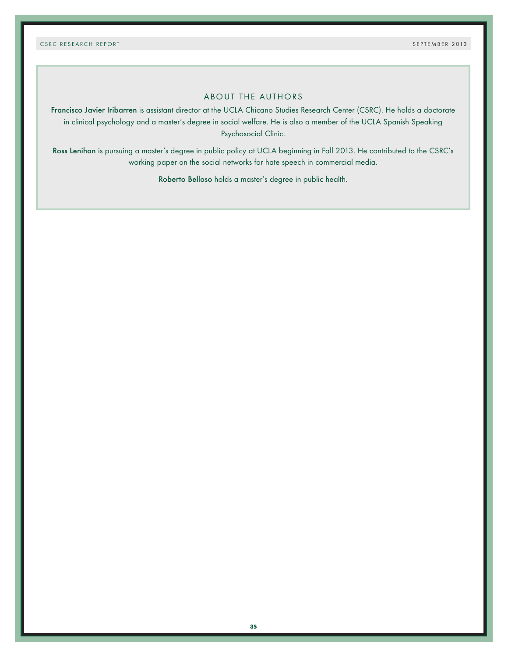# ABOUT THE AUTHORS

Francisco Javier Iribarren is assistant director at the UCLA Chicano Studies Research Center (CSRC). He holds a doctorate in clinical psychology and a master's degree in social welfare. He is also a member of the UCLA Spanish Speaking Psychosocial Clinic.

Ross Lenihan is pursuing a master's degree in public policy at UCLA beginning in Fall 2013. He contributed to the CSRC's working paper on the social networks for hate speech in commercial media.

Roberto Belloso holds a master's degree in public health.